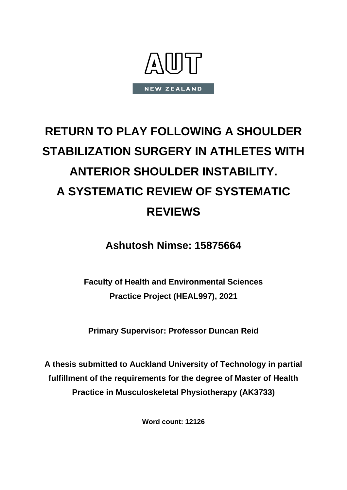

# **RETURN TO PLAY FOLLOWING A SHOULDER STABILIZATION SURGERY IN ATHLETES WITH ANTERIOR SHOULDER INSTABILITY. A SYSTEMATIC REVIEW OF SYSTEMATIC REVIEWS**

**Ashutosh Nimse: 15875664**

**Faculty of Health and Environmental Sciences Practice Project (HEAL997), 2021**

**Primary Supervisor: Professor Duncan Reid**

**A thesis submitted to Auckland University of Technology in partial fulfillment of the requirements for the degree of Master of Health Practice in Musculoskeletal Physiotherapy (AK3733)**

**Word count: 12126**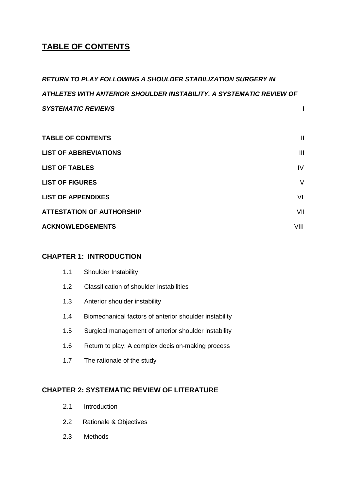## **TABLE OF CONTENTS**

*RETURN TO PLAY FOLLOWING A SHOULDER STABILIZATION SURGERY IN ATHLETES WITH ANTERIOR SHOULDER INSTABILITY. A SYSTEMATIC REVIEW OF SYSTEMATIC REVIEWS* **I** 

| <b>TABLE OF CONTENTS</b>         | $\mathbf{I}$ |
|----------------------------------|--------------|
| <b>LIST OF ABBREVIATIONS</b>     | III          |
| <b>LIST OF TABLES</b>            | IV           |
| <b>LIST OF FIGURES</b>           | V            |
| <b>LIST OF APPENDIXES</b>        | VI           |
| <b>ATTESTATION OF AUTHORSHIP</b> | VII          |
| <b>ACKNOWLEDGEMENTS</b>          | VIII         |

### **CHAPTER 1: INTRODUCTION**

| 1.1 | <b>Shoulder Instability</b>                            |
|-----|--------------------------------------------------------|
| 1.2 | Classification of shoulder instabilities               |
| 1.3 | Anterior shoulder instability                          |
| 1.4 | Biomechanical factors of anterior shoulder instability |
| 1.5 | Surgical management of anterior shoulder instability   |
| 1.6 | Return to play: A complex decision-making process      |
| 1.7 | The rationale of the study                             |
|     |                                                        |

## **CHAPTER 2: SYSTEMATIC REVIEW OF LITERATURE**

- 2.1 Introduction
- 2.2 Rationale & Objectives
- 2.3 Methods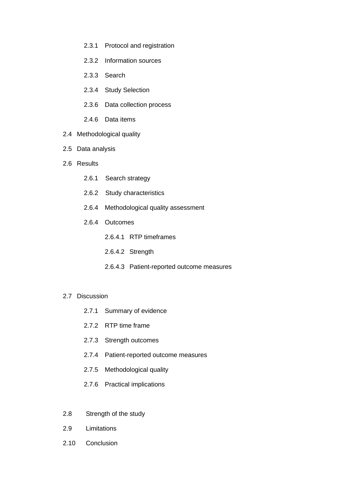- 2.3.1 Protocol and registration
- 2.3.2 Information sources
- 2.3.3 Search
- 2.3.4 Study Selection
- 2.3.6 Data collection process
- 2.4.6 Data items
- 2.4 Methodological quality
- 2.5 Data analysis
- 2.6 Results
	- 2.6.1 Search strategy
	- 2.6.2 Study characteristics
	- 2.6.4 Methodological quality assessment
	- 2.6.4 Outcomes
		- 2.6.4.1 RTP timeframes
		- 2.6.4.2 Strength
		- 2.6.4.3 Patient-reported outcome measures
- 2.7 Discussion
	- 2.7.1 Summary of evidence
	- 2.7.2 RTP time frame
	- 2.7.3 Strength outcomes
	- 2.7.4 Patient-reported outcome measures
	- 2.7.5 Methodological quality
	- 2.7.6 Practical implications
- 2.8 Strength of the study
- 2.9 Limitations
- 2.10 Conclusion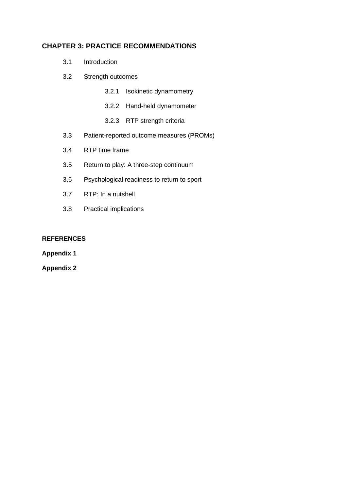### **CHAPTER 3: PRACTICE RECOMMENDATIONS**

- 3.1 Introduction
- 3.2 Strength outcomes
	- 3.2.1 Isokinetic dynamometry
	- 3.2.2 Hand-held dynamometer
	- 3.2.3 RTP strength criteria
- 3.3 Patient-reported outcome measures (PROMs)
- 3.4 RTP time frame
- 3.5 Return to play: A three-step continuum
- 3.6 Psychological readiness to return to sport
- 3.7 RTP: In a nutshell
- 3.8 Practical implications

#### **REFERENCES**

#### **Appendix 1**

**Appendix 2**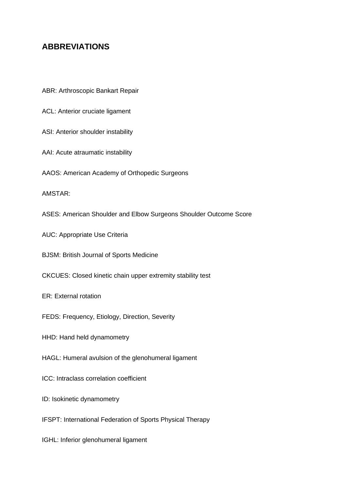## **ABBREVIATIONS**

- ABR: Arthroscopic Bankart Repair
- ACL: Anterior cruciate ligament
- ASI: Anterior shoulder instability
- AAI: Acute atraumatic instability
- AAOS: American Academy of Orthopedic Surgeons
- AMSTAR:
- ASES: American Shoulder and Elbow Surgeons Shoulder Outcome Score
- AUC: Appropriate Use Criteria
- BJSM: British Journal of Sports Medicine
- CKCUES: Closed kinetic chain upper extremity stability test
- ER: External rotation
- FEDS: Frequency, Etiology, Direction, Severity
- HHD: Hand held dynamometry
- HAGL: Humeral avulsion of the glenohumeral ligament
- ICC: Intraclass correlation coefficient
- ID: Isokinetic dynamometry
- IFSPT: International Federation of Sports Physical Therapy
- IGHL: Inferior glenohumeral ligament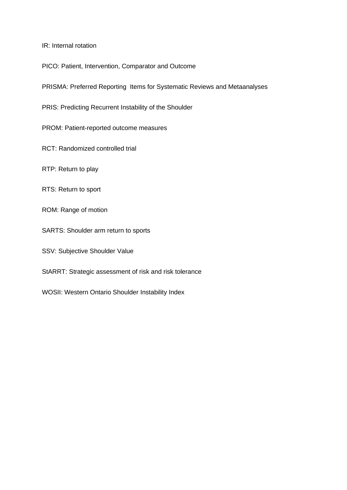IR: Internal rotation

PICO: Patient, Intervention, Comparator and Outcome

PRISMA: Preferred Reporting Items for Systematic Reviews and Metaanalyses

PRIS: Predicting Recurrent Instability of the Shoulder

PROM: Patient-reported outcome measures

RCT: Randomized controlled trial

RTP: Return to play

RTS: Return to sport

ROM: Range of motion

SARTS: Shoulder arm return to sports

SSV: Subjective Shoulder Value

StARRT: Strategic assessment of risk and risk tolerance

WOSII: Western Ontario Shoulder Instability Index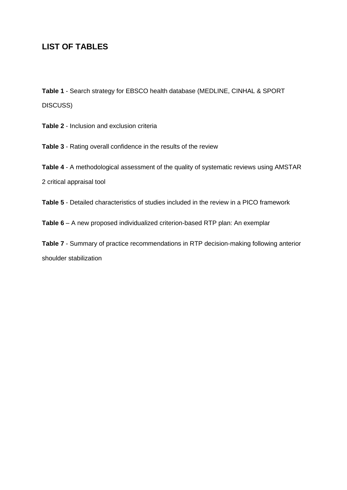## **LIST OF TABLES**

**Table 1** - Search strategy for EBSCO health database (MEDLINE, CINHAL & SPORT DISCUSS)

**Table 2** - Inclusion and exclusion criteria

**Table 3** - Rating overall confidence in the results of the review

**Table 4** - A methodological assessment of the quality of systematic reviews using AMSTAR 2 critical appraisal tool

**Table 5** - Detailed characteristics of studies included in the review in a PICO framework

**Table 6** – A new proposed individualized criterion-based RTP plan: An exemplar

**Table 7** - Summary of practice recommendations in RTP decision-making following anterior shoulder stabilization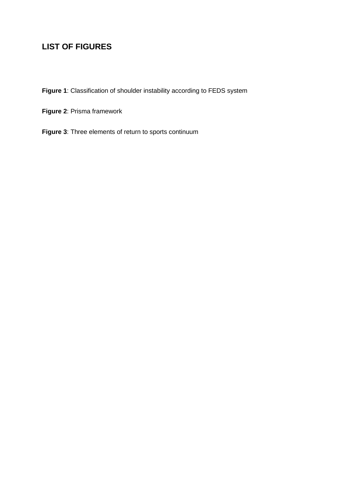## **LIST OF FIGURES**

**Figure 1**: Classification of shoulder instability according to FEDS system

**Figure 2**: Prisma framework

**Figure 3**: Three elements of return to sports continuum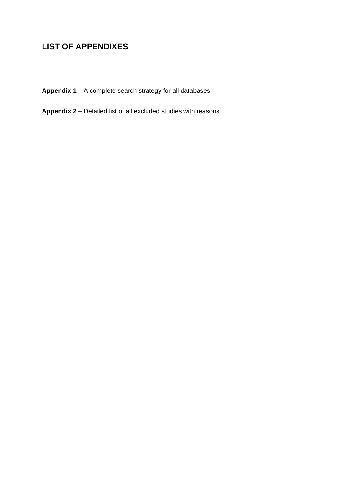## **LIST OF APPENDIXES**

**Appendix 1** – A complete search strategy for all databases

**Appendix 2** – Detailed list of all excluded studies with reasons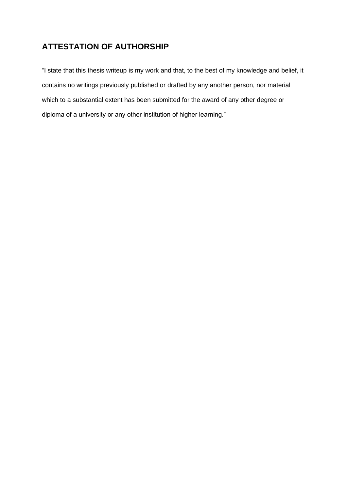## **ATTESTATION OF AUTHORSHIP**

"I state that this thesis writeup is my work and that, to the best of my knowledge and belief, it contains no writings previously published or drafted by any another person, nor material which to a substantial extent has been submitted for the award of any other degree or diploma of a university or any other institution of higher learning."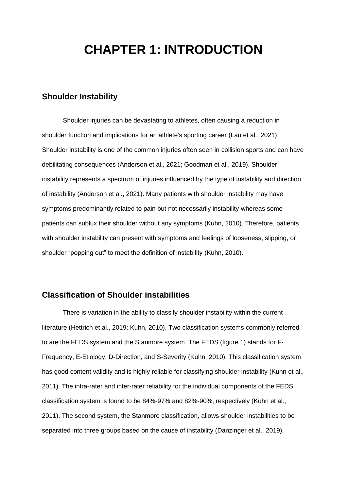## **CHAPTER 1: INTRODUCTION**

#### **Shoulder Instability**

Shoulder injuries can be devastating to athletes, often causing a reduction in shoulder function and implications for an athlete's sporting career (Lau et al., 2021). Shoulder instability is one of the common injuries often seen in collision sports and can have debilitating consequences (Anderson et al., 2021; Goodman et al., 2019). Shoulder instability represents a spectrum of injuries influenced by the type of instability and direction of instability (Anderson et al., 2021). Many patients with shoulder instability may have symptoms predominantly related to pain but not necessarily instability whereas some patients can sublux their shoulder without any symptoms (Kuhn, 2010). Therefore, patients with shoulder instability can present with symptoms and feelings of looseness, slipping, or shoulder "popping out" to meet the definition of instability (Kuhn, 2010).

#### **Classification of Shoulder instabilities**

There is variation in the ability to classify shoulder instability within the current literature (Hettrich et al., 2019; Kuhn, 2010). Two classification systems commonly referred to are the FEDS system and the Stanmore system. The FEDS (figure 1) stands for F-Frequency, E-Etiology, D-Direction, and S-Severity (Kuhn, 2010). This classification system has good content validity and is highly reliable for classifying shoulder instability (Kuhn et al., 2011). The intra-rater and inter-rater reliability for the individual components of the FEDS classification system is found to be 84%-97% and 82%-90%, respectively (Kuhn et al., 2011). The second system, the Stanmore classification, allows shoulder instabilities to be separated into three groups based on the cause of instability (Danzinger et al., 2019).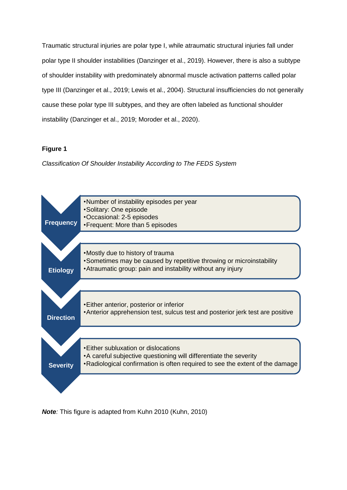Traumatic structural injuries are polar type I, while atraumatic structural injuries fall under polar type II shoulder instabilities (Danzinger et al., 2019). However, there is also a subtype of shoulder instability with predominately abnormal muscle activation patterns called polar type III (Danzinger et al., 2019; Lewis et al., 2004). Structural insufficiencies do not generally cause these polar type III subtypes, and they are often labeled as functional shoulder instability (Danzinger et al., 2019; Moroder et al., 2020).

#### **Figure 1**

*Classification Of Shoulder Instability According to The FEDS System*



*Note:* This figure is adapted from Kuhn 2010 (Kuhn, 2010)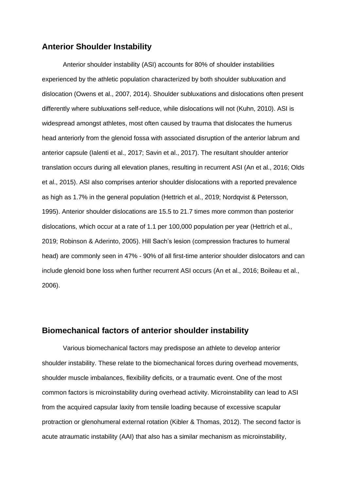#### **Anterior Shoulder Instability**

Anterior shoulder instability (ASI) accounts for 80% of shoulder instabilities experienced by the athletic population characterized by both shoulder subluxation and dislocation (Owens et al., 2007, 2014). Shoulder subluxations and dislocations often present differently where subluxations self-reduce, while dislocations will not (Kuhn, 2010). ASI is widespread amongst athletes, most often caused by trauma that dislocates the humerus head anteriorly from the glenoid fossa with associated disruption of the anterior labrum and anterior capsule (Ialenti et al., 2017; Savin et al., 2017). The resultant shoulder anterior translation occurs during all elevation planes, resulting in recurrent ASI (An et al., 2016; Olds et al., 2015). ASI also comprises anterior shoulder dislocations with a reported prevalence as high as 1.7% in the general population (Hettrich et al., 2019; Nordqvist & Petersson, 1995). Anterior shoulder dislocations are 15.5 to 21.7 times more common than posterior dislocations, which occur at a rate of 1.1 per 100,000 population per year (Hettrich et al., 2019; Robinson & Aderinto, 2005). Hill Sach's lesion (compression fractures to humeral head) are commonly seen in 47% - 90% of all first-time anterior shoulder dislocators and can include glenoid bone loss when further recurrent ASI occurs (An et al., 2016; Boileau et al., 2006).

#### **Biomechanical factors of anterior shoulder instability**

Various biomechanical factors may predispose an athlete to develop anterior shoulder instability. These relate to the biomechanical forces during overhead movements, shoulder muscle imbalances, flexibility deficits, or a traumatic event. One of the most common factors is microinstability during overhead activity. Microinstability can lead to ASI from the acquired capsular laxity from tensile loading because of excessive scapular protraction or glenohumeral external rotation (Kibler & Thomas, 2012). The second factor is acute atraumatic instability (AAI) that also has a similar mechanism as microinstability,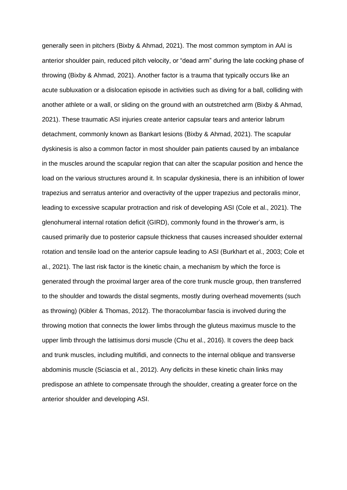generally seen in pitchers (Bixby & Ahmad, 2021). The most common symptom in AAI is anterior shoulder pain, reduced pitch velocity, or "dead arm" during the late cocking phase of throwing (Bixby & Ahmad, 2021). Another factor is a trauma that typically occurs like an acute subluxation or a dislocation episode in activities such as diving for a ball, colliding with another athlete or a wall, or sliding on the ground with an outstretched arm (Bixby & Ahmad, 2021). These traumatic ASI injuries create anterior capsular tears and anterior labrum detachment, commonly known as Bankart lesions (Bixby & Ahmad, 2021). The scapular dyskinesis is also a common factor in most shoulder pain patients caused by an imbalance in the muscles around the scapular region that can alter the scapular position and hence the load on the various structures around it. In scapular dyskinesia, there is an inhibition of lower trapezius and serratus anterior and overactivity of the upper trapezius and pectoralis minor, leading to excessive scapular protraction and risk of developing ASI (Cole et al., 2021). The glenohumeral internal rotation deficit (GIRD), commonly found in the thrower's arm, is caused primarily due to posterior capsule thickness that causes increased shoulder external rotation and tensile load on the anterior capsule leading to ASI (Burkhart et al., 2003; Cole et al., 2021). The last risk factor is the kinetic chain, a mechanism by which the force is generated through the proximal larger area of the core trunk muscle group, then transferred to the shoulder and towards the distal segments, mostly during overhead movements (such as throwing) (Kibler & Thomas, 2012). The thoracolumbar fascia is involved during the throwing motion that connects the lower limbs through the gluteus maximus muscle to the upper limb through the lattisimus dorsi muscle (Chu et al., 2016). It covers the deep back and trunk muscles, including multifidi, and connects to the internal oblique and transverse abdominis muscle (Sciascia et al., 2012). Any deficits in these kinetic chain links may predispose an athlete to compensate through the shoulder, creating a greater force on the anterior shoulder and developing ASI.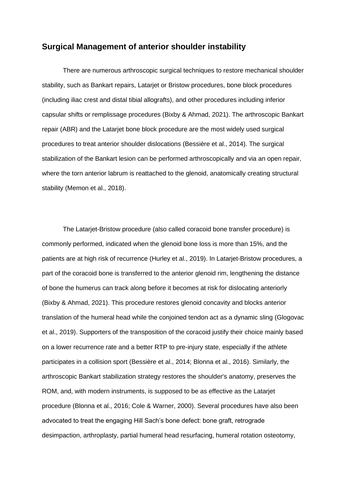#### **Surgical Management of anterior shoulder instability**

There are numerous arthroscopic surgical techniques to restore mechanical shoulder stability, such as Bankart repairs, Latarjet or Bristow procedures, bone block procedures (including iliac crest and distal tibial allografts), and other procedures including inferior capsular shifts or remplissage procedures (Bixby & Ahmad, 2021). The arthroscopic Bankart repair (ABR) and the Latarjet bone block procedure are the most widely used surgical procedures to treat anterior shoulder dislocations (Bessière et al., 2014). The surgical stabilization of the Bankart lesion can be performed arthroscopically and via an open repair, where the torn anterior labrum is reattached to the glenoid, anatomically creating structural stability (Memon et al., 2018).

The Latarjet-Bristow procedure (also called coracoid bone transfer procedure) is commonly performed, indicated when the glenoid bone loss is more than 15%, and the patients are at high risk of recurrence (Hurley et al., 2019). In Latarjet-Bristow procedures, a part of the coracoid bone is transferred to the anterior glenoid rim, lengthening the distance of bone the humerus can track along before it becomes at risk for dislocating anteriorly (Bixby & Ahmad, 2021). This procedure restores glenoid concavity and blocks anterior translation of the humeral head while the conjoined tendon act as a dynamic sling (Glogovac et al., 2019). Supporters of the transposition of the coracoid justify their choice mainly based on a lower recurrence rate and a better RTP to pre-injury state, especially if the athlete participates in a collision sport (Bessière et al., 2014; Blonna et al., 2016). Similarly, the arthroscopic Bankart stabilization strategy restores the shoulder's anatomy, preserves the ROM, and, with modern instruments, is supposed to be as effective as the Latarjet procedure (Blonna et al., 2016; Cole & Warner, 2000). Several procedures have also been advocated to treat the engaging Hill Sach's bone defect: bone graft, retrograde desimpaction, arthroplasty, partial humeral head resurfacing, humeral rotation osteotomy,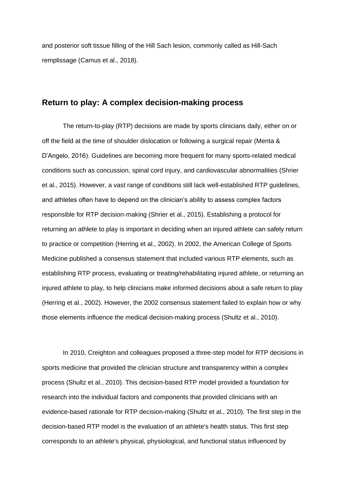and posterior soft tissue filling of the Hill Sach lesion, commonly called as Hill-Sach remplissage (Camus et al., 2018).

#### **Return to play: A complex decision-making process**

The return-to-play (RTP) decisions are made by sports clinicians daily, either on or off the field at the time of shoulder dislocation or following a surgical repair (Menta & D'Angelo, 2016). Guidelines are becoming more frequent for many sports-related medical conditions such as concussion, spinal cord injury, and cardiovascular abnormalities (Shrier et al., 2015). However, a vast range of conditions still lack well-established RTP guidelines, and athletes often have to depend on the clinician's ability to assess complex factors responsible for RTP decision-making (Shrier et al., 2015). Establishing a protocol for returning an athlete to play is important in deciding when an injured athlete can safely return to practice or competition (Herring et al., 2002). In 2002, the American College of Sports Medicine published a consensus statement that included various RTP elements, such as establishing RTP process, evaluating or treating/rehabilitating injured athlete, or returning an injured athlete to play, to help clinicians make informed decisions about a safe return to play (Herring et al., 2002). However, the 2002 consensus statement failed to explain how or why those elements influence the medical decision-making process (Shultz et al., 2010).

In 2010, Creighton and colleagues proposed a three-step model for RTP decisions in sports medicine that provided the clinician structure and transparency within a complex process (Shultz et al., 2010). This decision-based RTP model provided a foundation for research into the individual factors and components that provided clinicians with an evidence-based rationale for RTP decision-making (Shultz et al., 2010). The first step in the decision-based RTP model is the evaluation of an athlete's health status. This first step corresponds to an athlete's physical, physiological, and functional status influenced by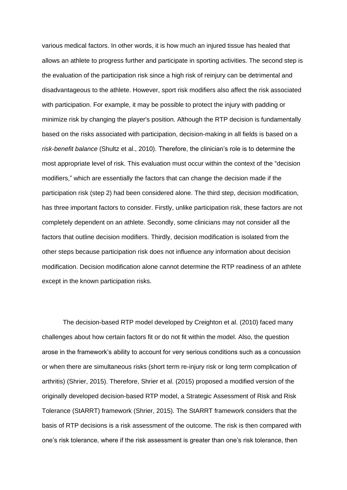various medical factors. In other words, it is how much an injured tissue has healed that allows an athlete to progress further and participate in sporting activities. The second step is the evaluation of the participation risk since a high risk of reinjury can be detrimental and disadvantageous to the athlete. However, sport risk modifiers also affect the risk associated with participation. For example, it may be possible to protect the injury with padding or minimize risk by changing the player's position. Although the RTP decision is fundamentally based on the risks associated with participation, decision-making in all fields is based on a *risk-benefit balance* (Shultz et al., 2010). Therefore, the clinician's role is to determine the most appropriate level of risk. This evaluation must occur within the context of the "decision modifiers," which are essentially the factors that can change the decision made if the participation risk (step 2) had been considered alone. The third step, decision modification, has three important factors to consider. Firstly, unlike participation risk, these factors are not completely dependent on an athlete. Secondly, some clinicians may not consider all the factors that outline decision modifiers. Thirdly, decision modification is isolated from the other steps because participation risk does not influence any information about decision modification. Decision modification alone cannot determine the RTP readiness of an athlete except in the known participation risks.

The decision-based RTP model developed by Creighton et al. (2010) faced many challenges about how certain factors fit or do not fit within the model. Also, the question arose in the framework's ability to account for very serious conditions such as a concussion or when there are simultaneous risks (short term re-injury risk or long term complication of arthritis) (Shrier, 2015). Therefore, Shrier et al. (2015) proposed a modified version of the originally developed decision-based RTP model, a Strategic Assessment of Risk and Risk Tolerance (StARRT) framework (Shrier, 2015). The StARRT framework considers that the basis of RTP decisions is a risk assessment of the outcome. The risk is then compared with one's risk tolerance, where if the risk assessment is greater than one's risk tolerance, then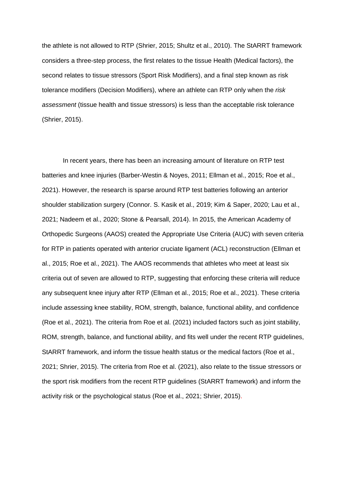the athlete is not allowed to RTP (Shrier, 2015; Shultz et al., 2010). The StARRT framework considers a three-step process, the first relates to the tissue Health (Medical factors), the second relates to tissue stressors (Sport Risk Modifiers), and a final step known as risk tolerance modifiers (Decision Modifiers), where an athlete can RTP only when the *risk assessment* (tissue health and tissue stressors) is less than the acceptable risk tolerance (Shrier, 2015).

In recent years, there has been an increasing amount of literature on RTP test batteries and knee injuries (Barber-Westin & Noyes, 2011; Ellman et al., 2015; Roe et al., 2021). However, the research is sparse around RTP test batteries following an anterior shoulder stabilization surgery (Connor. S. Kasik et al., 2019; Kim & Saper, 2020; Lau et al., 2021; Nadeem et al., 2020; Stone & Pearsall, 2014). In 2015, the American Academy of Orthopedic Surgeons (AAOS) created the Appropriate Use Criteria (AUC) with seven criteria for RTP in patients operated with anterior cruciate ligament (ACL) reconstruction (Ellman et al., 2015; Roe et al., 2021). The AAOS recommends that athletes who meet at least six criteria out of seven are allowed to RTP, suggesting that enforcing these criteria will reduce any subsequent knee injury after RTP (Ellman et al., 2015; Roe et al., 2021). These criteria include assessing knee stability, ROM, strength, balance, functional ability, and confidence (Roe et al., 2021). The criteria from Roe et al. (2021) included factors such as joint stability, ROM, strength, balance, and functional ability, and fits well under the recent RTP guidelines, StARRT framework, and inform the tissue health status or the medical factors (Roe et al., 2021; Shrier, 2015). The criteria from Roe et al. (2021), also relate to the tissue stressors or the sport risk modifiers from the recent RTP guidelines (StARRT framework) and inform the activity risk or the psychological status (Roe et al., 2021; Shrier, 2015).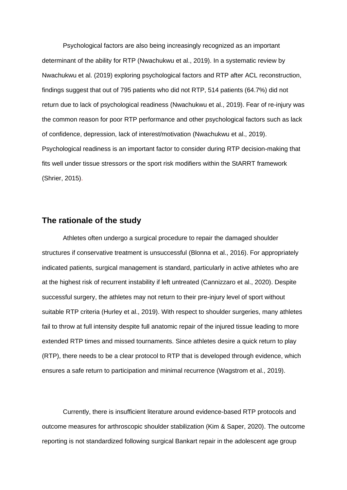Psychological factors are also being increasingly recognized as an important determinant of the ability for RTP (Nwachukwu et al., 2019). In a systematic review by Nwachukwu et al. (2019) exploring psychological factors and RTP after ACL reconstruction, findings suggest that out of 795 patients who did not RTP, 514 patients (64.7%) did not return due to lack of psychological readiness (Nwachukwu et al., 2019). Fear of re-injury was the common reason for poor RTP performance and other psychological factors such as lack of confidence, depression, lack of interest/motivation (Nwachukwu et al., 2019). Psychological readiness is an important factor to consider during RTP decision-making that fits well under tissue stressors or the sport risk modifiers within the StARRT framework (Shrier, 2015).

#### **The rationale of the study**

Athletes often undergo a surgical procedure to repair the damaged shoulder structures if conservative treatment is unsuccessful (Blonna et al., 2016). For appropriately indicated patients, surgical management is standard, particularly in active athletes who are at the highest risk of recurrent instability if left untreated (Cannizzaro et al., 2020). Despite successful surgery, the athletes may not return to their pre-injury level of sport without suitable RTP criteria (Hurley et al., 2019). With respect to shoulder surgeries, many athletes fail to throw at full intensity despite full anatomic repair of the injured tissue leading to more extended RTP times and missed tournaments. Since athletes desire a quick return to play (RTP), there needs to be a clear protocol to RTP that is developed through evidence, which ensures a safe return to participation and minimal recurrence (Wagstrom et al., 2019).

Currently, there is insufficient literature around evidence-based RTP protocols and outcome measures for arthroscopic shoulder stabilization (Kim & Saper, 2020). The outcome reporting is not standardized following surgical Bankart repair in the adolescent age group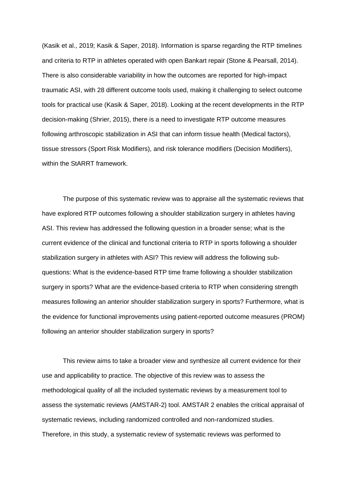(Kasik et al., 2019; Kasik & Saper, 2018). Information is sparse regarding the RTP timelines and criteria to RTP in athletes operated with open Bankart repair (Stone & Pearsall, 2014). There is also considerable variability in how the outcomes are reported for high-impact traumatic ASI, with 28 different outcome tools used, making it challenging to select outcome tools for practical use (Kasik & Saper, 2018). Looking at the recent developments in the RTP decision-making (Shrier, 2015), there is a need to investigate RTP outcome measures following arthroscopic stabilization in ASI that can inform tissue health (Medical factors), tissue stressors (Sport Risk Modifiers), and risk tolerance modifiers (Decision Modifiers), within the StARRT framework.

The purpose of this systematic review was to appraise all the systematic reviews that have explored RTP outcomes following a shoulder stabilization surgery in athletes having ASI. This review has addressed the following question in a broader sense; what is the current evidence of the clinical and functional criteria to RTP in sports following a shoulder stabilization surgery in athletes with ASI? This review will address the following subquestions: What is the evidence-based RTP time frame following a shoulder stabilization surgery in sports? What are the evidence-based criteria to RTP when considering strength measures following an anterior shoulder stabilization surgery in sports? Furthermore, what is the evidence for functional improvements using patient-reported outcome measures (PROM) following an anterior shoulder stabilization surgery in sports?

This review aims to take a broader view and synthesize all current evidence for their use and applicability to practice. The objective of this review was to assess the methodological quality of all the included systematic reviews by a measurement tool to assess the systematic reviews (AMSTAR-2) tool. AMSTAR 2 enables the critical appraisal of systematic reviews, including randomized controlled and non-randomized studies. Therefore, in this study, a systematic review of systematic reviews was performed to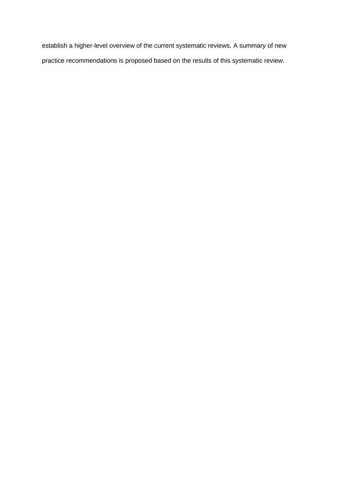establish a higher-level overview of the current systematic reviews. A summary of new practice recommendations is proposed based on the results of this systematic review.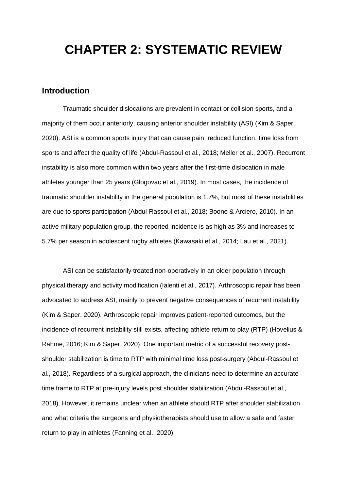## **CHAPTER 2: SYSTEMATIC REVIEW**

#### **Introduction**

Traumatic shoulder dislocations are prevalent in contact or collision sports, and a majority of them occur anteriorly, causing anterior shoulder instability (ASI) (Kim & Saper, 2020). ASI is a common sports injury that can cause pain, reduced function, time loss from sports and affect the quality of life (Abdul-Rassoul et al., 2018; Meller et al., 2007). Recurrent instability is also more common within two years after the first-time dislocation in male athletes younger than 25 years (Glogovac et al., 2019). In most cases, the incidence of traumatic shoulder instability in the general population is 1.7%, but most of these instabilities are due to sports participation (Abdul-Rassoul et al., 2018; Boone & Arciero, 2010). In an active military population group, the reported incidence is as high as 3% and increases to 5.7% per season in adolescent rugby athletes (Kawasaki et al., 2014; Lau et al., 2021).

ASI can be satisfactorily treated non-operatively in an older population through physical therapy and activity modification (Ialenti et al., 2017). Arthroscopic repair has been advocated to address ASI, mainly to prevent negative consequences of recurrent instability (Kim & Saper, 2020). Arthroscopic repair improves patient-reported outcomes, but the incidence of recurrent instability still exists, affecting athlete return to play (RTP) (Hovelius & Rahme, 2016; Kim & Saper, 2020). One important metric of a successful recovery postshoulder stabilization is time to RTP with minimal time loss post-surgery (Abdul-Rassoul et al., 2018). Regardless of a surgical approach, the clinicians need to determine an accurate time frame to RTP at pre-injury levels post shoulder stabilization (Abdul-Rassoul et al., 2018). However, it remains unclear when an athlete should RTP after shoulder stabilization and what criteria the surgeons and physiotherapists should use to allow a safe and faster return to play in athletes (Fanning et al., 2020).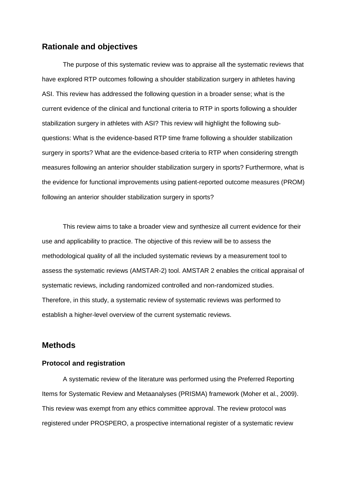#### **Rationale and objectives**

The purpose of this systematic review was to appraise all the systematic reviews that have explored RTP outcomes following a shoulder stabilization surgery in athletes having ASI. This review has addressed the following question in a broader sense; what is the current evidence of the clinical and functional criteria to RTP in sports following a shoulder stabilization surgery in athletes with ASI? This review will highlight the following subquestions: What is the evidence-based RTP time frame following a shoulder stabilization surgery in sports? What are the evidence-based criteria to RTP when considering strength measures following an anterior shoulder stabilization surgery in sports? Furthermore, what is the evidence for functional improvements using patient-reported outcome measures (PROM) following an anterior shoulder stabilization surgery in sports?

This review aims to take a broader view and synthesize all current evidence for their use and applicability to practice. The objective of this review will be to assess the methodological quality of all the included systematic reviews by a measurement tool to assess the systematic reviews (AMSTAR-2) tool. AMSTAR 2 enables the critical appraisal of systematic reviews, including randomized controlled and non-randomized studies. Therefore, in this study, a systematic review of systematic reviews was performed to establish a higher-level overview of the current systematic reviews.

#### **Methods**

#### **Protocol and registration**

A systematic review of the literature was performed using the Preferred Reporting Items for Systematic Review and Metaanalyses (PRISMA) framework (Moher et al., 2009). This review was exempt from any ethics committee approval. The review protocol was registered under PROSPERO, a prospective international register of a systematic review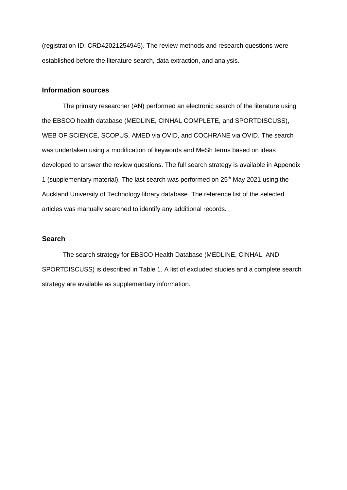(registration ID: CRD42021254945). The review methods and research questions were established before the literature search, data extraction, and analysis.

#### **Information sources**

The primary researcher (AN) performed an electronic search of the literature using the EBSCO health database (MEDLINE, CINHAL COMPLETE, and SPORTDISCUSS), WEB OF SCIENCE, SCOPUS, AMED via OVID, and COCHRANE via OVID. The search was undertaken using a modification of keywords and MeSh terms based on ideas developed to answer the review questions. The full search strategy is available in Appendix 1 (supplementary material). The last search was performed on  $25<sup>th</sup>$  May 2021 using the Auckland University of Technology library database. The reference list of the selected articles was manually searched to identify any additional records.

#### **Search**

The search strategy for EBSCO Health Database (MEDLINE, CINHAL, AND SPORTDISCUSS) is described in Table 1. A list of excluded studies and a complete search strategy are available as supplementary information.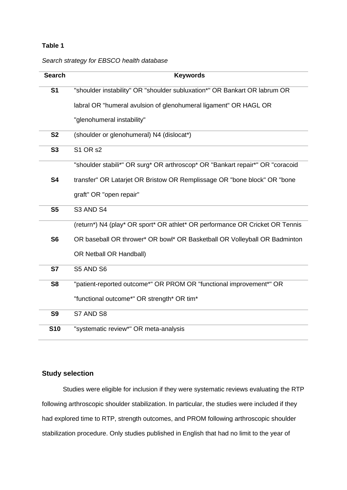#### **Table 1**

#### *Search strategy for EBSCO health database*

| <b>Search</b>  | <b>Keywords</b>                                                               |
|----------------|-------------------------------------------------------------------------------|
| S <sub>1</sub> | "shoulder instability" OR "shoulder subluxation*" OR Bankart OR labrum OR     |
|                | labral OR "humeral avulsion of glenohumeral ligament" OR HAGL OR              |
|                | "glenohumeral instability"                                                    |
| <b>S2</b>      | (shoulder or glenohumeral) N4 (dislocat*)                                     |
| <b>S3</b>      | <b>S1 OR s2</b>                                                               |
|                | "shoulder stabili*" OR surg* OR arthroscop* OR "Bankart repair*" OR "coracoid |
| <b>S4</b>      | transfer" OR Latarjet OR Bristow OR Remplissage OR "bone block" OR "bone      |
|                | graft" OR "open repair"                                                       |
| S <sub>5</sub> | S3 AND S4                                                                     |
|                | (return*) N4 (play* OR sport* OR athlet* OR performance OR Cricket OR Tennis  |
| S <sub>6</sub> | OR baseball OR thrower* OR bowl* OR Basketball OR Volleyball OR Badminton     |
|                | OR Netball OR Handball)                                                       |
| <b>S7</b>      | S5 AND S6                                                                     |
| S <sub>8</sub> | "patient-reported outcome*" OR PROM OR "functional improvement*" OR           |
|                | "functional outcome*" OR strength* OR tim*                                    |
| <b>S9</b>      | S7 AND S8                                                                     |
| <b>S10</b>     | "systematic review*" OR meta-analysis                                         |

### **Study selection**

Studies were eligible for inclusion if they were systematic reviews evaluating the RTP following arthroscopic shoulder stabilization. In particular, the studies were included if they had explored time to RTP, strength outcomes, and PROM following arthroscopic shoulder stabilization procedure. Only studies published in English that had no limit to the year of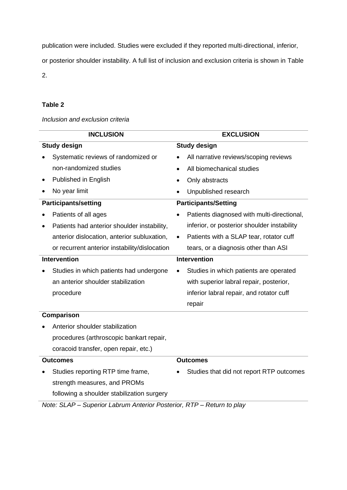publication were included. Studies were excluded if they reported multi-directional, inferior,

or posterior shoulder instability. A full list of inclusion and exclusion criteria is shown in Table

2.

#### **Table 2**

#### *Inclusion and exclusion criteria*

| <b>INCLUSION</b>                              | <b>EXCLUSION</b>    |                                             |  |  |  |  |  |
|-----------------------------------------------|---------------------|---------------------------------------------|--|--|--|--|--|
| <b>Study design</b>                           | <b>Study design</b> |                                             |  |  |  |  |  |
| Systematic reviews of randomized or           |                     | All narrative reviews/scoping reviews       |  |  |  |  |  |
| non-randomized studies                        |                     | All biomechanical studies                   |  |  |  |  |  |
| Published in English                          |                     | Only abstracts                              |  |  |  |  |  |
| No year limit                                 |                     | Unpublished research                        |  |  |  |  |  |
| <b>Participants/setting</b>                   |                     | <b>Participants/Setting</b>                 |  |  |  |  |  |
| Patients of all ages                          | $\bullet$           | Patients diagnosed with multi-directional,  |  |  |  |  |  |
| Patients had anterior shoulder instability,   |                     | inferior, or posterior shoulder instability |  |  |  |  |  |
| anterior dislocation, anterior subluxation,   | $\bullet$           | Patients with a SLAP tear, rotator cuff     |  |  |  |  |  |
| or recurrent anterior instability/dislocation |                     | tears, or a diagnosis other than ASI        |  |  |  |  |  |
| <b>Intervention</b>                           |                     | <b>Intervention</b>                         |  |  |  |  |  |
| Studies in which patients had undergone       |                     | Studies in which patients are operated      |  |  |  |  |  |
| an anterior shoulder stabilization            |                     | with superior labral repair, posterior,     |  |  |  |  |  |
| procedure                                     |                     | inferior labral repair, and rotator cuff    |  |  |  |  |  |
|                                               |                     | repair                                      |  |  |  |  |  |
| Comparison                                    |                     |                                             |  |  |  |  |  |
| Anterior shoulder stabilization               |                     |                                             |  |  |  |  |  |

procedures (arthroscopic bankart repair, coracoid transfer, open repair, etc.)

### **Outcomes**

#### **Outcomes**

• Studies reporting RTP time frame, strength measures, and PROMs following a shoulder stabilization surgery

## • Studies that did not report RTP outcomes

*Note: SLAP – Superior Labrum Anterior Posterior, RTP – Return to play*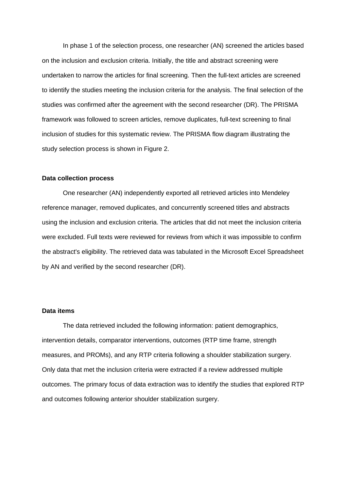In phase 1 of the selection process, one researcher (AN) screened the articles based on the inclusion and exclusion criteria. Initially, the title and abstract screening were undertaken to narrow the articles for final screening. Then the full-text articles are screened to identify the studies meeting the inclusion criteria for the analysis. The final selection of the studies was confirmed after the agreement with the second researcher (DR). The PRISMA framework was followed to screen articles, remove duplicates, full-text screening to final inclusion of studies for this systematic review. The PRISMA flow diagram illustrating the study selection process is shown in Figure 2.

#### **Data collection process**

One researcher (AN) independently exported all retrieved articles into Mendeley reference manager, removed duplicates, and concurrently screened titles and abstracts using the inclusion and exclusion criteria. The articles that did not meet the inclusion criteria were excluded. Full texts were reviewed for reviews from which it was impossible to confirm the abstract's eligibility. The retrieved data was tabulated in the Microsoft Excel Spreadsheet by AN and verified by the second researcher (DR).

#### **Data items**

The data retrieved included the following information: patient demographics, intervention details, comparator interventions, outcomes (RTP time frame, strength measures, and PROMs), and any RTP criteria following a shoulder stabilization surgery. Only data that met the inclusion criteria were extracted if a review addressed multiple outcomes. The primary focus of data extraction was to identify the studies that explored RTP and outcomes following anterior shoulder stabilization surgery.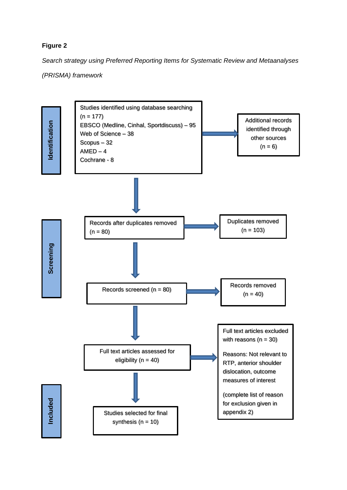#### **Figure 2**

*Search strategy using Preferred Reporting Items for Systematic Review and Metaanalyses* 

*(PRISMA) framework*

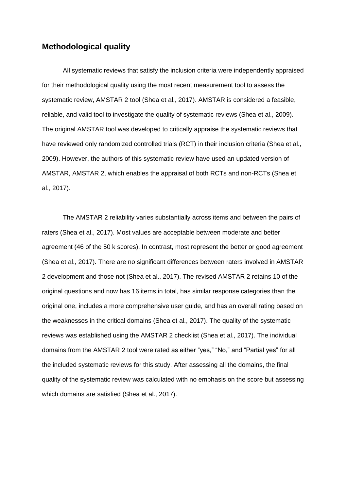#### **Methodological quality**

All systematic reviews that satisfy the inclusion criteria were independently appraised for their methodological quality using the most recent measurement tool to assess the systematic review, AMSTAR 2 tool (Shea et al., 2017). AMSTAR is considered a feasible, reliable, and valid tool to investigate the quality of systematic reviews (Shea et al., 2009). The original AMSTAR tool was developed to critically appraise the systematic reviews that have reviewed only randomized controlled trials (RCT) in their inclusion criteria (Shea et al., 2009). However, the authors of this systematic review have used an updated version of AMSTAR, AMSTAR 2, which enables the appraisal of both RCTs and non-RCTs (Shea et al., 2017).

The AMSTAR 2 reliability varies substantially across items and between the pairs of raters (Shea et al., 2017). Most values are acceptable between moderate and better agreement (46 of the 50 k scores). In contrast, most represent the better or good agreement (Shea et al., 2017). There are no significant differences between raters involved in AMSTAR 2 development and those not (Shea et al., 2017). The revised AMSTAR 2 retains 10 of the original questions and now has 16 items in total, has similar response categories than the original one, includes a more comprehensive user guide, and has an overall rating based on the weaknesses in the critical domains (Shea et al., 2017). The quality of the systematic reviews was established using the AMSTAR 2 checklist (Shea et al., 2017). The individual domains from the AMSTAR 2 tool were rated as either "yes," "No," and "Partial yes" for all the included systematic reviews for this study. After assessing all the domains, the final quality of the systematic review was calculated with no emphasis on the score but assessing which domains are satisfied (Shea et al., 2017).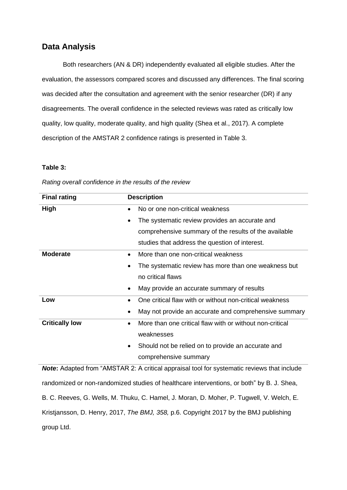## **Data Analysis**

Both researchers (AN & DR) independently evaluated all eligible studies. After the evaluation, the assessors compared scores and discussed any differences. The final scoring was decided after the consultation and agreement with the senior researcher (DR) if any disagreements. The overall confidence in the selected reviews was rated as critically low quality, low quality, moderate quality, and high quality (Shea et al., 2017). A complete description of the AMSTAR 2 confidence ratings is presented in Table 3.

#### **Table 3:**

| <b>Final rating</b>   | <b>Description</b>                                                    |
|-----------------------|-----------------------------------------------------------------------|
| High                  | No or one non-critical weakness<br>$\bullet$                          |
|                       | The systematic review provides an accurate and<br>$\bullet$           |
|                       | comprehensive summary of the results of the available                 |
|                       | studies that address the question of interest.                        |
| <b>Moderate</b>       | More than one non-critical weakness<br>$\bullet$                      |
|                       | The systematic review has more than one weakness but<br>$\bullet$     |
|                       | no critical flaws                                                     |
|                       | May provide an accurate summary of results<br>$\bullet$               |
| Low                   | One critical flaw with or without non-critical weakness<br>$\bullet$  |
|                       | May not provide an accurate and comprehensive summary                 |
| <b>Critically low</b> | More than one critical flaw with or without non-critical<br>$\bullet$ |
|                       | weaknesses                                                            |
|                       | Should not be relied on to provide an accurate and<br>$\bullet$       |
|                       | comprehensive summary                                                 |

*Rating overall confidence in the results of the review*

**Note:** Adapted from "AMSTAR 2: A critical appraisal tool for systematic reviews that include randomized or non-randomized studies of healthcare interventions, or both" by B. J. Shea, B. C. Reeves, G. Wells, M. Thuku, C. Hamel, J. Moran, D. Moher, P. Tugwell, V. Welch, E. Kristjansson, D. Henry, 2017, *The BMJ, 358,* p.6. Copyright 2017 by the BMJ publishing group Ltd.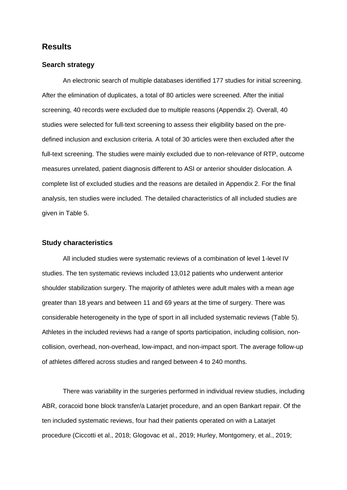#### **Results**

#### **Search strategy**

An electronic search of multiple databases identified 177 studies for initial screening. After the elimination of duplicates, a total of 80 articles were screened. After the initial screening, 40 records were excluded due to multiple reasons (Appendix 2). Overall, 40 studies were selected for full-text screening to assess their eligibility based on the predefined inclusion and exclusion criteria. A total of 30 articles were then excluded after the full-text screening. The studies were mainly excluded due to non-relevance of RTP, outcome measures unrelated, patient diagnosis different to ASI or anterior shoulder dislocation. A complete list of excluded studies and the reasons are detailed in Appendix 2. For the final analysis, ten studies were included. The detailed characteristics of all included studies are given in Table 5.

#### **Study characteristics**

All included studies were systematic reviews of a combination of level 1-level IV studies. The ten systematic reviews included 13,012 patients who underwent anterior shoulder stabilization surgery. The majority of athletes were adult males with a mean age greater than 18 years and between 11 and 69 years at the time of surgery. There was considerable heterogeneity in the type of sport in all included systematic reviews (Table 5). Athletes in the included reviews had a range of sports participation, including collision, noncollision, overhead, non-overhead, low-impact, and non-impact sport. The average follow-up of athletes differed across studies and ranged between 4 to 240 months.

There was variability in the surgeries performed in individual review studies, including ABR, coracoid bone block transfer/a Latarjet procedure, and an open Bankart repair. Of the ten included systematic reviews, four had their patients operated on with a Latarjet procedure (Ciccotti et al., 2018; Glogovac et al., 2019; Hurley, Montgomery, et al., 2019;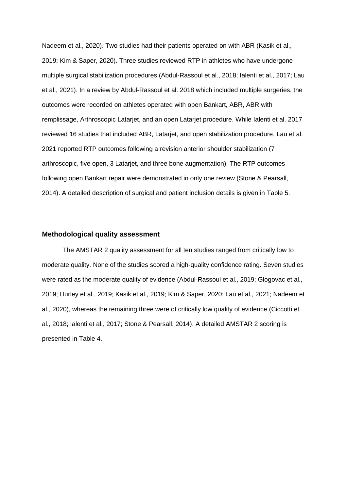Nadeem et al., 2020). Two studies had their patients operated on with ABR (Kasik et al., 2019; Kim & Saper, 2020). Three studies reviewed RTP in athletes who have undergone multiple surgical stabilization procedures (Abdul-Rassoul et al., 2018; Ialenti et al., 2017; Lau et al., 2021). In a review by Abdul-Rassoul et al. 2018 which included multiple surgeries, the outcomes were recorded on athletes operated with open Bankart, ABR, ABR with remplissage, Arthroscopic Latarjet, and an open Latarjet procedure. While Ialenti et al. 2017 reviewed 16 studies that included ABR, Latarjet, and open stabilization procedure, Lau et al. 2021 reported RTP outcomes following a revision anterior shoulder stabilization (7 arthroscopic, five open, 3 Latarjet, and three bone augmentation). The RTP outcomes following open Bankart repair were demonstrated in only one review (Stone & Pearsall, 2014). A detailed description of surgical and patient inclusion details is given in Table 5.

#### **Methodological quality assessment**

The AMSTAR 2 quality assessment for all ten studies ranged from critically low to moderate quality. None of the studies scored a high-quality confidence rating. Seven studies were rated as the moderate quality of evidence (Abdul-Rassoul et al., 2019; Glogovac et al., 2019; Hurley et al., 2019; Kasik et al., 2019; Kim & Saper, 2020; Lau et al., 2021; Nadeem et al., 2020), whereas the remaining three were of critically low quality of evidence (Ciccotti et al., 2018; Ialenti et al., 2017; Stone & Pearsall, 2014). A detailed AMSTAR 2 scoring is presented in Table 4.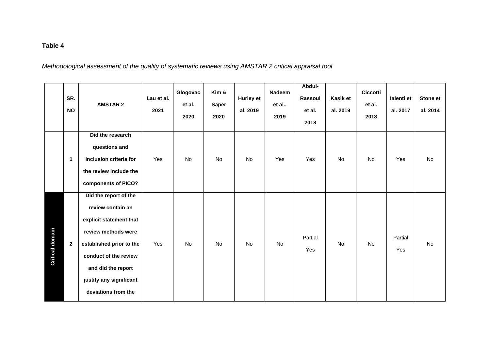## **Table 4**

*Methodological assessment of the quality of systematic reviews using AMSTAR 2 critical appraisal tool*

|                        | SR.<br><b>NO</b> | <b>AMSTAR 2</b>                                                                                                                                                                                                           | Lau et al.<br>2021 | Glogovac<br>et al.<br>2020 | Kim &<br><b>Saper</b><br>2020 | <b>Hurley et</b><br>al. 2019 | <b>Nadeem</b><br>et al<br>2019 | Abdul-<br>Rassoul<br>et al.<br>2018 | Kasik et<br>al. 2019 | <b>Ciccotti</b><br>et al.<br>2018 | lalenti et<br>al. 2017 | <b>Stone et</b><br>al. 2014 |
|------------------------|------------------|---------------------------------------------------------------------------------------------------------------------------------------------------------------------------------------------------------------------------|--------------------|----------------------------|-------------------------------|------------------------------|--------------------------------|-------------------------------------|----------------------|-----------------------------------|------------------------|-----------------------------|
|                        | $\mathbf{1}$     | Did the research<br>questions and<br>inclusion criteria for<br>the review include the<br>components of PICO?                                                                                                              | Yes                | <b>No</b>                  | <b>No</b>                     | <b>No</b>                    | Yes                            | Yes                                 | No                   | No                                | Yes                    | No                          |
| <b>Critical domain</b> | $\mathbf{2}$     | Did the report of the<br>review contain an<br>explicit statement that<br>review methods were<br>established prior to the<br>conduct of the review<br>and did the report<br>justify any significant<br>deviations from the | Yes                | No                         | No                            | No                           | No                             | Partial<br>Yes                      | No                   | No                                | Partial<br>Yes         | No                          |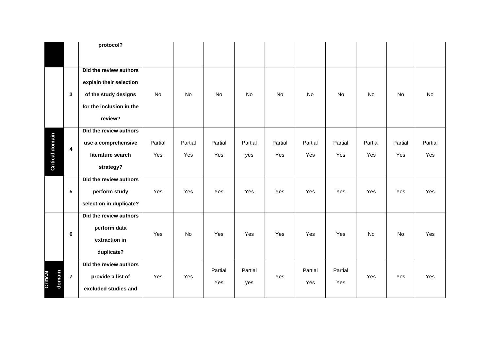|                    |                | protocol?                                                                                                        |                |                |                |                |                |                |                |                |                |                |
|--------------------|----------------|------------------------------------------------------------------------------------------------------------------|----------------|----------------|----------------|----------------|----------------|----------------|----------------|----------------|----------------|----------------|
|                    | $\mathbf{3}$   | Did the review authors<br>explain their selection<br>of the study designs<br>for the inclusion in the<br>review? | <b>No</b>      | No             | No             | No             | <b>No</b>      | No             | <b>No</b>      | No             | No             | <b>No</b>      |
| Critical domain    | 4              | Did the review authors<br>use a comprehensive<br>literature search<br>strategy?                                  | Partial<br>Yes | Partial<br>Yes | Partial<br>Yes | Partial<br>yes | Partial<br>Yes | Partial<br>Yes | Partial<br>Yes | Partial<br>Yes | Partial<br>Yes | Partial<br>Yes |
|                    | $5\phantom{a}$ | Did the review authors<br>perform study<br>selection in duplicate?                                               | Yes            | Yes            | Yes            | Yes            | Yes            | Yes            | Yes            | Yes            | Yes            | Yes            |
|                    | 6              | Did the review authors<br>perform data<br>extraction in<br>duplicate?                                            | Yes            | <b>No</b>      | Yes            | Yes            | Yes            | Yes            | Yes            | No             | No             | Yes            |
| domain<br>Critical | $\overline{7}$ | Did the review authors<br>provide a list of<br>excluded studies and                                              | Yes            | Yes            | Partial<br>Yes | Partial<br>yes | Yes            | Partial<br>Yes | Partial<br>Yes | Yes            | Yes            | Yes            |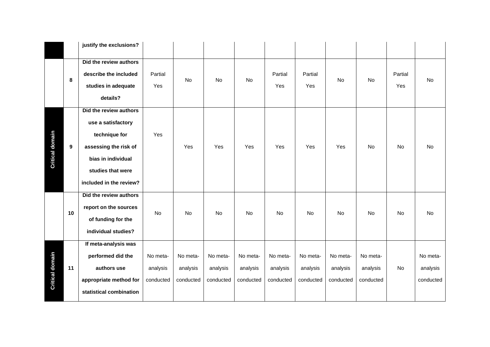|                        |                  | justify the exclusions?                                                                                                                                      |                                   |                                   |                                   |                                   |                                   |                                   |                                   |                                   |                |                                   |
|------------------------|------------------|--------------------------------------------------------------------------------------------------------------------------------------------------------------|-----------------------------------|-----------------------------------|-----------------------------------|-----------------------------------|-----------------------------------|-----------------------------------|-----------------------------------|-----------------------------------|----------------|-----------------------------------|
|                        | 8                | Did the review authors<br>describe the included<br>studies in adequate<br>details?                                                                           | Partial<br>Yes                    | <b>No</b>                         | No                                | No                                | Partial<br>Yes                    | Partial<br>Yes                    | No                                | <b>No</b>                         | Partial<br>Yes | No                                |
| <b>Critical domain</b> | $\boldsymbol{9}$ | Did the review authors<br>use a satisfactory<br>technique for<br>assessing the risk of<br>bias in individual<br>studies that were<br>included in the review? | Yes                               | Yes                               | Yes                               | Yes                               | Yes                               | Yes                               | Yes                               | <b>No</b>                         | <b>No</b>      | <b>No</b>                         |
|                        | 10               | Did the review authors<br>report on the sources<br>of funding for the<br>individual studies?                                                                 | No                                | <b>No</b>                         | No                                | No                                | No                                | No                                | No                                | No                                | No             | No                                |
| <b>Critical domain</b> | 11               | If meta-analysis was<br>performed did the<br>authors use<br>appropriate method for<br>statistical combination                                                | No meta-<br>analysis<br>conducted | No meta-<br>analysis<br>conducted | No meta-<br>analysis<br>conducted | No meta-<br>analysis<br>conducted | No meta-<br>analysis<br>conducted | No meta-<br>analysis<br>conducted | No meta-<br>analysis<br>conducted | No meta-<br>analysis<br>conducted | No             | No meta-<br>analysis<br>conducted |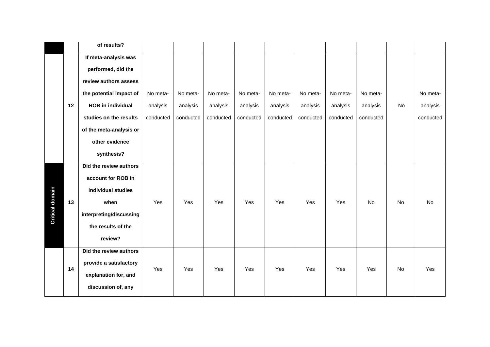|                        |    | of results?              |           |           |           |           |           |           |           |           |           |           |
|------------------------|----|--------------------------|-----------|-----------|-----------|-----------|-----------|-----------|-----------|-----------|-----------|-----------|
|                        |    | If meta-analysis was     |           |           |           |           |           |           |           |           |           |           |
|                        |    | performed, did the       |           |           |           |           |           |           |           |           |           |           |
|                        |    | review authors assess    |           |           |           |           |           |           |           |           |           |           |
|                        |    | the potential impact of  | No meta-  | No meta-  | No meta-  | No meta-  | No meta-  | No meta-  | No meta-  | No meta-  |           | No meta-  |
|                        | 12 | <b>ROB</b> in individual | analysis  | analysis  | analysis  | analysis  | analysis  | analysis  | analysis  | analysis  | <b>No</b> | analysis  |
|                        |    | studies on the results   | conducted | conducted | conducted | conducted | conducted | conducted | conducted | conducted |           | conducted |
|                        |    | of the meta-analysis or  |           |           |           |           |           |           |           |           |           |           |
|                        |    | other evidence           |           |           |           |           |           |           |           |           |           |           |
|                        |    | synthesis?               |           |           |           |           |           |           |           |           |           |           |
|                        |    | Did the review authors   |           |           |           |           |           |           |           |           |           |           |
|                        |    | account for ROB in       |           |           |           |           |           |           |           |           |           |           |
|                        |    | individual studies       |           |           |           |           |           |           |           |           |           |           |
| <b>Critical domain</b> | 13 | when                     | Yes       | Yes       | Yes       | Yes       | Yes       | Yes       | Yes       | No        | No        | No        |
|                        |    | interpreting/discussing  |           |           |           |           |           |           |           |           |           |           |
|                        |    | the results of the       |           |           |           |           |           |           |           |           |           |           |
|                        |    | review?                  |           |           |           |           |           |           |           |           |           |           |
|                        |    | Did the review authors   |           |           |           |           |           |           |           |           |           |           |
|                        | 14 | provide a satisfactory   | Yes       | Yes       | Yes       | Yes       | Yes       | Yes       | Yes       | Yes       | No        | Yes       |
|                        |    | explanation for, and     |           |           |           |           |           |           |           |           |           |           |
|                        |    | discussion of, any       |           |           |           |           |           |           |           |           |           |           |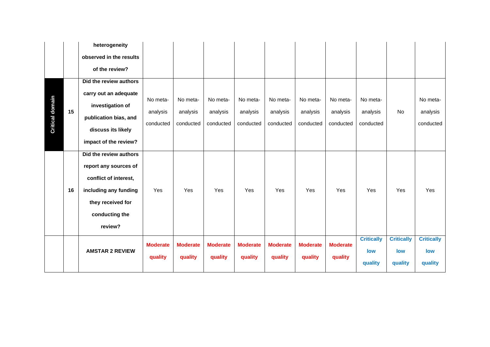|                        |    | heterogeneity           |                 |                 |                 |                 |                 |                 |                 |                   |                   |                   |
|------------------------|----|-------------------------|-----------------|-----------------|-----------------|-----------------|-----------------|-----------------|-----------------|-------------------|-------------------|-------------------|
|                        |    | observed in the results |                 |                 |                 |                 |                 |                 |                 |                   |                   |                   |
|                        |    | of the review?          |                 |                 |                 |                 |                 |                 |                 |                   |                   |                   |
|                        |    | Did the review authors  |                 |                 |                 |                 |                 |                 |                 |                   |                   |                   |
|                        |    | carry out an adequate   | No meta-        | No meta-        | No meta-        |                 | No meta-        | No meta-        | No meta-        | No meta-          |                   | No meta-          |
|                        |    | investigation of        |                 |                 |                 | No meta-        |                 |                 |                 |                   |                   |                   |
|                        | 15 | publication bias, and   | analysis        | analysis        | analysis        | analysis        | analysis        | analysis        | analysis        | analysis          | No                | analysis          |
| <b>Critical domain</b> |    | discuss its likely      | conducted       | conducted       | conducted       | conducted       | conducted       | conducted       | conducted       | conducted         |                   | conducted         |
|                        |    | impact of the review?   |                 |                 |                 |                 |                 |                 |                 |                   |                   |                   |
|                        |    | Did the review authors  |                 |                 |                 |                 |                 |                 |                 |                   |                   |                   |
|                        |    | report any sources of   |                 |                 |                 |                 |                 |                 |                 |                   |                   |                   |
|                        |    | conflict of interest,   |                 |                 |                 |                 |                 |                 |                 |                   |                   |                   |
|                        | 16 | including any funding   | Yes             | Yes             | Yes             | Yes             | Yes             | Yes             | Yes             | Yes               | Yes               | Yes               |
|                        |    | they received for       |                 |                 |                 |                 |                 |                 |                 |                   |                   |                   |
|                        |    | conducting the          |                 |                 |                 |                 |                 |                 |                 |                   |                   |                   |
|                        |    | review?                 |                 |                 |                 |                 |                 |                 |                 |                   |                   |                   |
|                        |    |                         | <b>Moderate</b> | <b>Moderate</b> | <b>Moderate</b> | <b>Moderate</b> | <b>Moderate</b> | <b>Moderate</b> | <b>Moderate</b> | <b>Critically</b> | <b>Critically</b> | <b>Critically</b> |
|                        |    | <b>AMSTAR 2 REVIEW</b>  |                 |                 |                 |                 |                 |                 |                 | low               | low               | low               |
|                        |    |                         | quality         | quality         | quality         | quality         | quality         | quality         | quality         | quality           | quality           | quality           |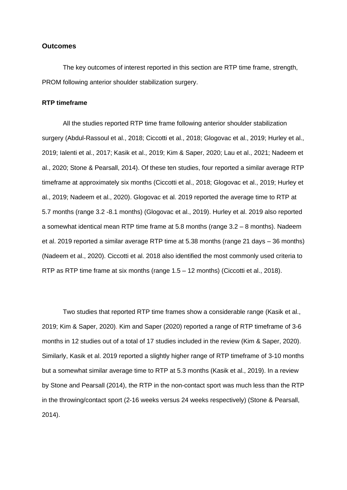### **Outcomes**

The key outcomes of interest reported in this section are RTP time frame, strength, PROM following anterior shoulder stabilization surgery.

#### **RTP timeframe**

All the studies reported RTP time frame following anterior shoulder stabilization surgery (Abdul-Rassoul et al., 2018; Ciccotti et al., 2018; Glogovac et al., 2019; Hurley et al., 2019; Ialenti et al., 2017; Kasik et al., 2019; Kim & Saper, 2020; Lau et al., 2021; Nadeem et al., 2020; Stone & Pearsall, 2014). Of these ten studies, four reported a similar average RTP timeframe at approximately six months (Ciccotti et al., 2018; Glogovac et al., 2019; Hurley et al., 2019; Nadeem et al., 2020). Glogovac et al. 2019 reported the average time to RTP at 5.7 months (range 3.2 -8.1 months) (Glogovac et al., 2019). Hurley et al. 2019 also reported a somewhat identical mean RTP time frame at 5.8 months (range 3.2 – 8 months). Nadeem et al. 2019 reported a similar average RTP time at 5.38 months (range 21 days – 36 months) (Nadeem et al., 2020). Ciccotti et al. 2018 also identified the most commonly used criteria to RTP as RTP time frame at six months (range 1.5 – 12 months) (Ciccotti et al., 2018).

Two studies that reported RTP time frames show a considerable range (Kasik et al., 2019; Kim & Saper, 2020). Kim and Saper (2020) reported a range of RTP timeframe of 3-6 months in 12 studies out of a total of 17 studies included in the review (Kim & Saper, 2020). Similarly, Kasik et al. 2019 reported a slightly higher range of RTP timeframe of 3-10 months but a somewhat similar average time to RTP at 5.3 months (Kasik et al., 2019). In a review by Stone and Pearsall (2014), the RTP in the non-contact sport was much less than the RTP in the throwing/contact sport (2-16 weeks versus 24 weeks respectively) (Stone & Pearsall, 2014).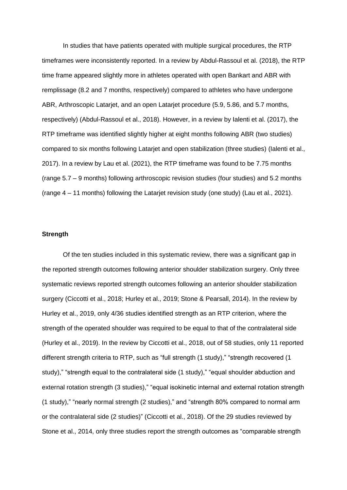In studies that have patients operated with multiple surgical procedures, the RTP timeframes were inconsistently reported. In a review by Abdul-Rassoul et al. (2018), the RTP time frame appeared slightly more in athletes operated with open Bankart and ABR with remplissage (8.2 and 7 months, respectively) compared to athletes who have undergone ABR, Arthroscopic Latarjet, and an open Latarjet procedure (5.9, 5.86, and 5.7 months, respectively) (Abdul-Rassoul et al., 2018). However, in a review by Ialenti et al. (2017), the RTP timeframe was identified slightly higher at eight months following ABR (two studies) compared to six months following Latarjet and open stabilization (three studies) (Ialenti et al., 2017). In a review by Lau et al. (2021), the RTP timeframe was found to be 7.75 months (range 5.7 – 9 months) following arthroscopic revision studies (four studies) and 5.2 months (range 4 – 11 months) following the Latarjet revision study (one study) (Lau et al., 2021).

### **Strength**

Of the ten studies included in this systematic review, there was a significant gap in the reported strength outcomes following anterior shoulder stabilization surgery. Only three systematic reviews reported strength outcomes following an anterior shoulder stabilization surgery (Ciccotti et al., 2018; Hurley et al., 2019; Stone & Pearsall, 2014). In the review by Hurley et al., 2019, only 4/36 studies identified strength as an RTP criterion, where the strength of the operated shoulder was required to be equal to that of the contralateral side (Hurley et al., 2019). In the review by Ciccotti et al., 2018, out of 58 studies, only 11 reported different strength criteria to RTP, such as "full strength (1 study)," "strength recovered (1 study)," "strength equal to the contralateral side (1 study)," "equal shoulder abduction and external rotation strength (3 studies)," "equal isokinetic internal and external rotation strength (1 study)," "nearly normal strength (2 studies)," and "strength 80% compared to normal arm or the contralateral side (2 studies)" (Ciccotti et al., 2018). Of the 29 studies reviewed by Stone et al., 2014, only three studies report the strength outcomes as "comparable strength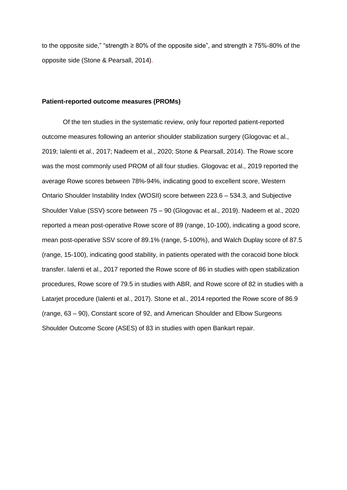to the opposite side," "strength ≥ 80% of the opposite side", and strength ≥ 75%-80% of the opposite side (Stone & Pearsall, 2014).

#### **Patient-reported outcome measures (PROMs)**

Of the ten studies in the systematic review, only four reported patient-reported outcome measures following an anterior shoulder stabilization surgery (Glogovac et al., 2019; Ialenti et al., 2017; Nadeem et al., 2020; Stone & Pearsall, 2014). The Rowe score was the most commonly used PROM of all four studies. Glogovac et al., 2019 reported the average Rowe scores between 78%-94%, indicating good to excellent score, Western Ontario Shoulder Instability Index (WOSII) score between 223.6 – 534.3, and Subjective Shoulder Value (SSV) score between 75 – 90 (Glogovac et al., 2019). Nadeem et al., 2020 reported a mean post-operative Rowe score of 89 (range, 10-100), indicating a good score, mean post-operative SSV score of 89.1% (range, 5-100%), and Walch Duplay score of 87.5 (range, 15-100), indicating good stability, in patients operated with the coracoid bone block transfer. Ialenti et al., 2017 reported the Rowe score of 86 in studies with open stabilization procedures, Rowe score of 79.5 in studies with ABR, and Rowe score of 82 in studies with a Latarjet procedure (Ialenti et al., 2017). Stone et al., 2014 reported the Rowe score of 86.9 (range, 63 – 90), Constant score of 92, and American Shoulder and Elbow Surgeons Shoulder Outcome Score (ASES) of 83 in studies with open Bankart repair.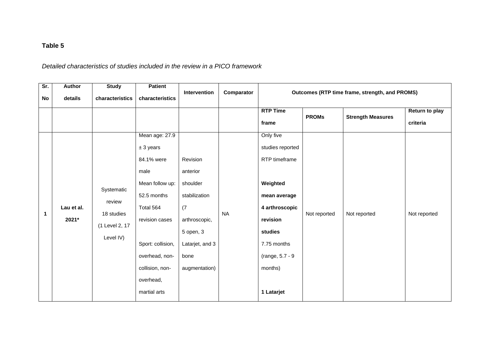# **Table 5**

# *Detailed characteristics of studies included in the review in a PICO framework*

| Sr.                | <b>Author</b>                  | <b>Study</b>                                                            | <b>Patient</b>                                                                                                                          |                                                                                                  |                         |                                                                                                                                      |                              |                                                                                            |                                            |  |
|--------------------|--------------------------------|-------------------------------------------------------------------------|-----------------------------------------------------------------------------------------------------------------------------------------|--------------------------------------------------------------------------------------------------|-------------------------|--------------------------------------------------------------------------------------------------------------------------------------|------------------------------|--------------------------------------------------------------------------------------------|--------------------------------------------|--|
|                    |                                |                                                                         |                                                                                                                                         |                                                                                                  |                         |                                                                                                                                      |                              |                                                                                            |                                            |  |
| No<br>$\mathbf{1}$ | details<br>Lau et al.<br>2021* | characteristics<br>Systematic<br>review<br>18 studies<br>(1 Level 2, 17 | characteristics<br>Mean age: 27.9<br>$± 3$ years<br>84.1% were<br>male<br>Mean follow up:<br>52.5 months<br>Total 564<br>revision cases | <b>Intervention</b><br>Revision<br>anterior<br>shoulder<br>stabilization<br>(7)<br>arthroscopic, | Comparator<br><b>NA</b> | <b>RTP Time</b><br>frame<br>Only five<br>studies reported<br>RTP timeframe<br>Weighted<br>mean average<br>4 arthroscopic<br>revision | <b>PROMs</b><br>Not reported | Outcomes (RTP time frame, strength, and PROMS)<br><b>Strength Measures</b><br>Not reported | Return to play<br>criteria<br>Not reported |  |
|                    |                                | Level IV)                                                               | Sport: collision,<br>overhead, non-<br>collision, non-<br>overhead,<br>martial arts                                                     | 5 open, 3<br>Latarjet, and 3<br>bone<br>augmentation)                                            |                         | studies<br>7.75 months<br>(range, 5.7 - 9<br>months)<br>1 Latarjet                                                                   |                              |                                                                                            |                                            |  |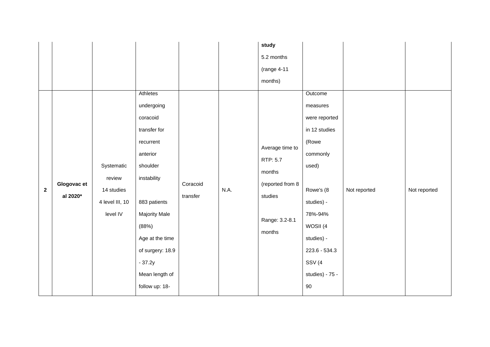|              |                         |                                                                   |                                                                                                                                                                                                                                         |                      |      | study<br>5.2 months<br>(range 4-11<br>months)                                                    |                                                                                                                                                                                                            |              |              |
|--------------|-------------------------|-------------------------------------------------------------------|-----------------------------------------------------------------------------------------------------------------------------------------------------------------------------------------------------------------------------------------|----------------------|------|--------------------------------------------------------------------------------------------------|------------------------------------------------------------------------------------------------------------------------------------------------------------------------------------------------------------|--------------|--------------|
| $\mathbf{2}$ | Glogovac et<br>al 2020* | Systematic<br>review<br>14 studies<br>4 level III, 10<br>level IV | Athletes<br>undergoing<br>coracoid<br>transfer for<br>recurrent<br>anterior<br>shoulder<br>instability<br>883 patients<br>Majority Male<br>(88%)<br>Age at the time<br>of surgery: 18.9<br>$-37.2y$<br>Mean length of<br>follow up: 18- | Coracoid<br>transfer | N.A. | Average time to<br>RTP: 5.7<br>months<br>(reported from 8<br>studies<br>Range: 3.2-8.1<br>months | Outcome<br>measures<br>were reported<br>in 12 studies<br>(Rowe<br>commonly<br>used)<br>Rowe's (8<br>studies) -<br>78%-94%<br>WOSII (4<br>studies) -<br>223.6 - 534.3<br>SSV(4<br>studies) - 75 -<br>$90\,$ | Not reported | Not reported |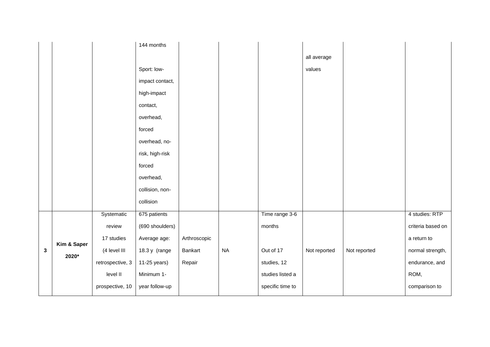|   |             |                  | 144 months      |              |          |                  |              |              |                   |
|---|-------------|------------------|-----------------|--------------|----------|------------------|--------------|--------------|-------------------|
|   |             |                  |                 |              |          |                  | all average  |              |                   |
|   |             |                  | Sport: low-     |              |          |                  | values       |              |                   |
|   |             |                  | impact contact, |              |          |                  |              |              |                   |
|   |             |                  | high-impact     |              |          |                  |              |              |                   |
|   |             |                  | contact,        |              |          |                  |              |              |                   |
|   |             |                  | overhead,       |              |          |                  |              |              |                   |
|   |             |                  | forced          |              |          |                  |              |              |                   |
|   |             |                  | overhead, no-   |              |          |                  |              |              |                   |
|   |             |                  | risk, high-risk |              |          |                  |              |              |                   |
|   |             |                  | forced          |              |          |                  |              |              |                   |
|   |             |                  | overhead,       |              |          |                  |              |              |                   |
|   |             |                  | collision, non- |              |          |                  |              |              |                   |
|   |             |                  | collision       |              |          |                  |              |              |                   |
|   |             | Systematic       | 675 patients    |              |          | Time range 3-6   |              |              | 4 studies: RTP    |
|   |             | review           | (690 shoulders) |              |          | months           |              |              | criteria based on |
|   |             | 17 studies       | Average age:    | Arthroscopic |          |                  |              |              | a return to       |
| 3 | Kim & Saper | (4 level III     | 18.3 y (range   | Bankart      | $\sf NA$ | Out of 17        | Not reported | Not reported | normal strength,  |
|   | 2020*       | retrospective, 3 | 11-25 years)    | Repair       |          | studies, 12      |              |              | endurance, and    |
|   |             | level II         | Minimum 1-      |              |          | studies listed a |              |              | ROM,              |
|   |             | prospective, 10  | year follow-up  |              |          | specific time to |              |              | comparison to     |
|   |             |                  |                 |              |          |                  |              |              |                   |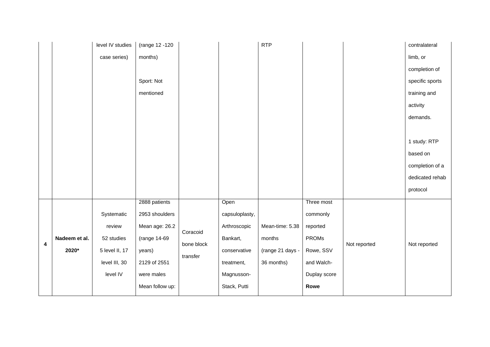|   |               | level IV studies | (range 12 -120  |            |                | <b>RTP</b>       |              |              | contralateral   |
|---|---------------|------------------|-----------------|------------|----------------|------------------|--------------|--------------|-----------------|
|   |               | case series)     | months)         |            |                |                  |              |              | limb, or        |
|   |               |                  |                 |            |                |                  |              |              | completion of   |
|   |               |                  | Sport: Not      |            |                |                  |              |              | specific sports |
|   |               |                  | mentioned       |            |                |                  |              |              | training and    |
|   |               |                  |                 |            |                |                  |              |              | activity        |
|   |               |                  |                 |            |                |                  |              |              | demands.        |
|   |               |                  |                 |            |                |                  |              |              |                 |
|   |               |                  |                 |            |                |                  |              |              | 1 study: RTP    |
|   |               |                  |                 |            |                |                  |              |              | based on        |
|   |               |                  |                 |            |                |                  |              |              | completion of a |
|   |               |                  |                 |            |                |                  |              |              | dedicated rehab |
|   |               |                  |                 |            |                |                  |              |              | protocol        |
|   |               |                  | 2888 patients   |            | Open           |                  | Three most   |              |                 |
|   |               | Systematic       | 2953 shoulders  |            | capsuloplasty, |                  | commonly     |              |                 |
|   |               | review           | Mean age: 26.2  | Coracoid   | Arthroscopic   | Mean-time: 5.38  | reported     |              |                 |
| 4 | Nadeem et al. | 52 studies       | (range 14-69    | bone block | Bankart,       | months           | <b>PROMs</b> | Not reported | Not reported    |
|   | 2020*         | 5 level II, 17   | years)          | transfer   | conservative   | (range 21 days - | Rowe, SSV    |              |                 |
|   |               | level III, 30    | 2129 of 2551    |            | treatment,     | 36 months)       | and Walch-   |              |                 |
|   |               | level IV         | were males      |            | Magnusson-     |                  | Duplay score |              |                 |
|   |               |                  | Mean follow up: |            | Stack, Putti   |                  | Rowe         |              |                 |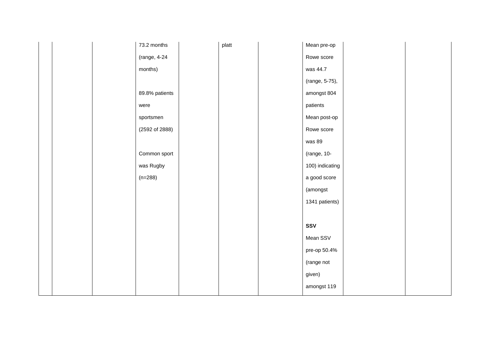|  | 73.2 months    | platt | Mean pre-op     |  |
|--|----------------|-------|-----------------|--|
|  | (range, 4-24   |       | Rowe score      |  |
|  | months)        |       | was 44.7        |  |
|  |                |       | (range, 5-75),  |  |
|  | 89.8% patients |       | amongst 804     |  |
|  | were           |       | patients        |  |
|  | sportsmen      |       | Mean post-op    |  |
|  | (2592 of 2888) |       | Rowe score      |  |
|  |                |       | was 89          |  |
|  | Common sport   |       | (range, 10-     |  |
|  | was Rugby      |       | 100) indicating |  |
|  | $(n=288)$      |       | a good score    |  |
|  |                |       | (amongst        |  |
|  |                |       | 1341 patients)  |  |
|  |                |       |                 |  |
|  |                |       | SSV             |  |
|  |                |       | Mean SSV        |  |
|  |                |       | pre-op 50.4%    |  |
|  |                |       | (range not      |  |
|  |                |       | given)          |  |
|  |                |       | amongst 119     |  |
|  |                |       |                 |  |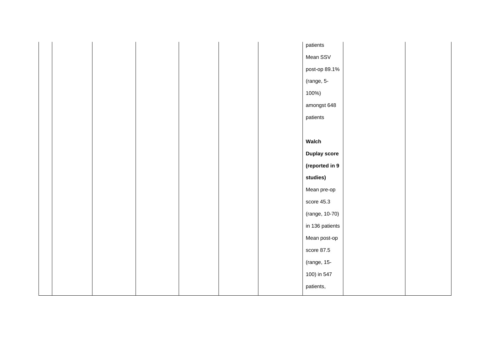|  |  |  | patients            |  |
|--|--|--|---------------------|--|
|  |  |  | Mean SSV            |  |
|  |  |  | post-op 89.1%       |  |
|  |  |  | (range, 5-          |  |
|  |  |  | 100%)               |  |
|  |  |  | amongst 648         |  |
|  |  |  | patients            |  |
|  |  |  |                     |  |
|  |  |  | Walch               |  |
|  |  |  | <b>Duplay score</b> |  |
|  |  |  | (reported in 9      |  |
|  |  |  | studies)            |  |
|  |  |  | Mean pre-op         |  |
|  |  |  | score 45.3          |  |
|  |  |  | (range, 10-70)      |  |
|  |  |  | in 136 patients     |  |
|  |  |  | Mean post-op        |  |
|  |  |  | score $87.5$        |  |
|  |  |  | (range, 15-         |  |
|  |  |  | 100) in 547         |  |
|  |  |  | patients,           |  |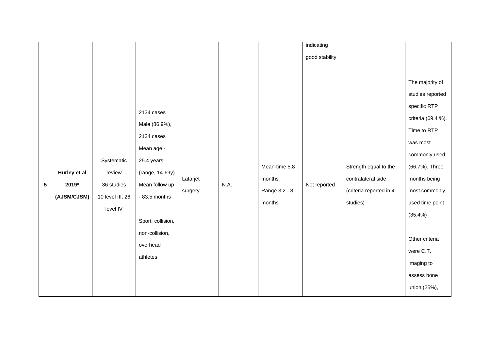|                 |              |                  |                   |          |      |               | indicating     |                         |                    |
|-----------------|--------------|------------------|-------------------|----------|------|---------------|----------------|-------------------------|--------------------|
|                 |              |                  |                   |          |      |               | good stability |                         |                    |
|                 |              |                  |                   |          |      |               |                |                         |                    |
|                 |              |                  |                   |          |      |               |                |                         | The majority of    |
|                 |              |                  |                   |          |      |               |                |                         | studies reported   |
|                 |              |                  | 2134 cases        |          |      |               |                |                         | specific RTP       |
|                 |              |                  | Male (86.9%),     |          |      |               |                |                         | criteria (69.4 %). |
|                 |              |                  | 2134 cases        |          |      |               |                |                         | Time to RTP        |
|                 |              |                  | Mean age -        |          |      |               |                |                         | was most           |
|                 |              | Systematic       | 25.4 years        |          |      |               |                |                         | commonly used      |
|                 | Hurley et al | review           | (range, 14-69y)   |          |      | Mean-time 5.8 |                | Strength equal to the   | (66.7%). Three     |
| $5\phantom{.0}$ | 2019*        | 36 studies       | Mean follow up    | Latarjet | N.A. | months        | Not reported   | contralateral side      | months being       |
|                 | (AJSM/CJSM)  | 10 level III, 26 | $-83.5$ months    | surgery  |      | Range 3.2 - 8 |                | (criteria reported in 4 | most commonly      |
|                 |              | level IV         |                   |          |      | months        |                | studies)                | used time point    |
|                 |              |                  | Sport: collision, |          |      |               |                |                         | $(35.4\%)$         |
|                 |              |                  | non-collision,    |          |      |               |                |                         |                    |
|                 |              |                  | overhead          |          |      |               |                |                         | Other criteria     |
|                 |              |                  |                   |          |      |               |                |                         | were C.T.          |
|                 |              |                  | athletes          |          |      |               |                |                         | imaging to         |
|                 |              |                  |                   |          |      |               |                |                         | assess bone        |
|                 |              |                  |                   |          |      |               |                |                         | union (25%),       |
|                 |              |                  |                   |          |      |               |                |                         |                    |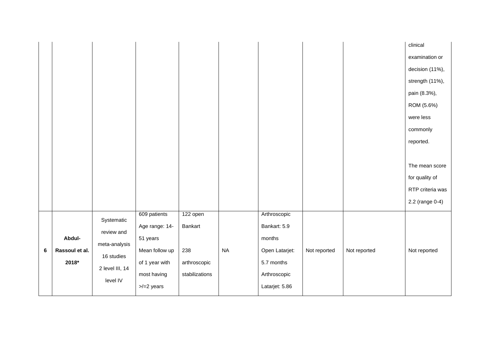|         |                |                 |                    |                |           |                |              |              | clinical         |
|---------|----------------|-----------------|--------------------|----------------|-----------|----------------|--------------|--------------|------------------|
|         |                |                 |                    |                |           |                |              |              | examination or   |
|         |                |                 |                    |                |           |                |              |              | decision (11%),  |
|         |                |                 |                    |                |           |                |              |              | strength (11%),  |
|         |                |                 |                    |                |           |                |              |              | pain (8.3%),     |
|         |                |                 |                    |                |           |                |              |              | ROM (5.6%)       |
|         |                |                 |                    |                |           |                |              |              | were less        |
|         |                |                 |                    |                |           |                |              |              | commonly         |
|         |                |                 |                    |                |           |                |              |              | reported.        |
|         |                |                 |                    |                |           |                |              |              |                  |
|         |                |                 |                    |                |           |                |              |              | The mean score   |
|         |                |                 |                    |                |           |                |              |              | for quality of   |
|         |                |                 |                    |                |           |                |              |              | RTP criteria was |
|         |                |                 |                    |                |           |                |              |              | 2.2 (range 0-4)  |
|         |                | Systematic      | 609 patients       | 122 open       |           | Arthroscopic   |              |              |                  |
|         |                |                 | Age range: 14-     | Bankart        |           | Bankart: 5.9   |              |              |                  |
|         | Abdul-         | review and      | 51 years           |                |           | months         |              |              |                  |
| $\bf 6$ | Rassoul et al. | meta-analysis   | Mean follow up     | 238            | <b>NA</b> | Open Latarjet: | Not reported | Not reported | Not reported     |
|         | 2018*          | 16 studies      | of 1 year with     | arthroscopic   |           | 5.7 months     |              |              |                  |
|         |                | 2 level III, 14 | most having        | stabilizations |           | Arthroscopic   |              |              |                  |
|         |                | level IV        | $>=$ / $=$ 2 years |                |           | Latarjet: 5.86 |              |              |                  |
|         |                |                 |                    |                |           |                |              |              |                  |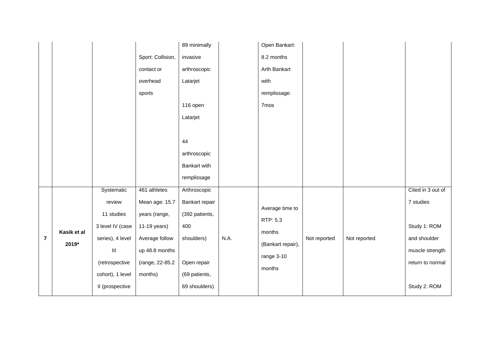|                         |             |                                    |                   | 89 minimally   |      | Open Bankart:     |              |              |                   |
|-------------------------|-------------|------------------------------------|-------------------|----------------|------|-------------------|--------------|--------------|-------------------|
|                         |             |                                    | Sport: Collision, | invasive       |      | 8.2 months        |              |              |                   |
|                         |             |                                    | contact or        | arthroscopic   |      | Arth Bankart      |              |              |                   |
|                         |             |                                    | overhead          | Latarjet       |      | with              |              |              |                   |
|                         |             |                                    | sports            |                |      | remplissage:      |              |              |                   |
|                         |             |                                    |                   | 116 open       |      | 7mos              |              |              |                   |
|                         |             |                                    |                   | Latarjet       |      |                   |              |              |                   |
|                         |             |                                    |                   |                |      |                   |              |              |                   |
|                         |             |                                    |                   | 44             |      |                   |              |              |                   |
|                         |             |                                    |                   | arthroscopic   |      |                   |              |              |                   |
|                         |             |                                    |                   | Bankart with   |      |                   |              |              |                   |
|                         |             |                                    |                   | remplissage    |      |                   |              |              |                   |
|                         |             | Systematic                         | 461 athletes      | Arthroscopic   |      |                   |              |              | Cited in 3 out of |
|                         |             | review                             | Mean age: 15.7    | Bankart repair |      | Average time to   |              |              | 7 studies         |
|                         |             | 11 studies                         | years (range,     | (392 patients, |      | RTP: 5.3          |              |              |                   |
|                         | Kasik et al | 3 level IV (case                   | 11-19 years)      | 400            |      | months            |              |              | Study 1: ROM      |
| $\overline{\mathbf{r}}$ | 2019*       | series), 4 level                   | Average follow    | shoulders)     | N.A. | (Bankart repair), | Not reported | Not reported | and shoulder      |
|                         |             | $\ensuremath{\mathsf{III}}\xspace$ | up 48.8 months    |                |      | range 3-10        |              |              | muscle strength   |
|                         |             | (retrospective                     | (range, 22-85.2   | Open repair    |      | months            |              |              | return to normal  |
|                         |             | cohort), 1 level                   | months)           | (69 patients,  |      |                   |              |              |                   |
|                         |             | II (prospective                    |                   | 69 shoulders)  |      |                   |              |              | Study 2: ROM      |
|                         |             |                                    |                   |                |      |                   |              |              |                   |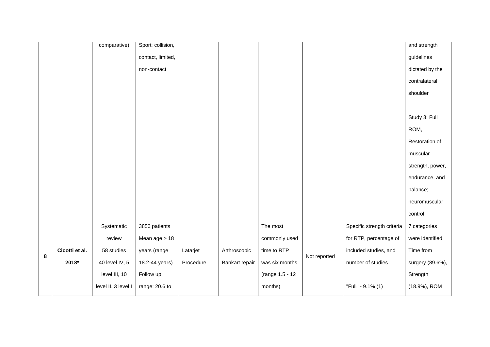|   |                | comparative)        | Sport: collision, |           |                |                 |              |                            | and strength     |
|---|----------------|---------------------|-------------------|-----------|----------------|-----------------|--------------|----------------------------|------------------|
|   |                |                     | contact, limited, |           |                |                 |              |                            | guidelines       |
|   |                |                     | non-contact       |           |                |                 |              |                            | dictated by the  |
|   |                |                     |                   |           |                |                 |              |                            | contralateral    |
|   |                |                     |                   |           |                |                 |              |                            | shoulder         |
|   |                |                     |                   |           |                |                 |              |                            |                  |
|   |                |                     |                   |           |                |                 |              |                            | Study 3: Full    |
|   |                |                     |                   |           |                |                 |              |                            | ROM,             |
|   |                |                     |                   |           |                |                 |              |                            | Restoration of   |
|   |                |                     |                   |           |                |                 |              |                            | muscular         |
|   |                |                     |                   |           |                |                 |              |                            | strength, power, |
|   |                |                     |                   |           |                |                 |              |                            | endurance, and   |
|   |                |                     |                   |           |                |                 |              |                            | balance;         |
|   |                |                     |                   |           |                |                 |              |                            | neuromuscular    |
|   |                |                     |                   |           |                |                 |              |                            | control          |
|   |                | Systematic          | 3850 patients     |           |                | The most        |              | Specific strength criteria | 7 categories     |
|   |                | review              | Mean age > 18     |           |                | commonly used   |              | for RTP, percentage of     | were identified  |
| 8 | Cicotti et al. | 58 studies          | years (range      | Latarjet  | Arthroscopic   | time to RTP     | Not reported | included studies, and      | Time from        |
|   | 2018*          | 40 level IV, 5      | 18.2-44 years)    | Procedure | Bankart repair | was six months  |              | number of studies          | surgery (89.6%), |
|   |                | level III, 10       | Follow up         |           |                | (range 1.5 - 12 |              |                            | Strength         |
|   |                | level II, 3 level I | range: 20.6 to    |           |                | months)         |              | "Full" - 9.1% (1)          | (18.9%), ROM     |
|   |                |                     |                   |           |                |                 |              |                            |                  |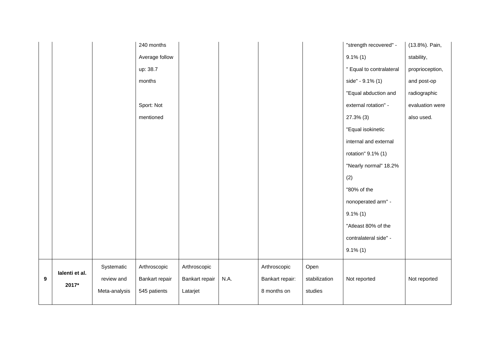| Average follow                                                                                                                   | $9.1\%$ (1)              | stability,      |
|----------------------------------------------------------------------------------------------------------------------------------|--------------------------|-----------------|
| up: 38.7                                                                                                                         | " Equal to contralateral | proprioception, |
| months                                                                                                                           | side" - 9.1% (1)         | and post-op     |
|                                                                                                                                  | "Equal abduction and     | radiographic    |
| Sport: Not                                                                                                                       | external rotation" -     | evaluation were |
| mentioned                                                                                                                        | 27.3% (3)                | also used.      |
|                                                                                                                                  | "Equal isokinetic        |                 |
|                                                                                                                                  | internal and external    |                 |
|                                                                                                                                  | rotation" 9.1% (1)       |                 |
|                                                                                                                                  | "Nearly normal" 18.2%    |                 |
| (2)                                                                                                                              |                          |                 |
|                                                                                                                                  | "80% of the              |                 |
|                                                                                                                                  | nonoperated arm" -       |                 |
|                                                                                                                                  | $9.1\%$ (1)              |                 |
|                                                                                                                                  | "Atleast 80% of the      |                 |
|                                                                                                                                  | contralateral side" -    |                 |
|                                                                                                                                  | $9.1\%$ (1)              |                 |
| Systematic<br>Arthroscopic<br>Arthroscopic<br>Arthroscopic<br>Open                                                               |                          |                 |
| lalenti et al.<br>N.A.<br>$\boldsymbol{9}$<br>review and<br>Bankart repair<br>Bankart repair:<br>stabilization<br>Bankart repair | Not reported             | Not reported    |
| 2017*<br>8 months on<br>studies<br>Meta-analysis<br>545 patients<br>Latarjet                                                     |                          |                 |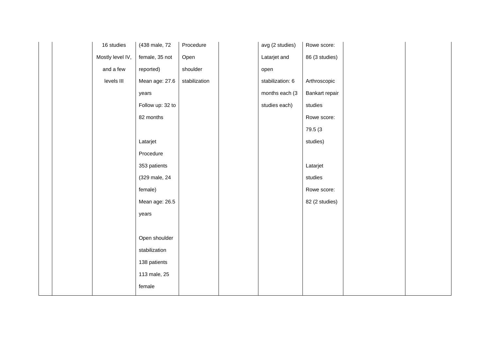| 16 studies       | (438 male, 72    | Procedure     | avg (2 studies)  | Rowe score:    |  |
|------------------|------------------|---------------|------------------|----------------|--|
| Mostly level IV, | female, 35 not   | Open          | Latarjet and     | 86 (3 studies) |  |
| and a few        | reported)        | shoulder      | open             |                |  |
| levels III       | Mean age: 27.6   | stabilization | stabilization: 6 | Arthroscopic   |  |
|                  | years            |               | months each (3   | Bankart repair |  |
|                  | Follow up: 32 to |               | studies each)    | studies        |  |
|                  | 82 months        |               |                  | Rowe score:    |  |
|                  |                  |               |                  | 79.5 (3        |  |
|                  | Latarjet         |               |                  | studies)       |  |
|                  | Procedure        |               |                  |                |  |
|                  | 353 patients     |               |                  | Latarjet       |  |
|                  | (329 male, 24    |               |                  | studies        |  |
|                  | female)          |               |                  | Rowe score:    |  |
|                  | Mean age: 26.5   |               |                  | 82 (2 studies) |  |
|                  | years            |               |                  |                |  |
|                  |                  |               |                  |                |  |
|                  | Open shoulder    |               |                  |                |  |
|                  | stabilization    |               |                  |                |  |
|                  | 138 patients     |               |                  |                |  |
|                  | 113 male, 25     |               |                  |                |  |
|                  | female           |               |                  |                |  |
|                  |                  |               |                  |                |  |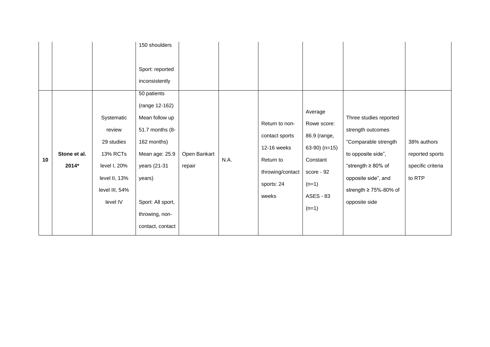|    |                       |                                                                                                               | 150 shoulders<br>Sport: reported<br>inconsistently                                                                                                                                       |                        |      |                                                                                                         |                                                                                                                               |                                                                                                                                                                                                 |                                                               |
|----|-----------------------|---------------------------------------------------------------------------------------------------------------|------------------------------------------------------------------------------------------------------------------------------------------------------------------------------------------|------------------------|------|---------------------------------------------------------------------------------------------------------|-------------------------------------------------------------------------------------------------------------------------------|-------------------------------------------------------------------------------------------------------------------------------------------------------------------------------------------------|---------------------------------------------------------------|
| 10 | Stone et al.<br>2014* | Systematic<br>review<br>29 studies<br>13% RCTs<br>level I, 20%<br>level II, 13%<br>level III, 54%<br>level IV | 50 patients<br>(range 12-162)<br>Mean follow up<br>51.7 months (8-<br>162 months)<br>Mean age: 25.9<br>years (21-31<br>years)<br>Sport: All sport,<br>throwing, non-<br>contact, contact | Open Bankart<br>repair | N.A. | Return to non-<br>contact sports<br>12-16 weeks<br>Return to<br>throwing/contact<br>sports: 24<br>weeks | Average<br>Rowe score:<br>86.9 (range,<br>63-90) $(n=15)$<br>Constant<br>score - 92<br>$(n=1)$<br><b>ASES - 83</b><br>$(n=1)$ | Three studies reported<br>strength outcomes<br>"Comparable strength<br>to opposite side",<br>"strength $\geq 80\%$ of<br>opposite side", and<br>strength $\geq 75\% - 80\%$ of<br>opposite side | 38% authors<br>reported sports<br>specific criteria<br>to RTP |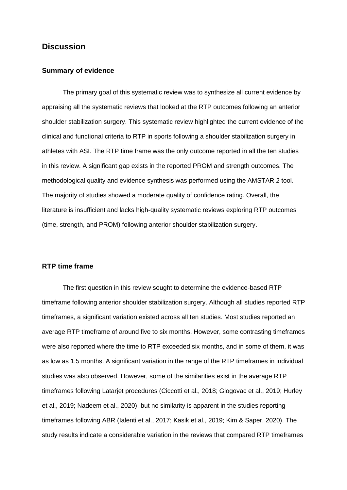# **Discussion**

#### **Summary of evidence**

The primary goal of this systematic review was to synthesize all current evidence by appraising all the systematic reviews that looked at the RTP outcomes following an anterior shoulder stabilization surgery. This systematic review highlighted the current evidence of the clinical and functional criteria to RTP in sports following a shoulder stabilization surgery in athletes with ASI. The RTP time frame was the only outcome reported in all the ten studies in this review. A significant gap exists in the reported PROM and strength outcomes. The methodological quality and evidence synthesis was performed using the AMSTAR 2 tool. The majority of studies showed a moderate quality of confidence rating. Overall, the literature is insufficient and lacks high-quality systematic reviews exploring RTP outcomes (time, strength, and PROM) following anterior shoulder stabilization surgery.

### **RTP time frame**

The first question in this review sought to determine the evidence-based RTP timeframe following anterior shoulder stabilization surgery. Although all studies reported RTP timeframes, a significant variation existed across all ten studies. Most studies reported an average RTP timeframe of around five to six months. However, some contrasting timeframes were also reported where the time to RTP exceeded six months, and in some of them, it was as low as 1.5 months. A significant variation in the range of the RTP timeframes in individual studies was also observed. However, some of the similarities exist in the average RTP timeframes following Latarjet procedures (Ciccotti et al., 2018; Glogovac et al., 2019; Hurley et al., 2019; Nadeem et al., 2020), but no similarity is apparent in the studies reporting timeframes following ABR (Ialenti et al., 2017; Kasik et al., 2019; Kim & Saper, 2020). The study results indicate a considerable variation in the reviews that compared RTP timeframes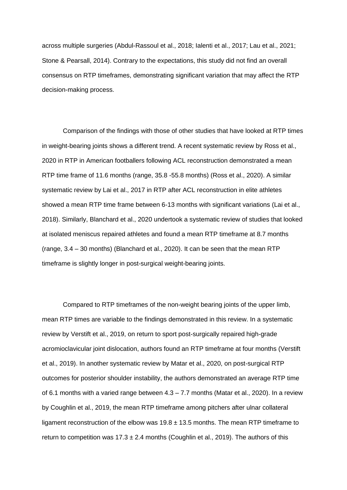across multiple surgeries (Abdul-Rassoul et al., 2018; Ialenti et al., 2017; Lau et al., 2021; Stone & Pearsall, 2014). Contrary to the expectations, this study did not find an overall consensus on RTP timeframes, demonstrating significant variation that may affect the RTP decision-making process.

Comparison of the findings with those of other studies that have looked at RTP times in weight-bearing joints shows a different trend. A recent systematic review by Ross et al., 2020 in RTP in American footballers following ACL reconstruction demonstrated a mean RTP time frame of 11.6 months (range, 35.8 -55.8 months) (Ross et al., 2020). A similar systematic review by Lai et al., 2017 in RTP after ACL reconstruction in elite athletes showed a mean RTP time frame between 6-13 months with significant variations (Lai et al., 2018). Similarly, Blanchard et al., 2020 undertook a systematic review of studies that looked at isolated meniscus repaired athletes and found a mean RTP timeframe at 8.7 months (range, 3.4 – 30 months) (Blanchard et al., 2020). It can be seen that the mean RTP timeframe is slightly longer in post-surgical weight-bearing joints.

Compared to RTP timeframes of the non-weight bearing joints of the upper limb, mean RTP times are variable to the findings demonstrated in this review. In a systematic review by Verstift et al., 2019, on return to sport post-surgically repaired high-grade acromioclavicular joint dislocation, authors found an RTP timeframe at four months (Verstift et al., 2019). In another systematic review by Matar et al., 2020, on post-surgical RTP outcomes for posterior shoulder instability, the authors demonstrated an average RTP time of 6.1 months with a varied range between 4.3 – 7.7 months (Matar et al., 2020). In a review by Coughlin et al., 2019, the mean RTP timeframe among pitchers after ulnar collateral ligament reconstruction of the elbow was  $19.8 \pm 13.5$  months. The mean RTP timeframe to return to competition was  $17.3 \pm 2.4$  months (Coughlin et al., 2019). The authors of this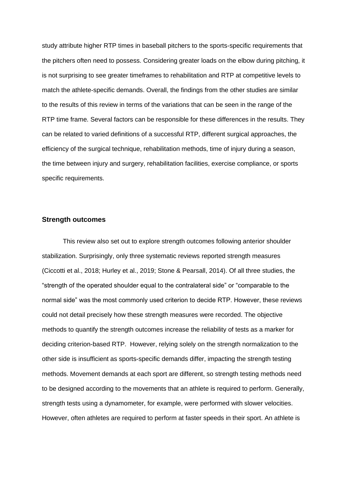study attribute higher RTP times in baseball pitchers to the sports-specific requirements that the pitchers often need to possess. Considering greater loads on the elbow during pitching, it is not surprising to see greater timeframes to rehabilitation and RTP at competitive levels to match the athlete-specific demands. Overall, the findings from the other studies are similar to the results of this review in terms of the variations that can be seen in the range of the RTP time frame. Several factors can be responsible for these differences in the results. They can be related to varied definitions of a successful RTP, different surgical approaches, the efficiency of the surgical technique, rehabilitation methods, time of injury during a season, the time between injury and surgery, rehabilitation facilities, exercise compliance, or sports specific requirements.

# **Strength outcomes**

This review also set out to explore strength outcomes following anterior shoulder stabilization. Surprisingly, only three systematic reviews reported strength measures (Ciccotti et al., 2018; Hurley et al., 2019; Stone & Pearsall, 2014). Of all three studies, the "strength of the operated shoulder equal to the contralateral side" or "comparable to the normal side" was the most commonly used criterion to decide RTP. However, these reviews could not detail precisely how these strength measures were recorded. The objective methods to quantify the strength outcomes increase the reliability of tests as a marker for deciding criterion-based RTP. However, relying solely on the strength normalization to the other side is insufficient as sports-specific demands differ, impacting the strength testing methods. Movement demands at each sport are different, so strength testing methods need to be designed according to the movements that an athlete is required to perform. Generally, strength tests using a dynamometer, for example, were performed with slower velocities. However, often athletes are required to perform at faster speeds in their sport. An athlete is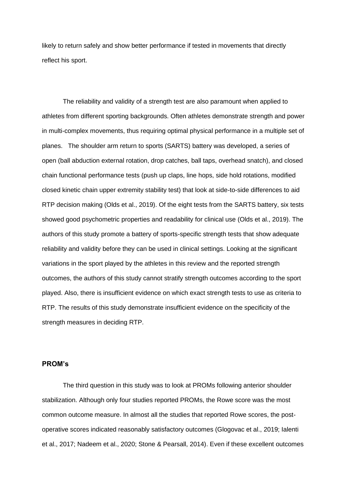likely to return safely and show better performance if tested in movements that directly reflect his sport.

The reliability and validity of a strength test are also paramount when applied to athletes from different sporting backgrounds. Often athletes demonstrate strength and power in multi-complex movements, thus requiring optimal physical performance in a multiple set of planes. The shoulder arm return to sports (SARTS) battery was developed, a series of open (ball abduction external rotation, drop catches, ball taps, overhead snatch), and closed chain functional performance tests (push up claps, line hops, side hold rotations, modified closed kinetic chain upper extremity stability test) that look at side-to-side differences to aid RTP decision making (Olds et al., 2019). Of the eight tests from the SARTS battery, six tests showed good psychometric properties and readability for clinical use (Olds et al., 2019). The authors of this study promote a battery of sports-specific strength tests that show adequate reliability and validity before they can be used in clinical settings. Looking at the significant variations in the sport played by the athletes in this review and the reported strength outcomes, the authors of this study cannot stratify strength outcomes according to the sport played. Also, there is insufficient evidence on which exact strength tests to use as criteria to RTP. The results of this study demonstrate insufficient evidence on the specificity of the strength measures in deciding RTP.

# **PROM's**

The third question in this study was to look at PROMs following anterior shoulder stabilization. Although only four studies reported PROMs, the Rowe score was the most common outcome measure. In almost all the studies that reported Rowe scores, the postoperative scores indicated reasonably satisfactory outcomes (Glogovac et al., 2019; Ialenti et al., 2017; Nadeem et al., 2020; Stone & Pearsall, 2014). Even if these excellent outcomes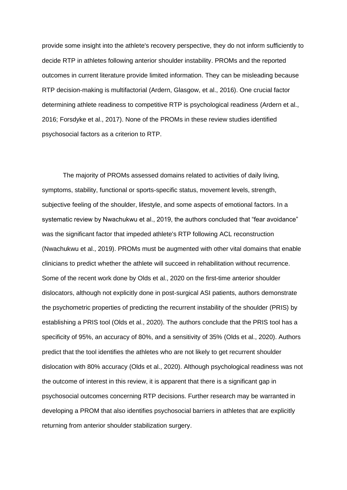provide some insight into the athlete's recovery perspective, they do not inform sufficiently to decide RTP in athletes following anterior shoulder instability. PROMs and the reported outcomes in current literature provide limited information. They can be misleading because RTP decision-making is multifactorial (Ardern, Glasgow, et al., 2016). One crucial factor determining athlete readiness to competitive RTP is psychological readiness (Ardern et al., 2016; Forsdyke et al., 2017). None of the PROMs in these review studies identified psychosocial factors as a criterion to RTP.

The majority of PROMs assessed domains related to activities of daily living, symptoms, stability, functional or sports-specific status, movement levels, strength, subjective feeling of the shoulder, lifestyle, and some aspects of emotional factors. In a systematic review by Nwachukwu et al., 2019, the authors concluded that "fear avoidance" was the significant factor that impeded athlete's RTP following ACL reconstruction (Nwachukwu et al., 2019). PROMs must be augmented with other vital domains that enable clinicians to predict whether the athlete will succeed in rehabilitation without recurrence. Some of the recent work done by Olds et al., 2020 on the first-time anterior shoulder dislocators, although not explicitly done in post-surgical ASI patients, authors demonstrate the psychometric properties of predicting the recurrent instability of the shoulder (PRIS) by establishing a PRIS tool (Olds et al., 2020). The authors conclude that the PRIS tool has a specificity of 95%, an accuracy of 80%, and a sensitivity of 35% (Olds et al., 2020). Authors predict that the tool identifies the athletes who are not likely to get recurrent shoulder dislocation with 80% accuracy (Olds et al., 2020). Although psychological readiness was not the outcome of interest in this review, it is apparent that there is a significant gap in psychosocial outcomes concerning RTP decisions. Further research may be warranted in developing a PROM that also identifies psychosocial barriers in athletes that are explicitly returning from anterior shoulder stabilization surgery.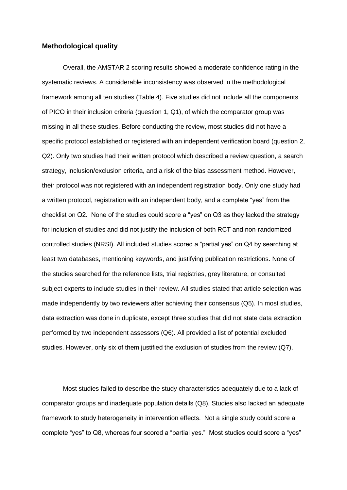# **Methodological quality**

Overall, the AMSTAR 2 scoring results showed a moderate confidence rating in the systematic reviews. A considerable inconsistency was observed in the methodological framework among all ten studies (Table 4). Five studies did not include all the components of PICO in their inclusion criteria (question 1, Q1), of which the comparator group was missing in all these studies. Before conducting the review, most studies did not have a specific protocol established or registered with an independent verification board (question 2, Q2). Only two studies had their written protocol which described a review question, a search strategy, inclusion/exclusion criteria, and a risk of the bias assessment method. However, their protocol was not registered with an independent registration body. Only one study had a written protocol, registration with an independent body, and a complete "yes" from the checklist on Q2. None of the studies could score a "yes" on Q3 as they lacked the strategy for inclusion of studies and did not justify the inclusion of both RCT and non-randomized controlled studies (NRSI). All included studies scored a "partial yes" on Q4 by searching at least two databases, mentioning keywords, and justifying publication restrictions. None of the studies searched for the reference lists, trial registries, grey literature, or consulted subject experts to include studies in their review. All studies stated that article selection was made independently by two reviewers after achieving their consensus (Q5). In most studies, data extraction was done in duplicate, except three studies that did not state data extraction performed by two independent assessors (Q6). All provided a list of potential excluded studies. However, only six of them justified the exclusion of studies from the review (Q7).

Most studies failed to describe the study characteristics adequately due to a lack of comparator groups and inadequate population details (Q8). Studies also lacked an adequate framework to study heterogeneity in intervention effects. Not a single study could score a complete "yes" to Q8, whereas four scored a "partial yes." Most studies could score a "yes"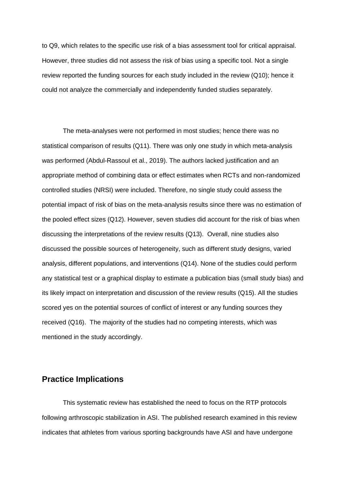to Q9, which relates to the specific use risk of a bias assessment tool for critical appraisal. However, three studies did not assess the risk of bias using a specific tool. Not a single review reported the funding sources for each study included in the review (Q10); hence it could not analyze the commercially and independently funded studies separately.

The meta-analyses were not performed in most studies; hence there was no statistical comparison of results (Q11). There was only one study in which meta-analysis was performed (Abdul-Rassoul et al., 2019). The authors lacked justification and an appropriate method of combining data or effect estimates when RCTs and non-randomized controlled studies (NRSI) were included. Therefore, no single study could assess the potential impact of risk of bias on the meta-analysis results since there was no estimation of the pooled effect sizes (Q12). However, seven studies did account for the risk of bias when discussing the interpretations of the review results (Q13). Overall, nine studies also discussed the possible sources of heterogeneity, such as different study designs, varied analysis, different populations, and interventions (Q14). None of the studies could perform any statistical test or a graphical display to estimate a publication bias (small study bias) and its likely impact on interpretation and discussion of the review results (Q15). All the studies scored yes on the potential sources of conflict of interest or any funding sources they received (Q16). The majority of the studies had no competing interests, which was mentioned in the study accordingly.

# **Practice Implications**

This systematic review has established the need to focus on the RTP protocols following arthroscopic stabilization in ASI. The published research examined in this review indicates that athletes from various sporting backgrounds have ASI and have undergone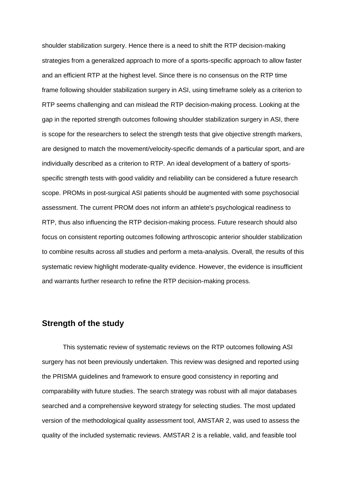shoulder stabilization surgery. Hence there is a need to shift the RTP decision-making strategies from a generalized approach to more of a sports-specific approach to allow faster and an efficient RTP at the highest level. Since there is no consensus on the RTP time frame following shoulder stabilization surgery in ASI, using timeframe solely as a criterion to RTP seems challenging and can mislead the RTP decision-making process. Looking at the gap in the reported strength outcomes following shoulder stabilization surgery in ASI, there is scope for the researchers to select the strength tests that give objective strength markers, are designed to match the movement/velocity-specific demands of a particular sport, and are individually described as a criterion to RTP. An ideal development of a battery of sportsspecific strength tests with good validity and reliability can be considered a future research scope. PROMs in post-surgical ASI patients should be augmented with some psychosocial assessment. The current PROM does not inform an athlete's psychological readiness to RTP, thus also influencing the RTP decision-making process. Future research should also focus on consistent reporting outcomes following arthroscopic anterior shoulder stabilization to combine results across all studies and perform a meta-analysis. Overall, the results of this systematic review highlight moderate-quality evidence. However, the evidence is insufficient and warrants further research to refine the RTP decision-making process.

# **Strength of the study**

This systematic review of systematic reviews on the RTP outcomes following ASI surgery has not been previously undertaken. This review was designed and reported using the PRISMA guidelines and framework to ensure good consistency in reporting and comparability with future studies. The search strategy was robust with all major databases searched and a comprehensive keyword strategy for selecting studies. The most updated version of the methodological quality assessment tool, AMSTAR 2, was used to assess the quality of the included systematic reviews. AMSTAR 2 is a reliable, valid, and feasible tool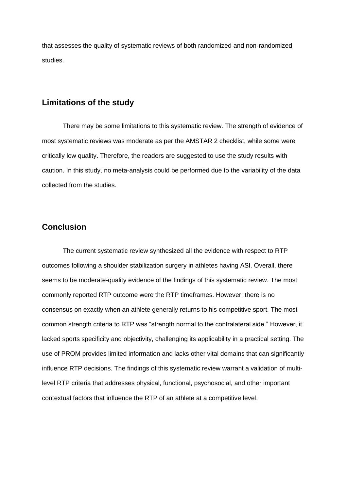that assesses the quality of systematic reviews of both randomized and non-randomized studies.

# **Limitations of the study**

There may be some limitations to this systematic review. The strength of evidence of most systematic reviews was moderate as per the AMSTAR 2 checklist, while some were critically low quality. Therefore, the readers are suggested to use the study results with caution. In this study, no meta-analysis could be performed due to the variability of the data collected from the studies.

# **Conclusion**

The current systematic review synthesized all the evidence with respect to RTP outcomes following a shoulder stabilization surgery in athletes having ASI. Overall, there seems to be moderate-quality evidence of the findings of this systematic review. The most commonly reported RTP outcome were the RTP timeframes. However, there is no consensus on exactly when an athlete generally returns to his competitive sport. The most common strength criteria to RTP was "strength normal to the contralateral side." However, it lacked sports specificity and objectivity, challenging its applicability in a practical setting. The use of PROM provides limited information and lacks other vital domains that can significantly influence RTP decisions. The findings of this systematic review warrant a validation of multilevel RTP criteria that addresses physical, functional, psychosocial, and other important contextual factors that influence the RTP of an athlete at a competitive level.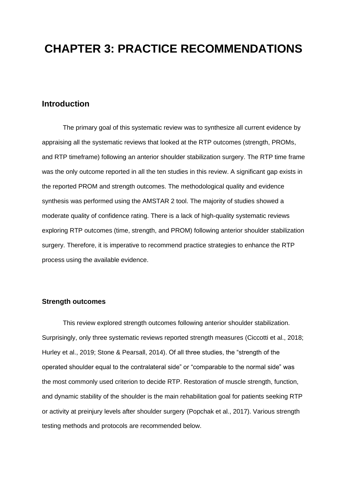# **CHAPTER 3: PRACTICE RECOMMENDATIONS**

# **Introduction**

The primary goal of this systematic review was to synthesize all current evidence by appraising all the systematic reviews that looked at the RTP outcomes (strength, PROMs, and RTP timeframe) following an anterior shoulder stabilization surgery. The RTP time frame was the only outcome reported in all the ten studies in this review. A significant gap exists in the reported PROM and strength outcomes. The methodological quality and evidence synthesis was performed using the AMSTAR 2 tool. The majority of studies showed a moderate quality of confidence rating. There is a lack of high-quality systematic reviews exploring RTP outcomes (time, strength, and PROM) following anterior shoulder stabilization surgery. Therefore, it is imperative to recommend practice strategies to enhance the RTP process using the available evidence.

### **Strength outcomes**

This review explored strength outcomes following anterior shoulder stabilization. Surprisingly, only three systematic reviews reported strength measures (Ciccotti et al., 2018; Hurley et al., 2019; Stone & Pearsall, 2014). Of all three studies, the "strength of the operated shoulder equal to the contralateral side" or "comparable to the normal side" was the most commonly used criterion to decide RTP. Restoration of muscle strength, function, and dynamic stability of the shoulder is the main rehabilitation goal for patients seeking RTP or activity at preinjury levels after shoulder surgery (Popchak et al., 2017). Various strength testing methods and protocols are recommended below.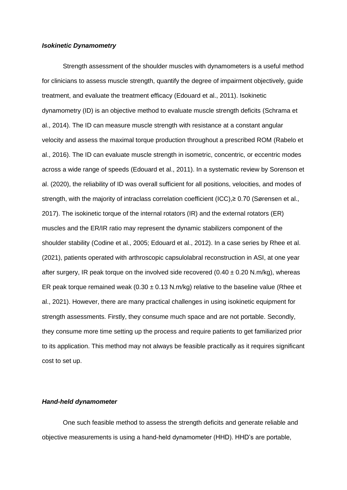#### *Isokinetic Dynamometry*

Strength assessment of the shoulder muscles with dynamometers is a useful method for clinicians to assess muscle strength, quantify the degree of impairment objectively, guide treatment, and evaluate the treatment efficacy (Edouard et al., 2011). Isokinetic dynamometry (ID) is an objective method to evaluate muscle strength deficits (Schrama et al., 2014). The ID can measure muscle strength with resistance at a constant angular velocity and assess the maximal torque production throughout a prescribed ROM (Rabelo et al., 2016). The ID can evaluate muscle strength in isometric, concentric, or eccentric modes across a wide range of speeds (Edouard et al., 2011). In a systematic review by Sorenson et al. (2020), the reliability of ID was overall sufficient for all positions, velocities, and modes of strength, with the majority of intraclass correlation coefficient (ICC),≥ 0.70 (Sørensen et al., 2017). The isokinetic torque of the internal rotators (IR) and the external rotators (ER) muscles and the ER/IR ratio may represent the dynamic stabilizers component of the shoulder stability (Codine et al., 2005; Edouard et al., 2012). In a case series by Rhee et al. (2021), patients operated with arthroscopic capsulolabral reconstruction in ASI, at one year after surgery, IR peak torque on the involved side recovered  $(0.40 \pm 0.20 \text{ N} \cdot \text{m/kg})$ , whereas ER peak torque remained weak ( $0.30 \pm 0.13$  N.m/kg) relative to the baseline value (Rhee et al., 2021). However, there are many practical challenges in using isokinetic equipment for strength assessments. Firstly, they consume much space and are not portable. Secondly, they consume more time setting up the process and require patients to get familiarized prior to its application. This method may not always be feasible practically as it requires significant cost to set up.

#### *Hand-held dynamometer*

One such feasible method to assess the strength deficits and generate reliable and objective measurements is using a hand-held dynamometer (HHD). HHD's are portable,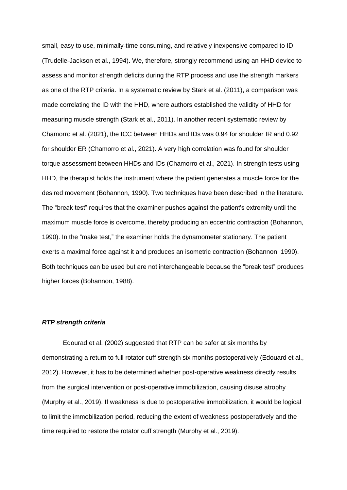small, easy to use, minimally-time consuming, and relatively inexpensive compared to ID (Trudelle-Jackson et al., 1994). We, therefore, strongly recommend using an HHD device to assess and monitor strength deficits during the RTP process and use the strength markers as one of the RTP criteria. In a systematic review by Stark et al. (2011), a comparison was made correlating the ID with the HHD, where authors established the validity of HHD for measuring muscle strength (Stark et al., 2011). In another recent systematic review by Chamorro et al. (2021), the ICC between HHDs and IDs was 0.94 for shoulder IR and 0.92 for shoulder ER (Chamorro et al., 2021). A very high correlation was found for shoulder torque assessment between HHDs and IDs (Chamorro et al., 2021). In strength tests using HHD, the therapist holds the instrument where the patient generates a muscle force for the desired movement (Bohannon, 1990). Two techniques have been described in the literature. The "break test" requires that the examiner pushes against the patient's extremity until the maximum muscle force is overcome, thereby producing an eccentric contraction (Bohannon, 1990). In the "make test," the examiner holds the dynamometer stationary. The patient exerts a maximal force against it and produces an isometric contraction (Bohannon, 1990). Both techniques can be used but are not interchangeable because the "break test" produces higher forces (Bohannon, 1988).

### *RTP strength criteria*

Edourad et al. (2002) suggested that RTP can be safer at six months by demonstrating a return to full rotator cuff strength six months postoperatively (Edouard et al., 2012). However, it has to be determined whether post-operative weakness directly results from the surgical intervention or post-operative immobilization, causing disuse atrophy (Murphy et al., 2019). If weakness is due to postoperative immobilization, it would be logical to limit the immobilization period, reducing the extent of weakness postoperatively and the time required to restore the rotator cuff strength (Murphy et al., 2019).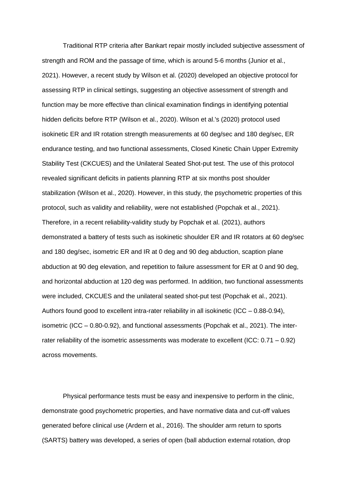Traditional RTP criteria after Bankart repair mostly included subjective assessment of strength and ROM and the passage of time, which is around 5-6 months (Junior et al., 2021). However, a recent study by Wilson et al. (2020) developed an objective protocol for assessing RTP in clinical settings, suggesting an objective assessment of strength and function may be more effective than clinical examination findings in identifying potential hidden deficits before RTP (Wilson et al., 2020). Wilson et al.'s (2020) protocol used isokinetic ER and IR rotation strength measurements at 60 deg/sec and 180 deg/sec, ER endurance testing, and two functional assessments, Closed Kinetic Chain Upper Extremity Stability Test (CKCUES) and the Unilateral Seated Shot-put test. The use of this protocol revealed significant deficits in patients planning RTP at six months post shoulder stabilization (Wilson et al., 2020). However, in this study, the psychometric properties of this protocol, such as validity and reliability, were not established (Popchak et al., 2021). Therefore, in a recent reliability-validity study by Popchak et al. (2021), authors demonstrated a battery of tests such as isokinetic shoulder ER and IR rotators at 60 deg/sec and 180 deg/sec, isometric ER and IR at 0 deg and 90 deg abduction, scaption plane abduction at 90 deg elevation, and repetition to failure assessment for ER at 0 and 90 deg, and horizontal abduction at 120 deg was performed. In addition, two functional assessments were included, CKCUES and the unilateral seated shot-put test (Popchak et al., 2021). Authors found good to excellent intra-rater reliability in all isokinetic (ICC – 0.88-0.94), isometric (ICC – 0.80-0.92), and functional assessments (Popchak et al., 2021). The interrater reliability of the isometric assessments was moderate to excellent (ICC: 0.71 – 0.92) across movements.

Physical performance tests must be easy and inexpensive to perform in the clinic, demonstrate good psychometric properties, and have normative data and cut-off values generated before clinical use (Ardern et al., 2016). The shoulder arm return to sports (SARTS) battery was developed, a series of open (ball abduction external rotation, drop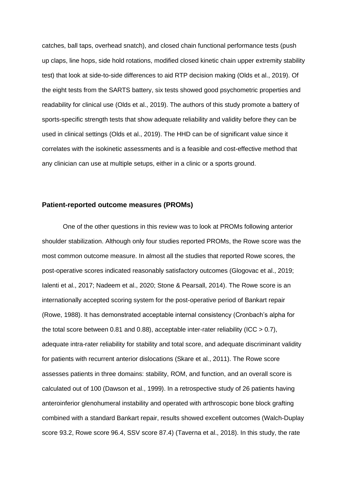catches, ball taps, overhead snatch), and closed chain functional performance tests (push up claps, line hops, side hold rotations, modified closed kinetic chain upper extremity stability test) that look at side-to-side differences to aid RTP decision making (Olds et al., 2019). Of the eight tests from the SARTS battery, six tests showed good psychometric properties and readability for clinical use (Olds et al., 2019). The authors of this study promote a battery of sports-specific strength tests that show adequate reliability and validity before they can be used in clinical settings (Olds et al., 2019). The HHD can be of significant value since it correlates with the isokinetic assessments and is a feasible and cost-effective method that any clinician can use at multiple setups, either in a clinic or a sports ground.

### **Patient-reported outcome measures (PROMs)**

One of the other questions in this review was to look at PROMs following anterior shoulder stabilization. Although only four studies reported PROMs, the Rowe score was the most common outcome measure. In almost all the studies that reported Rowe scores, the post-operative scores indicated reasonably satisfactory outcomes (Glogovac et al., 2019; Ialenti et al., 2017; Nadeem et al., 2020; Stone & Pearsall, 2014). The Rowe score is an internationally accepted scoring system for the post-operative period of Bankart repair (Rowe, 1988). It has demonstrated acceptable internal consistency (Cronbach's alpha for the total score between 0.81 and 0.88), acceptable inter-rater reliability (ICC  $> 0.7$ ), adequate intra-rater reliability for stability and total score, and adequate discriminant validity for patients with recurrent anterior dislocations (Skare et al., 2011). The Rowe score assesses patients in three domains: stability, ROM, and function, and an overall score is calculated out of 100 (Dawson et al., 1999). In a retrospective study of 26 patients having anteroinferior glenohumeral instability and operated with arthroscopic bone block grafting combined with a standard Bankart repair, results showed excellent outcomes (Walch-Duplay score 93.2, Rowe score 96.4, SSV score 87.4) (Taverna et al., 2018). In this study, the rate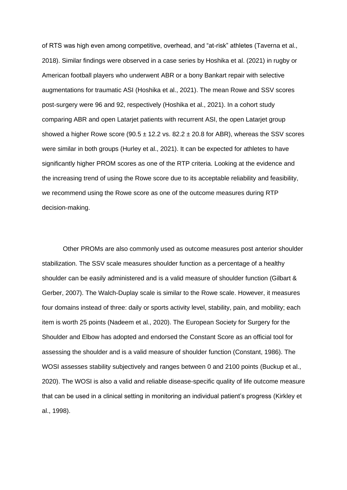of RTS was high even among competitive, overhead, and "at-risk" athletes (Taverna et al., 2018). Similar findings were observed in a case series by Hoshika et al. (2021) in rugby or American football players who underwent ABR or a bony Bankart repair with selective augmentations for traumatic ASI (Hoshika et al., 2021). The mean Rowe and SSV scores post-surgery were 96 and 92, respectively (Hoshika et al., 2021). In a cohort study comparing ABR and open Latarjet patients with recurrent ASI, the open Latarjet group showed a higher Rowe score (90.5  $\pm$  12.2 vs. 82.2  $\pm$  20.8 for ABR), whereas the SSV scores were similar in both groups (Hurley et al., 2021). It can be expected for athletes to have significantly higher PROM scores as one of the RTP criteria. Looking at the evidence and the increasing trend of using the Rowe score due to its acceptable reliability and feasibility, we recommend using the Rowe score as one of the outcome measures during RTP decision-making.

Other PROMs are also commonly used as outcome measures post anterior shoulder stabilization. The SSV scale measures shoulder function as a percentage of a healthy shoulder can be easily administered and is a valid measure of shoulder function (Gilbart & Gerber, 2007). The Walch-Duplay scale is similar to the Rowe scale. However, it measures four domains instead of three: daily or sports activity level, stability, pain, and mobility; each item is worth 25 points (Nadeem et al., 2020). The European Society for Surgery for the Shoulder and Elbow has adopted and endorsed the Constant Score as an official tool for assessing the shoulder and is a valid measure of shoulder function (Constant, 1986). The WOSI assesses stability subjectively and ranges between 0 and 2100 points (Buckup et al., 2020). The WOSI is also a valid and reliable disease-specific quality of life outcome measure that can be used in a clinical setting in monitoring an individual patient's progress (Kirkley et al., 1998).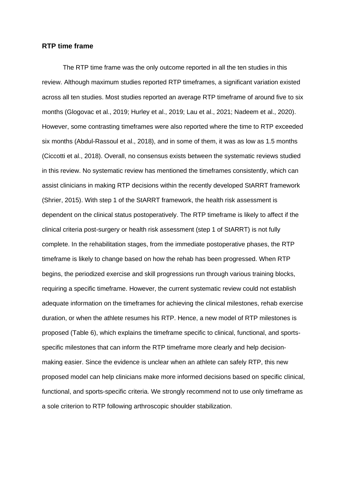#### **RTP time frame**

The RTP time frame was the only outcome reported in all the ten studies in this review. Although maximum studies reported RTP timeframes, a significant variation existed across all ten studies. Most studies reported an average RTP timeframe of around five to six months (Glogovac et al., 2019; Hurley et al., 2019; Lau et al., 2021; Nadeem et al., 2020). However, some contrasting timeframes were also reported where the time to RTP exceeded six months (Abdul-Rassoul et al., 2018), and in some of them, it was as low as 1.5 months (Ciccotti et al., 2018). Overall, no consensus exists between the systematic reviews studied in this review. No systematic review has mentioned the timeframes consistently, which can assist clinicians in making RTP decisions within the recently developed StARRT framework (Shrier, 2015). With step 1 of the StARRT framework, the health risk assessment is dependent on the clinical status postoperatively. The RTP timeframe is likely to affect if the clinical criteria post-surgery or health risk assessment (step 1 of StARRT) is not fully complete. In the rehabilitation stages, from the immediate postoperative phases, the RTP timeframe is likely to change based on how the rehab has been progressed. When RTP begins, the periodized exercise and skill progressions run through various training blocks, requiring a specific timeframe. However, the current systematic review could not establish adequate information on the timeframes for achieving the clinical milestones, rehab exercise duration, or when the athlete resumes his RTP. Hence, a new model of RTP milestones is proposed (Table 6), which explains the timeframe specific to clinical, functional, and sportsspecific milestones that can inform the RTP timeframe more clearly and help decisionmaking easier. Since the evidence is unclear when an athlete can safely RTP, this new proposed model can help clinicians make more informed decisions based on specific clinical, functional, and sports-specific criteria. We strongly recommend not to use only timeframe as a sole criterion to RTP following arthroscopic shoulder stabilization.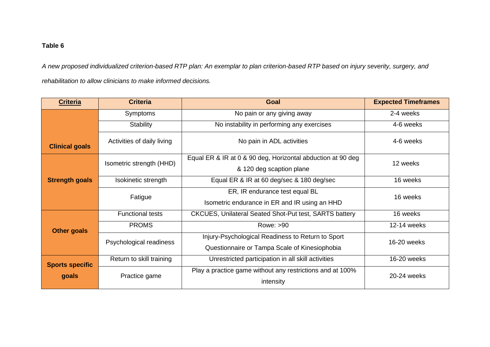# **Table 6**

*A new proposed individualized criterion-based RTP plan: An exemplar to plan criterion-based RTP based on injury severity, surgery, and rehabilitation to allow clinicians to make informed decisions.*

| <b>Criteria</b>        | <b>Criteria</b>            | Goal                                                                                               | <b>Expected Timeframes</b> |  |
|------------------------|----------------------------|----------------------------------------------------------------------------------------------------|----------------------------|--|
|                        | <b>Symptoms</b>            | No pain or any giving away                                                                         | 2-4 weeks                  |  |
|                        | Stability                  | No instability in performing any exercises                                                         | 4-6 weeks                  |  |
| <b>Clinical goals</b>  | Activities of daily living | No pain in ADL activities                                                                          | 4-6 weeks                  |  |
|                        | Isometric strength (HHD)   | Equal ER & IR at 0 & 90 deg, Horizontal abduction at 90 deg<br>& 120 deg scaption plane            | 12 weeks                   |  |
| <b>Strength goals</b>  | Isokinetic strength        | Equal ER & IR at 60 deg/sec & 180 deg/sec                                                          | 16 weeks                   |  |
|                        | Fatigue                    | ER, IR endurance test equal BL<br>Isometric endurance in ER and IR using an HHD                    | 16 weeks                   |  |
|                        | <b>Functional tests</b>    | <b>CKCUES, Unilateral Seated Shot-Put test, SARTS battery</b>                                      | 16 weeks                   |  |
| <b>Other goals</b>     | <b>PROMS</b>               | Rowe: >90                                                                                          | 12-14 weeks                |  |
|                        | Psychological readiness    | Injury-Psychological Readiness to Return to Sport<br>Questionnaire or Tampa Scale of Kinesiophobia | 16-20 weeks                |  |
| <b>Sports specific</b> | Return to skill training   | Unrestricted participation in all skill activities                                                 | 16-20 weeks                |  |
| goals                  | Practice game              | Play a practice game without any restrictions and at 100%<br>intensity                             | 20-24 weeks                |  |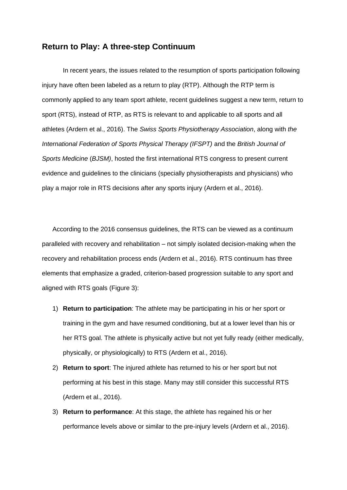# **Return to Play: A three-step Continuum**

In recent years, the issues related to the resumption of sports participation following injury have often been labeled as a return to play (RTP). Although the RTP term is commonly applied to any team sport athlete, recent guidelines suggest a new term, return to sport (RTS), instead of RTP, as RTS is relevant to and applicable to all sports and all athletes (Ardern et al., 2016). The *Swiss Sports Physiotherapy Association*, along with *the International Federation of Sports Physical Therapy (IFSPT)* and the *British Journal of Sports Medicine* (*BJSM)*, hosted the first international RTS congress to present current evidence and guidelines to the clinicians (specially physiotherapists and physicians) who play a major role in RTS decisions after any sports injury (Ardern et al., 2016).

According to the 2016 consensus guidelines, the RTS can be viewed as a continuum paralleled with recovery and rehabilitation – not simply isolated decision-making when the recovery and rehabilitation process ends (Ardern et al., 2016). RTS continuum has three elements that emphasize a graded, criterion-based progression suitable to any sport and aligned with RTS goals (Figure 3):

- 1) **Return to participation**: The athlete may be participating in his or her sport or training in the gym and have resumed conditioning, but at a lower level than his or her RTS goal. The athlete is physically active but not yet fully ready (either medically, physically, or physiologically) to RTS (Ardern et al., 2016).
- 2) **Return to sport**: The injured athlete has returned to his or her sport but not performing at his best in this stage. Many may still consider this successful RTS (Ardern et al., 2016).
- 3) **Return to performance**: At this stage, the athlete has regained his or her performance levels above or similar to the pre-injury levels (Ardern et al., 2016).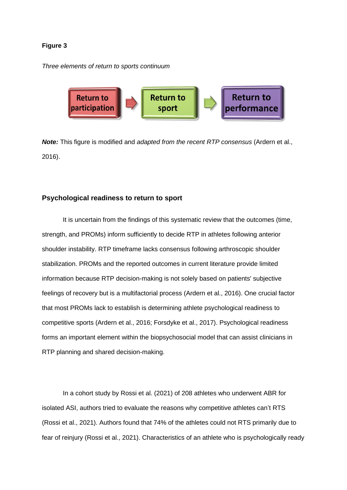### **Figure 3**

*Three elements of return to sports continuum*



*Note:* This figure is modified and *adapted from the recent RTP consensus* (Ardern et al., 2016).

### **Psychological readiness to return to sport**

It is uncertain from the findings of this systematic review that the outcomes (time, strength, and PROMs) inform sufficiently to decide RTP in athletes following anterior shoulder instability. RTP timeframe lacks consensus following arthroscopic shoulder stabilization. PROMs and the reported outcomes in current literature provide limited information because RTP decision-making is not solely based on patients' subjective feelings of recovery but is a multifactorial process (Ardern et al., 2016). One crucial factor that most PROMs lack to establish is determining athlete psychological readiness to competitive sports (Ardern et al., 2016; Forsdyke et al., 2017). Psychological readiness forms an important element within the biopsychosocial model that can assist clinicians in RTP planning and shared decision-making.

In a cohort study by Rossi et al. (2021) of 208 athletes who underwent ABR for isolated ASI, authors tried to evaluate the reasons why competitive athletes can't RTS (Rossi et al., 2021). Authors found that 74% of the athletes could not RTS primarily due to fear of reinjury (Rossi et al., 2021). Characteristics of an athlete who is psychologically ready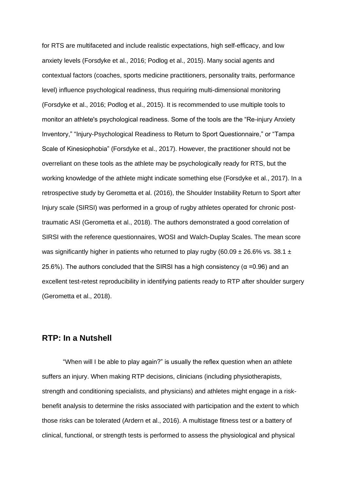for RTS are multifaceted and include realistic expectations, high self-efficacy, and low anxiety levels (Forsdyke et al., 2016; Podlog et al., 2015). Many social agents and contextual factors (coaches, sports medicine practitioners, personality traits, performance level) influence psychological readiness, thus requiring multi-dimensional monitoring (Forsdyke et al., 2016; Podlog et al., 2015). It is recommended to use multiple tools to monitor an athlete's psychological readiness. Some of the tools are the "Re-injury Anxiety Inventory," "Injury-Psychological Readiness to Return to Sport Questionnaire," or "Tampa Scale of Kinesiophobia" (Forsdyke et al., 2017). However, the practitioner should not be overreliant on these tools as the athlete may be psychologically ready for RTS, but the working knowledge of the athlete might indicate something else (Forsdyke et al., 2017). In a retrospective study by Gerometta et al. (2016), the Shoulder Instability Return to Sport after Injury scale (SIRSI) was performed in a group of rugby athletes operated for chronic posttraumatic ASI (Gerometta et al., 2018). The authors demonstrated a good correlation of SIRSI with the reference questionnaires, WOSI and Walch-Duplay Scales. The mean score was significantly higher in patients who returned to play rugby (60.09  $\pm$  26.6% vs. 38.1  $\pm$ 25.6%). The authors concluded that the SIRSI has a high consistency ( $α = 0.96$ ) and an excellent test-retest reproducibility in identifying patients ready to RTP after shoulder surgery (Gerometta et al., 2018).

## **RTP: In a Nutshell**

"When will I be able to play again?" is usually the reflex question when an athlete suffers an injury. When making RTP decisions, clinicians (including physiotherapists, strength and conditioning specialists, and physicians) and athletes might engage in a riskbenefit analysis to determine the risks associated with participation and the extent to which those risks can be tolerated (Ardern et al., 2016). A multistage fitness test or a battery of clinical, functional, or strength tests is performed to assess the physiological and physical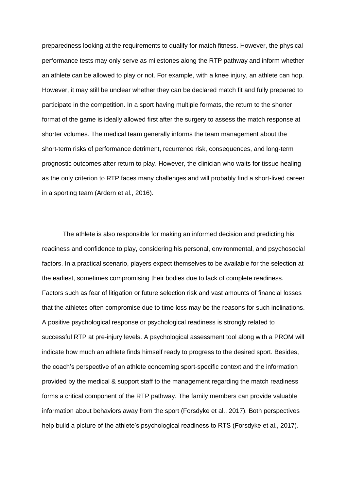preparedness looking at the requirements to qualify for match fitness. However, the physical performance tests may only serve as milestones along the RTP pathway and inform whether an athlete can be allowed to play or not. For example, with a knee injury, an athlete can hop. However, it may still be unclear whether they can be declared match fit and fully prepared to participate in the competition. In a sport having multiple formats, the return to the shorter format of the game is ideally allowed first after the surgery to assess the match response at shorter volumes. The medical team generally informs the team management about the short-term risks of performance detriment, recurrence risk, consequences, and long-term prognostic outcomes after return to play. However, the clinician who waits for tissue healing as the only criterion to RTP faces many challenges and will probably find a short-lived career in a sporting team (Ardern et al., 2016).

The athlete is also responsible for making an informed decision and predicting his readiness and confidence to play, considering his personal, environmental, and psychosocial factors. In a practical scenario, players expect themselves to be available for the selection at the earliest, sometimes compromising their bodies due to lack of complete readiness. Factors such as fear of litigation or future selection risk and vast amounts of financial losses that the athletes often compromise due to time loss may be the reasons for such inclinations. A positive psychological response or psychological readiness is strongly related to successful RTP at pre-injury levels. A psychological assessment tool along with a PROM will indicate how much an athlete finds himself ready to progress to the desired sport. Besides, the coach's perspective of an athlete concerning sport-specific context and the information provided by the medical & support staff to the management regarding the match readiness forms a critical component of the RTP pathway. The family members can provide valuable information about behaviors away from the sport (Forsdyke et al., 2017). Both perspectives help build a picture of the athlete's psychological readiness to RTS (Forsdyke et al., 2017).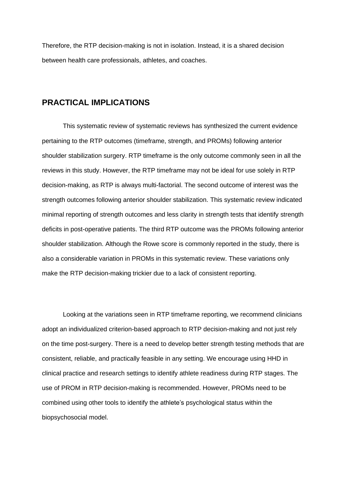Therefore, the RTP decision-making is not in isolation. Instead, it is a shared decision between health care professionals, athletes, and coaches.

## **PRACTICAL IMPLICATIONS**

This systematic review of systematic reviews has synthesized the current evidence pertaining to the RTP outcomes (timeframe, strength, and PROMs) following anterior shoulder stabilization surgery. RTP timeframe is the only outcome commonly seen in all the reviews in this study. However, the RTP timeframe may not be ideal for use solely in RTP decision-making, as RTP is always multi-factorial. The second outcome of interest was the strength outcomes following anterior shoulder stabilization. This systematic review indicated minimal reporting of strength outcomes and less clarity in strength tests that identify strength deficits in post-operative patients. The third RTP outcome was the PROMs following anterior shoulder stabilization. Although the Rowe score is commonly reported in the study, there is also a considerable variation in PROMs in this systematic review. These variations only make the RTP decision-making trickier due to a lack of consistent reporting.

Looking at the variations seen in RTP timeframe reporting, we recommend clinicians adopt an individualized criterion-based approach to RTP decision-making and not just rely on the time post-surgery. There is a need to develop better strength testing methods that are consistent, reliable, and practically feasible in any setting. We encourage using HHD in clinical practice and research settings to identify athlete readiness during RTP stages. The use of PROM in RTP decision-making is recommended. However, PROMs need to be combined using other tools to identify the athlete's psychological status within the biopsychosocial model.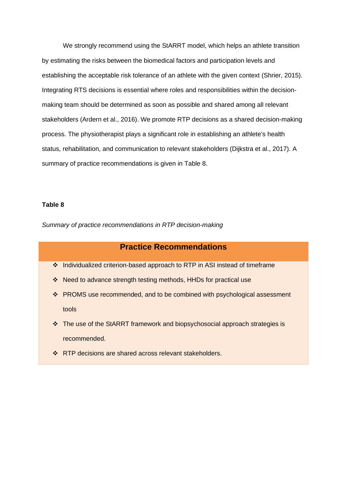We strongly recommend using the StARRT model, which helps an athlete transition by estimating the risks between the biomedical factors and participation levels and establishing the acceptable risk tolerance of an athlete with the given context (Shrier, 2015). Integrating RTS decisions is essential where roles and responsibilities within the decisionmaking team should be determined as soon as possible and shared among all relevant stakeholders (Ardern et al., 2016). We promote RTP decisions as a shared decision-making process. The physiotherapist plays a significant role in establishing an athlete's health status, rehabilitation, and communication to relevant stakeholders (Dijkstra et al., 2017). A summary of practice recommendations is given in Table 8.

#### **Table 8**

*Summary of practice recommendations in RTP decision-making* 

## **Practice Recommendations**

- ❖ Individualized criterion-based approach to RTP in ASI instead of timeframe
- ❖ Need to advance strength testing methods, HHDs for practical use
- ❖ PROMS use recommended, and to be combined with psychological assessment tools
- ❖ The use of the StARRT framework and biopsychosocial approach strategies is recommended.
- ❖ RTP decisions are shared across relevant stakeholders.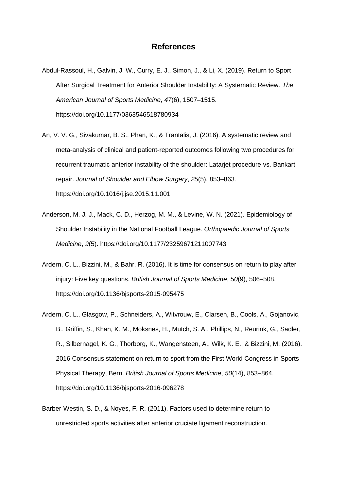## **References**

- Abdul-Rassoul, H., Galvin, J. W., Curry, E. J., Simon, J., & Li, X. (2019). Return to Sport After Surgical Treatment for Anterior Shoulder Instability: A Systematic Review. *The American Journal of Sports Medicine*, *47*(6), 1507–1515. https://doi.org/10.1177/0363546518780934
- An, V. V. G., Sivakumar, B. S., Phan, K., & Trantalis, J. (2016). A systematic review and meta-analysis of clinical and patient-reported outcomes following two procedures for recurrent traumatic anterior instability of the shoulder: Latarjet procedure vs. Bankart repair. *Journal of Shoulder and Elbow Surgery*, *25*(5), 853–863. https://doi.org/10.1016/j.jse.2015.11.001
- Anderson, M. J. J., Mack, C. D., Herzog, M. M., & Levine, W. N. (2021). Epidemiology of Shoulder Instability in the National Football League. *Orthopaedic Journal of Sports Medicine*, *9*(5). https://doi.org/10.1177/23259671211007743
- Ardern, C. L., Bizzini, M., & Bahr, R. (2016). It is time for consensus on return to play after injury: Five key questions. *British Journal of Sports Medicine*, *50*(9), 506–508. https://doi.org/10.1136/bjsports-2015-095475
- Ardern, C. L., Glasgow, P., Schneiders, A., Witvrouw, E., Clarsen, B., Cools, A., Gojanovic, B., Griffin, S., Khan, K. M., Moksnes, H., Mutch, S. A., Phillips, N., Reurink, G., Sadler, R., Silbernagel, K. G., Thorborg, K., Wangensteen, A., Wilk, K. E., & Bizzini, M. (2016). 2016 Consensus statement on return to sport from the First World Congress in Sports Physical Therapy, Bern. *British Journal of Sports Medicine*, *50*(14), 853–864. https://doi.org/10.1136/bjsports-2016-096278
- Barber-Westin, S. D., & Noyes, F. R. (2011). Factors used to determine return to unrestricted sports activities after anterior cruciate ligament reconstruction.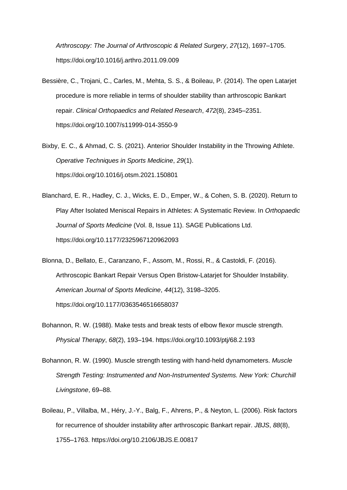*Arthroscopy: The Journal of Arthroscopic & Related Surgery*, *27*(12), 1697–1705. https://doi.org/10.1016/j.arthro.2011.09.009

- Bessière, C., Trojani, C., Carles, M., Mehta, S. S., & Boileau, P. (2014). The open Latarjet procedure is more reliable in terms of shoulder stability than arthroscopic Bankart repair. *Clinical Orthopaedics and Related Research*, *472*(8), 2345–2351. https://doi.org/10.1007/s11999-014-3550-9
- Bixby, E. C., & Ahmad, C. S. (2021). Anterior Shoulder Instability in the Throwing Athlete. *Operative Techniques in Sports Medicine*, *29*(1). https://doi.org/10.1016/j.otsm.2021.150801
- Blanchard, E. R., Hadley, C. J., Wicks, E. D., Emper, W., & Cohen, S. B. (2020). Return to Play After Isolated Meniscal Repairs in Athletes: A Systematic Review. In *Orthopaedic Journal of Sports Medicine* (Vol. 8, Issue 11). SAGE Publications Ltd. https://doi.org/10.1177/2325967120962093
- Blonna, D., Bellato, E., Caranzano, F., Assom, M., Rossi, R., & Castoldi, F. (2016). Arthroscopic Bankart Repair Versus Open Bristow-Latarjet for Shoulder Instability. *American Journal of Sports Medicine*, *44*(12), 3198–3205. https://doi.org/10.1177/0363546516658037
- Bohannon, R. W. (1988). Make tests and break tests of elbow flexor muscle strength. *Physical Therapy*, *68*(2), 193–194. https://doi.org/10.1093/ptj/68.2.193
- Bohannon, R. W. (1990). Muscle strength testing with hand-held dynamometers. *Muscle Strength Testing: Instrumented and Non-Instrumented Systems. New York: Churchill Livingstone*, 69–88.
- Boileau, P., Villalba, M., Héry, J.-Y., Balg, F., Ahrens, P., & Neyton, L. (2006). Risk factors for recurrence of shoulder instability after arthroscopic Bankart repair. *JBJS*, *88*(8), 1755–1763. https://doi.org/10.2106/JBJS.E.00817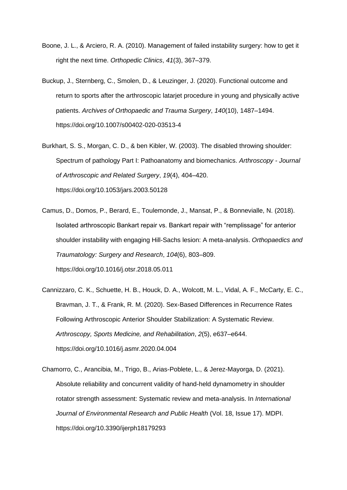- Boone, J. L., & Arciero, R. A. (2010). Management of failed instability surgery: how to get it right the next time. *Orthopedic Clinics*, *41*(3), 367–379.
- Buckup, J., Sternberg, C., Smolen, D., & Leuzinger, J. (2020). Functional outcome and return to sports after the arthroscopic latarjet procedure in young and physically active patients. *Archives of Orthopaedic and Trauma Surgery*, *140*(10), 1487–1494. https://doi.org/10.1007/s00402-020-03513-4
- Burkhart, S. S., Morgan, C. D., & ben Kibler, W. (2003). The disabled throwing shoulder: Spectrum of pathology Part I: Pathoanatomy and biomechanics. *Arthroscopy - Journal of Arthroscopic and Related Surgery*, *19*(4), 404–420. https://doi.org/10.1053/jars.2003.50128
- Camus, D., Domos, P., Berard, E., Toulemonde, J., Mansat, P., & Bonnevialle, N. (2018). Isolated arthroscopic Bankart repair vs. Bankart repair with "remplissage" for anterior shoulder instability with engaging Hill-Sachs lesion: A meta-analysis. *Orthopaedics and Traumatology: Surgery and Research*, *104*(6), 803–809. https://doi.org/10.1016/j.otsr.2018.05.011
- Cannizzaro, C. K., Schuette, H. B., Houck, D. A., Wolcott, M. L., Vidal, A. F., McCarty, E. C., Bravman, J. T., & Frank, R. M. (2020). Sex-Based Differences in Recurrence Rates Following Arthroscopic Anterior Shoulder Stabilization: A Systematic Review. *Arthroscopy, Sports Medicine, and Rehabilitation*, *2*(5), e637–e644. https://doi.org/10.1016/j.asmr.2020.04.004
- Chamorro, C., Arancibia, M., Trigo, B., Arias-Poblete, L., & Jerez-Mayorga, D. (2021). Absolute reliability and concurrent validity of hand-held dynamometry in shoulder rotator strength assessment: Systematic review and meta-analysis. In *International Journal of Environmental Research and Public Health* (Vol. 18, Issue 17). MDPI. https://doi.org/10.3390/ijerph18179293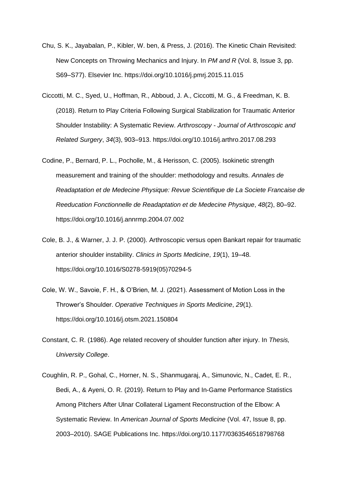- Chu, S. K., Jayabalan, P., Kibler, W. ben, & Press, J. (2016). The Kinetic Chain Revisited: New Concepts on Throwing Mechanics and Injury. In *PM and R* (Vol. 8, Issue 3, pp. S69–S77). Elsevier Inc. https://doi.org/10.1016/j.pmrj.2015.11.015
- Ciccotti, M. C., Syed, U., Hoffman, R., Abboud, J. A., Ciccotti, M. G., & Freedman, K. B. (2018). Return to Play Criteria Following Surgical Stabilization for Traumatic Anterior Shoulder Instability: A Systematic Review. *Arthroscopy - Journal of Arthroscopic and Related Surgery*, *34*(3), 903–913. https://doi.org/10.1016/j.arthro.2017.08.293
- Codine, P., Bernard, P. L., Pocholle, M., & Herisson, C. (2005). Isokinetic strength measurement and training of the shoulder: methodology and results. *Annales de Readaptation et de Medecine Physique: Revue Scientifique de La Societe Francaise de Reeducation Fonctionnelle de Readaptation et de Medecine Physique*, *48*(2), 80–92. https://doi.org/10.1016/j.annrmp.2004.07.002
- Cole, B. J., & Warner, J. J. P. (2000). Arthroscopic versus open Bankart repair for traumatic anterior shoulder instability. *Clinics in Sports Medicine*, *19*(1), 19–48. https://doi.org/10.1016/S0278-5919(05)70294-5
- Cole, W. W., Savoie, F. H., & O'Brien, M. J. (2021). Assessment of Motion Loss in the Thrower's Shoulder. *Operative Techniques in Sports Medicine*, *29*(1). https://doi.org/10.1016/j.otsm.2021.150804
- Constant, C. R. (1986). Age related recovery of shoulder function after injury. In *Thesis, University College*.
- Coughlin, R. P., Gohal, C., Horner, N. S., Shanmugaraj, A., Simunovic, N., Cadet, E. R., Bedi, A., & Ayeni, O. R. (2019). Return to Play and In-Game Performance Statistics Among Pitchers After Ulnar Collateral Ligament Reconstruction of the Elbow: A Systematic Review. In *American Journal of Sports Medicine* (Vol. 47, Issue 8, pp. 2003–2010). SAGE Publications Inc. https://doi.org/10.1177/0363546518798768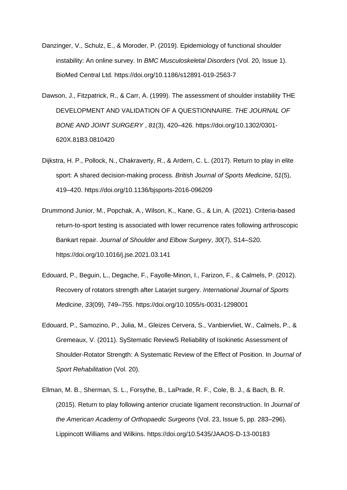- Danzinger, V., Schulz, E., & Moroder, P. (2019). Epidemiology of functional shoulder instability: An online survey. In *BMC Musculoskeletal Disorders* (Vol. 20, Issue 1). BioMed Central Ltd. https://doi.org/10.1186/s12891-019-2563-7
- Dawson, J., Fitzpatrick, R., & Carr, A. (1999). The assessment of shoulder instability THE DEVELOPMENT AND VALIDATION OF A QUESTIONNAIRE. *THE JOURNAL OF BONE AND JOINT SURGERY* , *81*(3), 420–426. https://doi.org/10.1302/0301- 620X.81B3.0810420
- Dijkstra, H. P., Pollock, N., Chakraverty, R., & Ardern, C. L. (2017). Return to play in elite sport: A shared decision-making process. *British Journal of Sports Medicine*, *51*(5), 419–420. https://doi.org/10.1136/bjsports-2016-096209
- Drummond Junior, M., Popchak, A., Wilson, K., Kane, G., & Lin, A. (2021). Criteria-based return-to-sport testing is associated with lower recurrence rates following arthroscopic Bankart repair. *Journal of Shoulder and Elbow Surgery*, *30*(7), S14–S20. https://doi.org/10.1016/j.jse.2021.03.141
- Edouard, P., Beguin, L., Degache, F., Fayolle-Minon, I., Farizon, F., & Calmels, P. (2012). Recovery of rotators strength after Latarjet surgery. *International Journal of Sports Medicine*, *33*(09), 749–755. https://doi.org/10.1055/s-0031-1298001
- Edouard, P., Samozino, P., Julia, M., Gleizes Cervera, S., Vanbiervliet, W., Calmels, P., & Gremeaux, V. (2011). SyStematic ReviewS Reliability of Isokinetic Assessment of Shoulder-Rotator Strength: A Systematic Review of the Effect of Position. In *Journal of Sport Rehabilitation* (Vol. 20).
- Ellman, M. B., Sherman, S. L., Forsythe, B., LaPrade, R. F., Cole, B. J., & Bach, B. R. (2015). Return to play following anterior cruciate ligament reconstruction. In *Journal of the American Academy of Orthopaedic Surgeons* (Vol. 23, Issue 5, pp. 283–296). Lippincott Williams and Wilkins. https://doi.org/10.5435/JAAOS-D-13-00183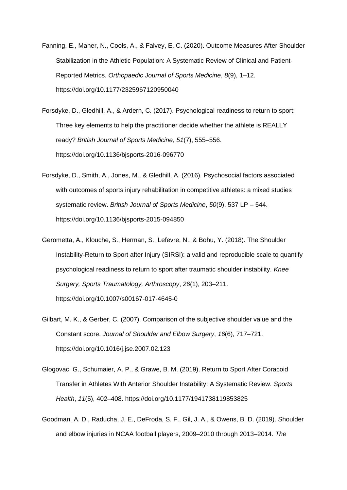- Fanning, E., Maher, N., Cools, A., & Falvey, E. C. (2020). Outcome Measures After Shoulder Stabilization in the Athletic Population: A Systematic Review of Clinical and Patient-Reported Metrics. *Orthopaedic Journal of Sports Medicine*, *8*(9), 1–12. https://doi.org/10.1177/2325967120950040
- Forsdyke, D., Gledhill, A., & Ardern, C. (2017). Psychological readiness to return to sport: Three key elements to help the practitioner decide whether the athlete is REALLY ready? *British Journal of Sports Medicine*, *51*(7), 555–556. https://doi.org/10.1136/bjsports-2016-096770
- Forsdyke, D., Smith, A., Jones, M., & Gledhill, A. (2016). Psychosocial factors associated with outcomes of sports injury rehabilitation in competitive athletes: a mixed studies systematic review. *British Journal of Sports Medicine*, *50*(9), 537 LP – 544. https://doi.org/10.1136/bjsports-2015-094850
- Gerometta, A., Klouche, S., Herman, S., Lefevre, N., & Bohu, Y. (2018). The Shoulder Instability-Return to Sport after Injury (SIRSI): a valid and reproducible scale to quantify psychological readiness to return to sport after traumatic shoulder instability. *Knee Surgery, Sports Traumatology, Arthroscopy*, *26*(1), 203–211. https://doi.org/10.1007/s00167-017-4645-0
- Gilbart, M. K., & Gerber, C. (2007). Comparison of the subjective shoulder value and the Constant score. *Journal of Shoulder and Elbow Surgery*, *16*(6), 717–721. https://doi.org/10.1016/j.jse.2007.02.123
- Glogovac, G., Schumaier, A. P., & Grawe, B. M. (2019). Return to Sport After Coracoid Transfer in Athletes With Anterior Shoulder Instability: A Systematic Review. *Sports Health*, *11*(5), 402–408. https://doi.org/10.1177/1941738119853825
- Goodman, A. D., Raducha, J. E., DeFroda, S. F., Gil, J. A., & Owens, B. D. (2019). Shoulder and elbow injuries in NCAA football players, 2009–2010 through 2013–2014. *The*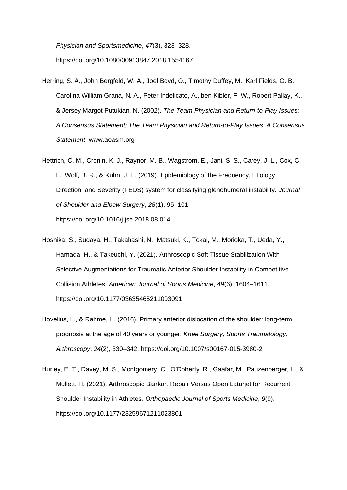*Physician and Sportsmedicine*, *47*(3), 323–328. https://doi.org/10.1080/00913847.2018.1554167

- Herring, S. A., John Bergfeld, W. A., Joel Boyd, O., Timothy Duffey, M., Karl Fields, O. B., Carolina William Grana, N. A., Peter Indelicato, A., ben Kibler, F. W., Robert Pallay, K., & Jersey Margot Putukian, N. (2002). *The Team Physician and Return-to-Play Issues: A Consensus Statement; The Team Physician and Return-to-Play Issues: A Consensus Statement*. www.aoasm.org
- Hettrich, C. M., Cronin, K. J., Raynor, M. B., Wagstrom, E., Jani, S. S., Carey, J. L., Cox, C. L., Wolf, B. R., & Kuhn, J. E. (2019). Epidemiology of the Frequency, Etiology, Direction, and Severity (FEDS) system for classifying glenohumeral instability. *Journal of Shoulder and Elbow Surgery*, *28*(1), 95–101. https://doi.org/10.1016/j.jse.2018.08.014
- Hoshika, S., Sugaya, H., Takahashi, N., Matsuki, K., Tokai, M., Morioka, T., Ueda, Y., Hamada, H., & Takeuchi, Y. (2021). Arthroscopic Soft Tissue Stabilization With Selective Augmentations for Traumatic Anterior Shoulder Instability in Competitive Collision Athletes. *American Journal of Sports Medicine*, *49*(6), 1604–1611. https://doi.org/10.1177/03635465211003091
- Hovelius, L., & Rahme, H. (2016). Primary anterior dislocation of the shoulder: long-term prognosis at the age of 40 years or younger. *Knee Surgery, Sports Traumatology, Arthroscopy*, *24*(2), 330–342. https://doi.org/10.1007/s00167-015-3980-2
- Hurley, E. T., Davey, M. S., Montgomery, C., O'Doherty, R., Gaafar, M., Pauzenberger, L., & Mullett, H. (2021). Arthroscopic Bankart Repair Versus Open Latarjet for Recurrent Shoulder Instability in Athletes. *Orthopaedic Journal of Sports Medicine*, *9*(9). https://doi.org/10.1177/23259671211023801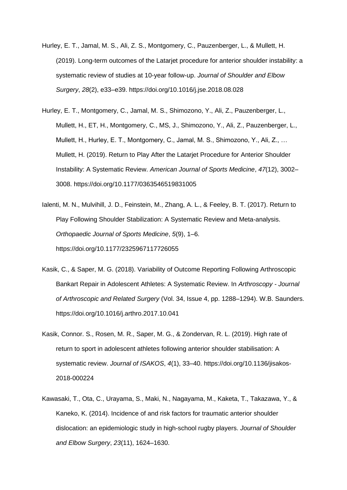- Hurley, E. T., Jamal, M. S., Ali, Z. S., Montgomery, C., Pauzenberger, L., & Mullett, H. (2019). Long-term outcomes of the Latarjet procedure for anterior shoulder instability: a systematic review of studies at 10-year follow-up. *Journal of Shoulder and Elbow Surgery*, *28*(2), e33–e39. https://doi.org/10.1016/j.jse.2018.08.028
- Hurley, E. T., Montgomery, C., Jamal, M. S., Shimozono, Y., Ali, Z., Pauzenberger, L., Mullett, H., ET, H., Montgomery, C., MS, J., Shimozono, Y., Ali, Z., Pauzenberger, L., Mullett, H., Hurley, E. T., Montgomery, C., Jamal, M. S., Shimozono, Y., Ali, Z., … Mullett, H. (2019). Return to Play After the Latarjet Procedure for Anterior Shoulder Instability: A Systematic Review. *American Journal of Sports Medicine*, *47*(12), 3002– 3008. https://doi.org/10.1177/0363546519831005
- Ialenti, M. N., Mulvihill, J. D., Feinstein, M., Zhang, A. L., & Feeley, B. T. (2017). Return to Play Following Shoulder Stabilization: A Systematic Review and Meta-analysis. *Orthopaedic Journal of Sports Medicine*, *5*(9), 1–6. https://doi.org/10.1177/2325967117726055
- Kasik, C., & Saper, M. G. (2018). Variability of Outcome Reporting Following Arthroscopic Bankart Repair in Adolescent Athletes: A Systematic Review. In *Arthroscopy - Journal of Arthroscopic and Related Surgery* (Vol. 34, Issue 4, pp. 1288–1294). W.B. Saunders. https://doi.org/10.1016/j.arthro.2017.10.041
- Kasik, Connor. S., Rosen, M. R., Saper, M. G., & Zondervan, R. L. (2019). High rate of return to sport in adolescent athletes following anterior shoulder stabilisation: A systematic review. *Journal of ISAKOS*, *4*(1), 33–40. https://doi.org/10.1136/jisakos-2018-000224
- Kawasaki, T., Ota, C., Urayama, S., Maki, N., Nagayama, M., Kaketa, T., Takazawa, Y., & Kaneko, K. (2014). Incidence of and risk factors for traumatic anterior shoulder dislocation: an epidemiologic study in high-school rugby players. *Journal of Shoulder and Elbow Surgery*, *23*(11), 1624–1630.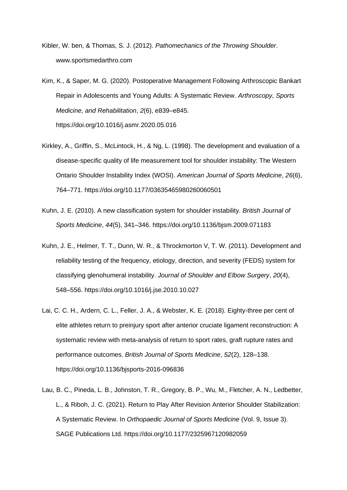- Kibler, W. ben, & Thomas, S. J. (2012). *Pathomechanics of the Throwing Shoulder*. www.sportsmedarthro.com
- Kim, K., & Saper, M. G. (2020). Postoperative Management Following Arthroscopic Bankart Repair in Adolescents and Young Adults: A Systematic Review. *Arthroscopy, Sports Medicine, and Rehabilitation*, *2*(6), e839–e845. https://doi.org/10.1016/j.asmr.2020.05.016
- Kirkley, A., Griffin, S., McLintock, H., & Ng, L. (1998). The development and evaluation of a disease-specific quality of life measurement tool for shoulder instability: The Western Ontario Shoulder Instability Index (WOSI). *American Journal of Sports Medicine*, *26*(6), 764–771. https://doi.org/10.1177/03635465980260060501
- Kuhn, J. E. (2010). A new classification system for shoulder instability. *British Journal of Sports Medicine*, *44*(5), 341–346. https://doi.org/10.1136/bjsm.2009.071183
- Kuhn, J. E., Helmer, T. T., Dunn, W. R., & Throckmorton V, T. W. (2011). Development and reliability testing of the frequency, etiology, direction, and severity (FEDS) system for classifying glenohumeral instability. *Journal of Shoulder and Elbow Surgery*, *20*(4), 548–556. https://doi.org/10.1016/j.jse.2010.10.027
- Lai, C. C. H., Ardern, C. L., Feller, J. A., & Webster, K. E. (2018). Eighty-three per cent of elite athletes return to preinjury sport after anterior cruciate ligament reconstruction: A systematic review with meta-analysis of return to sport rates, graft rupture rates and performance outcomes. *British Journal of Sports Medicine*, *52*(2), 128–138. https://doi.org/10.1136/bjsports-2016-096836
- Lau, B. C., Pineda, L. B., Johnston, T. R., Gregory, B. P., Wu, M., Fletcher, A. N., Ledbetter, L., & Riboh, J. C. (2021). Return to Play After Revision Anterior Shoulder Stabilization: A Systematic Review. In *Orthopaedic Journal of Sports Medicine* (Vol. 9, Issue 3). SAGE Publications Ltd. https://doi.org/10.1177/2325967120982059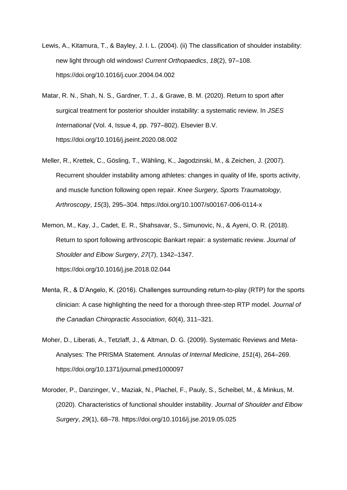- Lewis, A., Kitamura, T., & Bayley, J. I. L. (2004). (ii) The classification of shoulder instability: new light through old windows! *Current Orthopaedics*, *18*(2), 97–108. https://doi.org/10.1016/j.cuor.2004.04.002
- Matar, R. N., Shah, N. S., Gardner, T. J., & Grawe, B. M. (2020). Return to sport after surgical treatment for posterior shoulder instability: a systematic review. In *JSES International* (Vol. 4, Issue 4, pp. 797–802). Elsevier B.V. https://doi.org/10.1016/j.jseint.2020.08.002
- Meller, R., Krettek, C., Gösling, T., Wähling, K., Jagodzinski, M., & Zeichen, J. (2007). Recurrent shoulder instability among athletes: changes in quality of life, sports activity, and muscle function following open repair. *Knee Surgery, Sports Traumatology, Arthroscopy*, *15*(3), 295–304. https://doi.org/10.1007/s00167-006-0114-x
- Memon, M., Kay, J., Cadet, E. R., Shahsavar, S., Simunovic, N., & Ayeni, O. R. (2018). Return to sport following arthroscopic Bankart repair: a systematic review. *Journal of Shoulder and Elbow Surgery*, *27*(7), 1342–1347. https://doi.org/10.1016/j.jse.2018.02.044
- Menta, R., & D'Angelo, K. (2016). Challenges surrounding return-to-play (RTP) for the sports clinician: A case highlighting the need for a thorough three-step RTP model. *Journal of the Canadian Chiropractic Association*, *60*(4), 311–321.
- Moher, D., Liberati, A., Tetzlaff, J., & Altman, D. G. (2009). Systematic Reviews and Meta-Analyses: The PRISMA Statement. *Annulas of Internal Medicine*, *151*(4), 264–269. https://doi.org/10.1371/journal.pmed1000097
- Moroder, P., Danzinger, V., Maziak, N., Plachel, F., Pauly, S., Scheibel, M., & Minkus, M. (2020). Characteristics of functional shoulder instability. *Journal of Shoulder and Elbow Surgery*, *29*(1), 68–78. https://doi.org/10.1016/j.jse.2019.05.025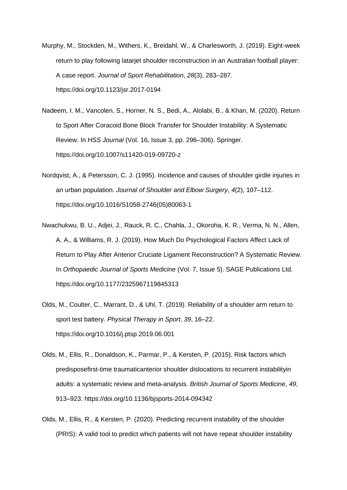- Murphy, M., Stockden, M., Withers, K., Breidahl, W., & Charlesworth, J. (2019). Eight-week return to play following latarjet shoulder reconstruction in an Australian football player: A case report. *Journal of Sport Rehabilitation*, *28*(3), 283–287. https://doi.org/10.1123/jsr.2017-0194
- Nadeem, I. M., Vancolen, S., Horner, N. S., Bedi, A., Alolabi, B., & Khan, M. (2020). Return to Sport After Coracoid Bone Block Transfer for Shoulder Instability: A Systematic Review. In *HSS Journal* (Vol. 16, Issue 3, pp. 296–306). Springer. https://doi.org/10.1007/s11420-019-09720-z
- Nordqvist, A., & Petersson, C. J. (1995). Incidence and causes of shoulder girdle injuries in an urban population. *Journal of Shoulder and Elbow Surgery*, *4*(2), 107–112. https://doi.org/10.1016/S1058-2746(05)80063-1
- Nwachukwu, B. U., Adjei, J., Rauck, R. C., Chahla, J., Okoroha, K. R., Verma, N. N., Allen, A. A., & Williams, R. J. (2019). How Much Do Psychological Factors Affect Lack of Return to Play After Anterior Cruciate Ligament Reconstruction? A Systematic Review. In *Orthopaedic Journal of Sports Medicine* (Vol. 7, Issue 5). SAGE Publications Ltd. https://doi.org/10.1177/2325967119845313
- Olds, M., Coulter, C., Marrant, D., & Uhl, T. (2019). Reliability of a shoulder arm return to sport test battery. *Physical Therapy in Sport*, *39*, 16–22. https://doi.org/10.1016/j.ptsp.2019.06.001
- Olds, M., Ellis, R., Donaldson, K., Parmar, P., & Kersten, P. (2015). Risk factors which predisposefirst-time traumaticanterior shoulder dislocations to recurrent instabilityin adults: a systematic review and meta-analysis. *British Journal of Sports Medicine*, *49*, 913–923. https://doi.org/10.1136/bjsports-2014-094342
- Olds, M., Ellis, R., & Kersten, P. (2020). Predicting recurrent instability of the shoulder (PRIS): A valid tool to predict which patients will not have repeat shoulder instability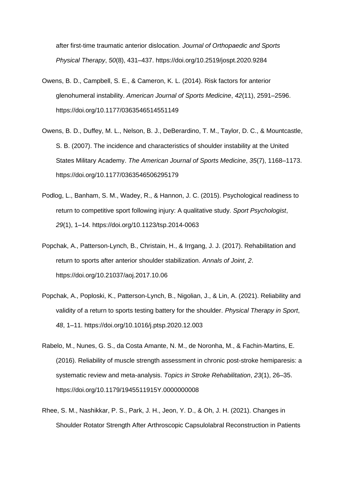after first-time traumatic anterior dislocation. *Journal of Orthopaedic and Sports Physical Therapy*, *50*(8), 431–437. https://doi.org/10.2519/jospt.2020.9284

- Owens, B. D., Campbell, S. E., & Cameron, K. L. (2014). Risk factors for anterior glenohumeral instability. *American Journal of Sports Medicine*, *42*(11), 2591–2596. https://doi.org/10.1177/0363546514551149
- Owens, B. D., Duffey, M. L., Nelson, B. J., DeBerardino, T. M., Taylor, D. C., & Mountcastle, S. B. (2007). The incidence and characteristics of shoulder instability at the United States Military Academy. *The American Journal of Sports Medicine*, *35*(7), 1168–1173. https://doi.org/10.1177/0363546506295179
- Podlog, L., Banham, S. M., Wadey, R., & Hannon, J. C. (2015). Psychological readiness to return to competitive sport following injury: A qualitative study. *Sport Psychologist*, *29*(1), 1–14. https://doi.org/10.1123/tsp.2014-0063
- Popchak, A., Patterson-Lynch, B., Christain, H., & Irrgang, J. J. (2017). Rehabilitation and return to sports after anterior shoulder stabilization. *Annals of Joint*, *2*. https://doi.org/10.21037/aoj.2017.10.06
- Popchak, A., Poploski, K., Patterson-Lynch, B., Nigolian, J., & Lin, A. (2021). Reliability and validity of a return to sports testing battery for the shoulder. *Physical Therapy in Sport*, *48*, 1–11. https://doi.org/10.1016/j.ptsp.2020.12.003
- Rabelo, M., Nunes, G. S., da Costa Amante, N. M., de Noronha, M., & Fachin-Martins, E. (2016). Reliability of muscle strength assessment in chronic post-stroke hemiparesis: a systematic review and meta-analysis. *Topics in Stroke Rehabilitation*, *23*(1), 26–35. https://doi.org/10.1179/1945511915Y.0000000008
- Rhee, S. M., Nashikkar, P. S., Park, J. H., Jeon, Y. D., & Oh, J. H. (2021). Changes in Shoulder Rotator Strength After Arthroscopic Capsulolabral Reconstruction in Patients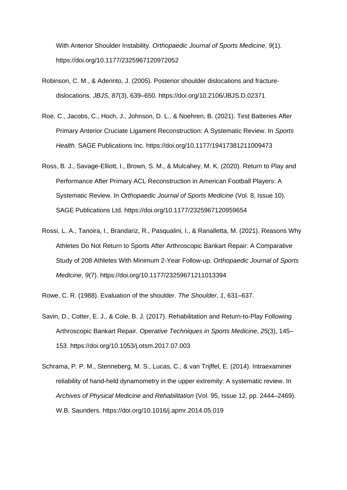With Anterior Shoulder Instability. *Orthopaedic Journal of Sports Medicine*, *9*(1). https://doi.org/10.1177/2325967120972052

- Robinson, C. M., & Aderinto, J. (2005). Posterior shoulder dislocations and fracturedislocations. *JBJS*, *87*(3), 639–650. https://doi.org/10.2106/JBJS.D.02371
- Roe, C., Jacobs, C., Hoch, J., Johnson, D. L., & Noehren, B. (2021). Test Batteries After Primary Anterior Cruciate Ligament Reconstruction: A Systematic Review. In *Sports Health*. SAGE Publications Inc. https://doi.org/10.1177/19417381211009473
- Ross, B. J., Savage-Elliott, I., Brown, S. M., & Mulcahey, M. K. (2020). Return to Play and Performance After Primary ACL Reconstruction in American Football Players: A Systematic Review. In *Orthopaedic Journal of Sports Medicine* (Vol. 8, Issue 10). SAGE Publications Ltd. https://doi.org/10.1177/2325967120959654
- Rossi, L. A., Tanoira, I., Brandariz, R., Pasqualini, I., & Ranalletta, M. (2021). Reasons Why Athletes Do Not Return to Sports After Arthroscopic Bankart Repair: A Comparative Study of 208 Athletes With Minimum 2-Year Follow-up. *Orthopaedic Journal of Sports Medicine*, *9*(7). https://doi.org/10.1177/23259671211013394
- Rowe, C. R. (1988). Evaluation of the shoulder. *The Shoulder*, *1*, 631–637.
- Savin, D., Cotter, E. J., & Cole, B. J. (2017). Rehabilitation and Return-to-Play Following Arthroscopic Bankart Repair. *Operative Techniques in Sports Medicine*, *25*(3), 145– 153. https://doi.org/10.1053/j.otsm.2017.07.003
- Schrama, P. P. M., Stenneberg, M. S., Lucas, C., & van Trijffel, E. (2014). Intraexaminer reliability of hand-held dynamometry in the upper extremity: A systematic review. In *Archives of Physical Medicine and Rehabilitation* (Vol. 95, Issue 12, pp. 2444–2469). W.B. Saunders. https://doi.org/10.1016/j.apmr.2014.05.019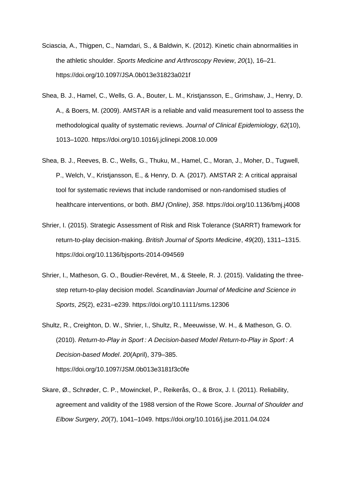- Sciascia, A., Thigpen, C., Namdari, S., & Baldwin, K. (2012). Kinetic chain abnormalities in the athletic shoulder. *Sports Medicine and Arthroscopy Review*, *20*(1), 16–21. https://doi.org/10.1097/JSA.0b013e31823a021f
- Shea, B. J., Hamel, C., Wells, G. A., Bouter, L. M., Kristjansson, E., Grimshaw, J., Henry, D. A., & Boers, M. (2009). AMSTAR is a reliable and valid measurement tool to assess the methodological quality of systematic reviews. *Journal of Clinical Epidemiology*, *62*(10), 1013–1020. https://doi.org/10.1016/j.jclinepi.2008.10.009
- Shea, B. J., Reeves, B. C., Wells, G., Thuku, M., Hamel, C., Moran, J., Moher, D., Tugwell, P., Welch, V., Kristjansson, E., & Henry, D. A. (2017). AMSTAR 2: A critical appraisal tool for systematic reviews that include randomised or non-randomised studies of healthcare interventions, or both. *BMJ (Online)*, *358*. https://doi.org/10.1136/bmj.j4008
- Shrier, I. (2015). Strategic Assessment of Risk and Risk Tolerance (StARRT) framework for return-to-play decision-making. *British Journal of Sports Medicine*, *49*(20), 1311–1315. https://doi.org/10.1136/bjsports-2014-094569
- Shrier, I., Matheson, G. O., Boudier-Revéret, M., & Steele, R. J. (2015). Validating the threestep return-to-play decision model. *Scandinavian Journal of Medicine and Science in Sports*, *25*(2), e231–e239. https://doi.org/10.1111/sms.12306
- Shultz, R., Creighton, D. W., Shrier, I., Shultz, R., Meeuwisse, W. H., & Matheson, G. O. (2010). *Return-to-Play in Sport : A Decision-based Model Return-to-Play in Sport : A Decision-based Model*. *20*(April), 379–385. https://doi.org/10.1097/JSM.0b013e3181f3c0fe
- Skare, Ø., Schrøder, C. P., Mowinckel, P., Reikerås, O., & Brox, J. I. (2011). Reliability, agreement and validity of the 1988 version of the Rowe Score. *Journal of Shoulder and Elbow Surgery*, *20*(7), 1041–1049. https://doi.org/10.1016/j.jse.2011.04.024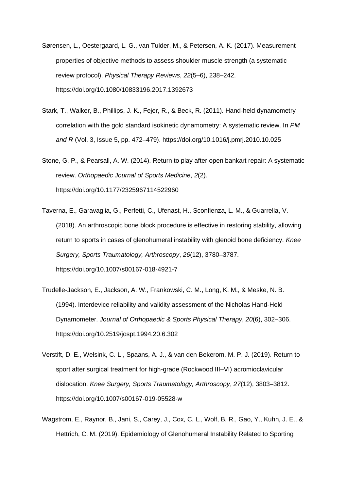- Sørensen, L., Oestergaard, L. G., van Tulder, M., & Petersen, A. K. (2017). Measurement properties of objective methods to assess shoulder muscle strength (a systematic review protocol). *Physical Therapy Reviews*, *22*(5–6), 238–242. https://doi.org/10.1080/10833196.2017.1392673
- Stark, T., Walker, B., Phillips, J. K., Fejer, R., & Beck, R. (2011). Hand-held dynamometry correlation with the gold standard isokinetic dynamometry: A systematic review. In *PM and R* (Vol. 3, Issue 5, pp. 472–479). https://doi.org/10.1016/j.pmrj.2010.10.025
- Stone, G. P., & Pearsall, A. W. (2014). Return to play after open bankart repair: A systematic review. *Orthopaedic Journal of Sports Medicine*, *2*(2). https://doi.org/10.1177/2325967114522960
- Taverna, E., Garavaglia, G., Perfetti, C., Ufenast, H., Sconfienza, L. M., & Guarrella, V. (2018). An arthroscopic bone block procedure is effective in restoring stability, allowing return to sports in cases of glenohumeral instability with glenoid bone deficiency. *Knee Surgery, Sports Traumatology, Arthroscopy*, *26*(12), 3780–3787. https://doi.org/10.1007/s00167-018-4921-7
- Trudelle-Jackson, E., Jackson, A. W., Frankowski, C. M., Long, K. M., & Meske, N. B. (1994). Interdevice reliability and validity assessment of the Nicholas Hand-Held Dynamometer. *Journal of Orthopaedic & Sports Physical Therapy*, *20*(6), 302–306. https://doi.org/10.2519/jospt.1994.20.6.302
- Verstift, D. E., Welsink, C. L., Spaans, A. J., & van den Bekerom, M. P. J. (2019). Return to sport after surgical treatment for high-grade (Rockwood III–VI) acromioclavicular dislocation. *Knee Surgery, Sports Traumatology, Arthroscopy*, *27*(12), 3803–3812. https://doi.org/10.1007/s00167-019-05528-w
- Wagstrom, E., Raynor, B., Jani, S., Carey, J., Cox, C. L., Wolf, B. R., Gao, Y., Kuhn, J. E., & Hettrich, C. M. (2019). Epidemiology of Glenohumeral Instability Related to Sporting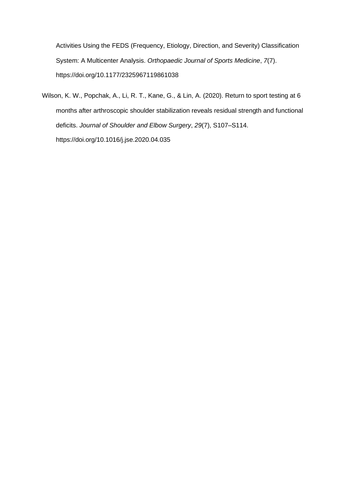Activities Using the FEDS (Frequency, Etiology, Direction, and Severity) Classification System: A Multicenter Analysis. *Orthopaedic Journal of Sports Medicine*, *7*(7). https://doi.org/10.1177/2325967119861038

Wilson, K. W., Popchak, A., Li, R. T., Kane, G., & Lin, A. (2020). Return to sport testing at 6 months after arthroscopic shoulder stabilization reveals residual strength and functional deficits. *Journal of Shoulder and Elbow Surgery*, *29*(7), S107–S114. https://doi.org/10.1016/j.jse.2020.04.035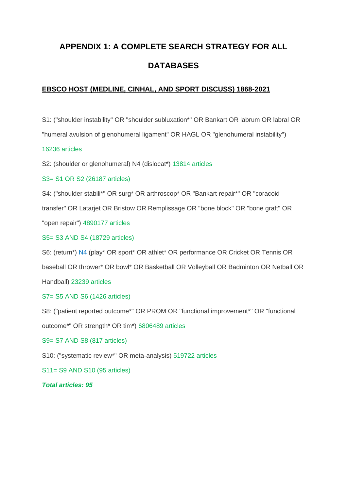# **APPENDIX 1: A COMPLETE SEARCH STRATEGY FOR ALL DATABASES**

## **EBSCO HOST (MEDLINE, CINHAL, AND SPORT DISCUSS) 1868-2021**

S1: ("shoulder instability" OR "shoulder subluxation\*" OR Bankart OR labrum OR labral OR

"humeral avulsion of glenohumeral ligament" OR HAGL OR "glenohumeral instability")

#### 16236 articles

S2: (shoulder or glenohumeral) N4 (dislocat\*) 13814 articles

## S3= S1 OR S2 (26187 articles)

S4: ("shoulder stabili\*" OR surg\* OR arthroscop\* OR "Bankart repair\*" OR "coracoid

transfer" OR Latarjet OR Bristow OR Remplissage OR "bone block" OR "bone graft" OR

"open repair") 4890177 articles

#### S5= S3 AND S4 (18729 articles)

S6: (return\*) N4 (play\* OR sport\* OR athlet\* OR performance OR Cricket OR Tennis OR

baseball OR thrower\* OR bowl\* OR Basketball OR Volleyball OR Badminton OR Netball OR

Handball) 23239 articles

## S7= S5 AND S6 (1426 articles)

S8: ("patient reported outcome\*" OR PROM OR "functional improvement\*" OR "functional

outcome\*" OR strength\* OR tim\*) 6806489 articles

## S9= S7 AND S8 (817 articles)

S10: ("systematic review\*" OR meta-analysis) 519722 articles

S11= S9 AND S10 (95 articles)

#### *Total articles: 95*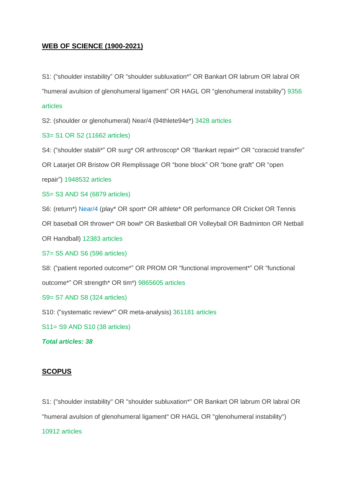## **WEB OF SCIENCE (1900-2021)**

S1: ("shoulder instability" OR "shoulder subluxation\*" OR Bankart OR labrum OR labral OR "humeral avulsion of glenohumeral ligament" OR HAGL OR "glenohumeral instability") 9356

#### articles

S2: (shoulder or glenohumeral) Near/4 (94thlete94e\*) 3428 articles

S3= S1 OR S2 (11662 articles)

S4: ("shoulder stabili\*" OR surg\* OR arthroscop\* OR "Bankart repair\*" OR "coracoid transfer"

OR Latarjet OR Bristow OR Remplissage OR "bone block" OR "bone graft" OR "open

repair") 1948532 articles

S5= S3 AND S4 (6879 articles)

S6: (return\*) Near/4 (play\* OR sport\* OR athlete\* OR performance OR Cricket OR Tennis

OR baseball OR thrower\* OR bowl\* OR Basketball OR Volleyball OR Badminton OR Netball

OR Handball) 12383 articles

S7= S5 AND S6 (596 articles)

S8: ("patient reported outcome\*" OR PROM OR "functional improvement\*" OR "functional outcome\*" OR strength\* OR tim\*) 9865605 articles

S9= S7 AND S8 (324 articles)

S10: ("systematic review\*" OR meta-analysis) 361181 articles

S11= S9 AND S10 (38 articles)

*Total articles: 38*

#### **SCOPUS**

S1: ("shoulder instability" OR "shoulder subluxation\*" OR Bankart OR labrum OR labral OR "humeral avulsion of glenohumeral ligament" OR HAGL OR "glenohumeral instability") 10912 articles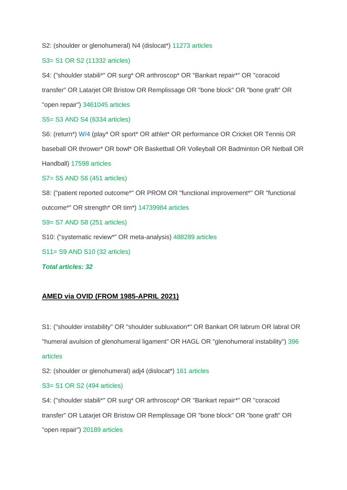S2: (shoulder or glenohumeral) N4 (dislocat\*) 11273 articles

#### S3= S1 OR S2 (11332 articles)

S4: ("shoulder stabili\*" OR surg\* OR arthroscop\* OR "Bankart repair\*" OR "coracoid

transfer" OR Latarjet OR Bristow OR Remplissage OR "bone block" OR "bone graft" OR

"open repair") 3461045 articles

S5= S3 AND S4 (6334 articles)

S6: (return\*) W/4 (play\* OR sport\* OR athlet\* OR performance OR Cricket OR Tennis OR

baseball OR thrower\* OR bowl\* OR Basketball OR Volleyball OR Badminton OR Netball OR

Handball) 17598 articles

S7= S5 AND S6 (451 articles)

S8: ("patient reported outcome\*" OR PROM OR "functional improvement\*" OR "functional outcome\*" OR strength\* OR tim\*) 14739984 articles

S9= S7 AND S8 (251 articles)

S10: ("systematic review\*" OR meta-analysis) 488289 articles

S11= S9 AND S10 (32 articles)

*Total articles: 32*

## **AMED via OVID (FROM 1985-APRIL 2021)**

S1: ("shoulder instability" OR "shoulder subluxation\*" OR Bankart OR labrum OR labral OR "humeral avulsion of glenohumeral ligament" OR HAGL OR "glenohumeral instability") 396 articles

S2: (shoulder or glenohumeral) adj4 (dislocat\*) 161 articles

## S3= S1 OR S2 (494 articles)

S4: ("shoulder stabili\*" OR surg\* OR arthroscop\* OR "Bankart repair\*" OR "coracoid transfer" OR Latarjet OR Bristow OR Remplissage OR "bone block" OR "bone graft" OR "open repair") 20189 articles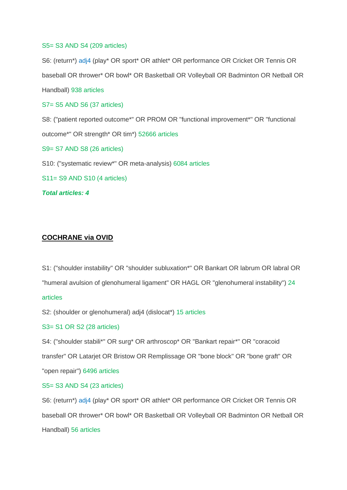#### S5= S3 AND S4 (209 articles)

S6: (return\*) adj4 (play\* OR sport\* OR athlet\* OR performance OR Cricket OR Tennis OR baseball OR thrower\* OR bowl\* OR Basketball OR Volleyball OR Badminton OR Netball OR Handball) 938 articles

S7= S5 AND S6 (37 articles)

S8: ("patient reported outcome\*" OR PROM OR "functional improvement\*" OR "functional outcome\*" OR strength\* OR tim\*) 52666 articles

S9= S7 AND S8 (26 articles)

S10: ("systematic review\*" OR meta-analysis) 6084 articles

S11= S9 AND S10 (4 articles)

*Total articles: 4*

## **COCHRANE via OVID**

S1: ("shoulder instability" OR "shoulder subluxation\*" OR Bankart OR labrum OR labral OR

"humeral avulsion of glenohumeral ligament" OR HAGL OR "glenohumeral instability") 24

#### articles

S2: (shoulder or glenohumeral) adj4 (dislocat\*) 15 articles

#### S3= S1 OR S2 (28 articles)

S4: ("shoulder stabili\*" OR surg\* OR arthroscop\* OR "Bankart repair\*" OR "coracoid transfer" OR Latarjet OR Bristow OR Remplissage OR "bone block" OR "bone graft" OR "open repair") 6496 articles

S5= S3 AND S4 (23 articles)

S6: (return\*) adj4 (play\* OR sport\* OR athlet\* OR performance OR Cricket OR Tennis OR baseball OR thrower\* OR bowl\* OR Basketball OR Volleyball OR Badminton OR Netball OR Handball) 56 articles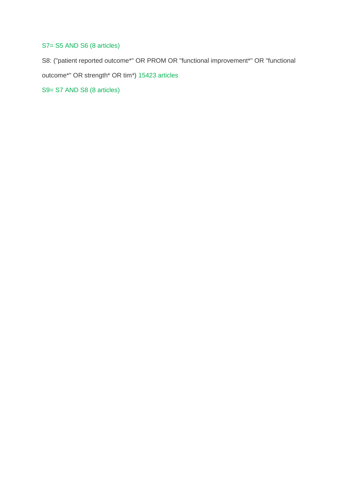## S7= S5 AND S6 (8 articles)

S8: ("patient reported outcome\*" OR PROM OR "functional improvement\*" OR "functional

outcome\*" OR strength\* OR tim\*) 15423 articles

S9= S7 AND S8 (8 articles)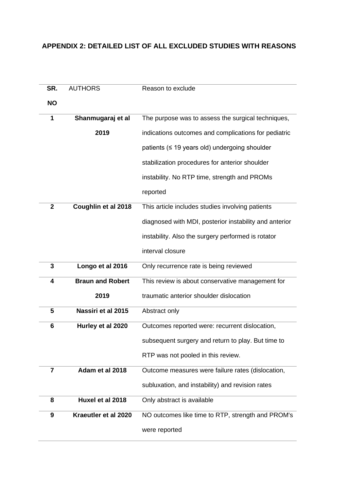## **APPENDIX 2: DETAILED LIST OF ALL EXCLUDED STUDIES WITH REASONS**

| SR.            | <b>AUTHORS</b>          | Reason to exclude                                      |
|----------------|-------------------------|--------------------------------------------------------|
| <b>NO</b>      |                         |                                                        |
| 1              | Shanmugaraj et al       | The purpose was to assess the surgical techniques,     |
|                |                         |                                                        |
|                | 2019                    | indications outcomes and complications for pediatric   |
|                |                         | patients (≤ 19 years old) undergoing shoulder          |
|                |                         | stabilization procedures for anterior shoulder         |
|                |                         | instability. No RTP time, strength and PROMs           |
|                |                         | reported                                               |
| $\mathbf{2}$   | Coughlin et al 2018     | This article includes studies involving patients       |
|                |                         | diagnosed with MDI, posterior instability and anterior |
|                |                         | instability. Also the surgery performed is rotator     |
|                |                         | interval closure                                       |
| 3              | Longo et al 2016        | Only recurrence rate is being reviewed                 |
| 4              | <b>Braun and Robert</b> | This review is about conservative management for       |
|                | 2019                    | traumatic anterior shoulder dislocation                |
| 5              | Nassiri et al 2015      | Abstract only                                          |
| 6              | Hurley et al 2020       | Outcomes reported were: recurrent dislocation,         |
|                |                         | subsequent surgery and return to play. But time to     |
|                |                         | RTP was not pooled in this review.                     |
| $\overline{7}$ | Adam et al 2018         | Outcome measures were failure rates (dislocation,      |
|                |                         | subluxation, and instability) and revision rates       |
| 8              | Huxel et al 2018        | Only abstract is available                             |
| 9              | Kraeutler et al 2020    | NO outcomes like time to RTP, strength and PROM's      |
|                |                         | were reported                                          |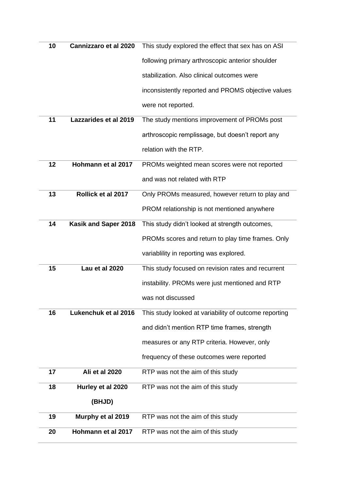| 10 | <b>Cannizzaro et al 2020</b> | This study explored the effect that sex has on ASI    |
|----|------------------------------|-------------------------------------------------------|
|    |                              | following primary arthroscopic anterior shoulder      |
|    |                              | stabilization. Also clinical outcomes were            |
|    |                              | inconsistently reported and PROMS objective values    |
|    |                              | were not reported.                                    |
| 11 | Lazzarides et al 2019        | The study mentions improvement of PROMs post          |
|    |                              | arthroscopic remplissage, but doesn't report any      |
|    |                              | relation with the RTP.                                |
| 12 | Hohmann et al 2017           | PROMs weighted mean scores were not reported          |
|    |                              | and was not related with RTP                          |
| 13 | Rollick et al 2017           | Only PROMs measured, however return to play and       |
|    |                              | PROM relationship is not mentioned anywhere           |
| 14 | Kasik and Saper 2018         | This study didn't looked at strength outcomes,        |
|    |                              | PROMs scores and return to play time frames. Only     |
|    |                              | variablility in reporting was explored.               |
| 15 | Lau et al 2020               | This study focused on revision rates and recurrent    |
|    |                              | instability. PROMs were just mentioned and RTP        |
|    |                              | was not discussed                                     |
| 16 | Lukenchuk et al 2016         | This study looked at variability of outcome reporting |
|    |                              | and didn't mention RTP time frames, strength          |
|    |                              | measures or any RTP criteria. However, only           |
|    |                              | frequency of these outcomes were reported             |
| 17 | Ali et al 2020               | RTP was not the aim of this study                     |
| 18 | Hurley et al 2020            | RTP was not the aim of this study                     |
|    | (BHJD)                       |                                                       |
| 19 | Murphy et al 2019            | RTP was not the aim of this study                     |
| 20 | Hohmann et al 2017           | RTP was not the aim of this study                     |